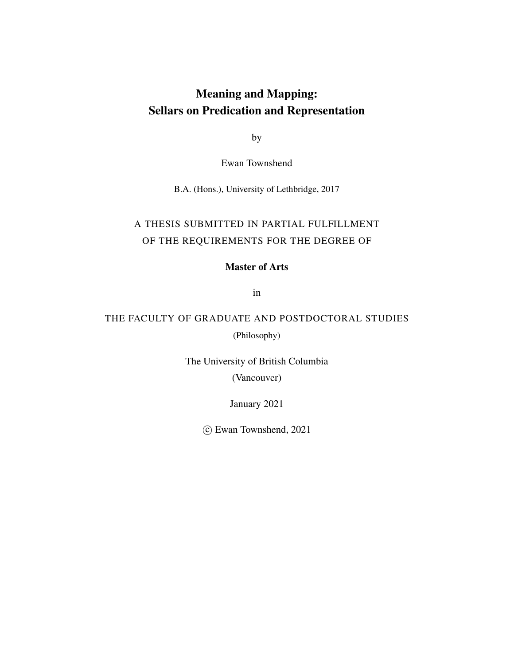### Meaning and Mapping: Sellars on Predication and Representation

by

Ewan Townshend

B.A. (Hons.), University of Lethbridge, 2017

### A THESIS SUBMITTED IN PARTIAL FULFILLMENT OF THE REQUIREMENTS FOR THE DEGREE OF

### Master of Arts

in

### THE FACULTY OF GRADUATE AND POSTDOCTORAL STUDIES

(Philosophy)

The University of British Columbia (Vancouver)

January 2021

c Ewan Townshend, 2021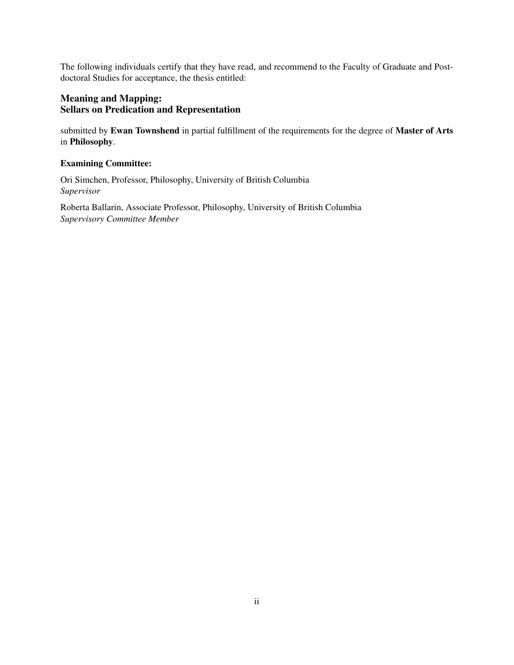The following individuals certify that they have read, and recommend to the Faculty of Graduate and Postdoctoral Studies for acceptance, the thesis entitled:

### Meaning and Mapping: Sellars on Predication and Representation

submitted by Ewan Townshend in partial fulfillment of the requirements for the degree of Master of Arts in Philosophy.

### Examining Committee:

Ori Simchen, Professor, Philosophy, University of British Columbia *Supervisor*

Roberta Ballarin, Associate Professor, Philosophy, University of British Columbia *Supervisory Committee Member*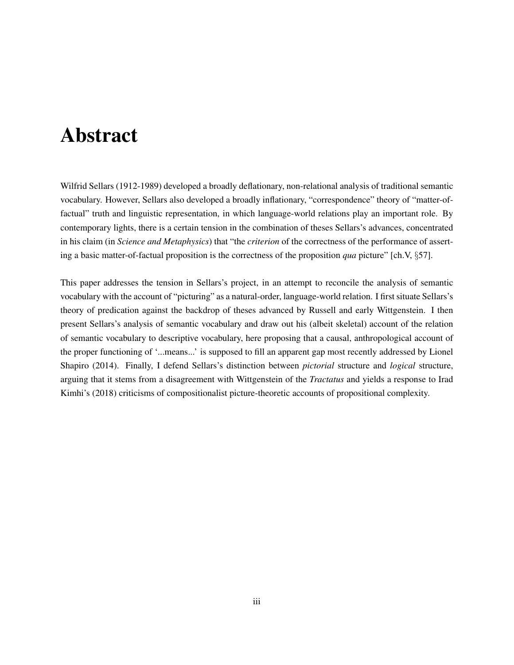# Abstract

Wilfrid Sellars (1912-1989) developed a broadly deflationary, non-relational analysis of traditional semantic vocabulary. However, Sellars also developed a broadly inflationary, "correspondence" theory of "matter-offactual" truth and linguistic representation, in which language-world relations play an important role. By contemporary lights, there is a certain tension in the combination of theses Sellars's advances, concentrated in his claim (in *Science and Metaphysics*) that "the *criterion* of the correctness of the performance of asserting a basic matter-of-factual proposition is the correctness of the proposition *qua* picture" [ch.V, §57].

This paper addresses the tension in Sellars's project, in an attempt to reconcile the analysis of semantic vocabulary with the account of "picturing" as a natural-order, language-world relation. I first situate Sellars's theory of predication against the backdrop of theses advanced by Russell and early Wittgenstein. I then present Sellars's analysis of semantic vocabulary and draw out his (albeit skeletal) account of the relation of semantic vocabulary to descriptive vocabulary, here proposing that a causal, anthropological account of the proper functioning of '...means...' is supposed to fill an apparent gap most recently addressed by Lionel Shapiro (2014). Finally, I defend Sellars's distinction between *pictorial* structure and *logical* structure, arguing that it stems from a disagreement with Wittgenstein of the *Tractatus* and yields a response to Irad Kimhi's (2018) criticisms of compositionalist picture-theoretic accounts of propositional complexity.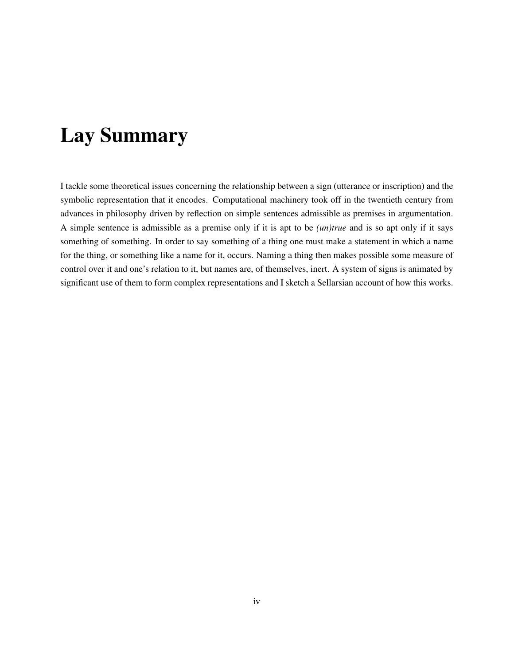# Lay Summary

I tackle some theoretical issues concerning the relationship between a sign (utterance or inscription) and the symbolic representation that it encodes. Computational machinery took off in the twentieth century from advances in philosophy driven by reflection on simple sentences admissible as premises in argumentation. A simple sentence is admissible as a premise only if it is apt to be *(un)true* and is so apt only if it says something of something. In order to say something of a thing one must make a statement in which a name for the thing, or something like a name for it, occurs. Naming a thing then makes possible some measure of control over it and one's relation to it, but names are, of themselves, inert. A system of signs is animated by significant use of them to form complex representations and I sketch a Sellarsian account of how this works.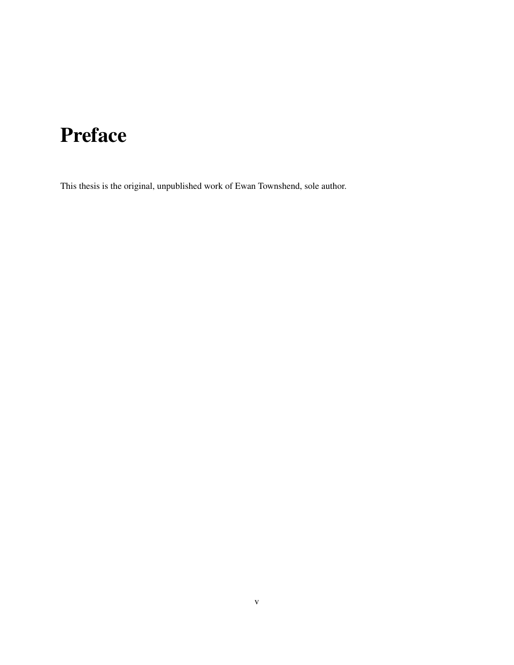# Preface

This thesis is the original, unpublished work of Ewan Townshend, sole author.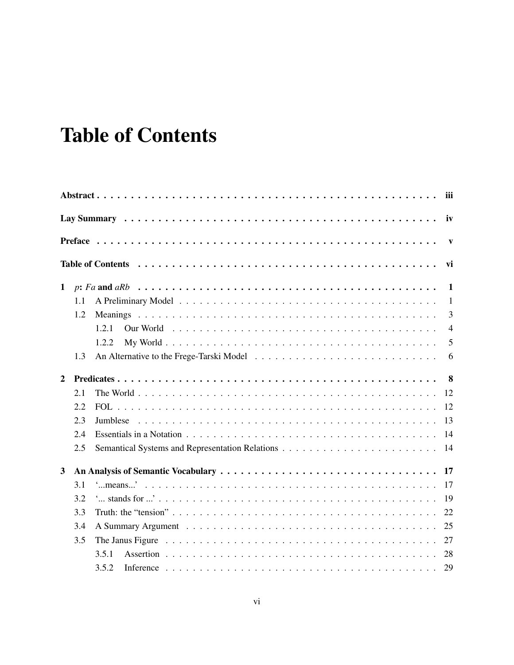# **Table of Contents**

|                |     |             | $\mathbf{v}$   |
|----------------|-----|-------------|----------------|
|                |     |             | vi             |
| $\mathbf{1}$   |     |             | -1             |
|                | 1.1 |             | $\mathbf{1}$   |
|                | 1.2 |             | 3              |
|                |     | 1.2.1       | $\overline{4}$ |
|                |     | 1.2.2       | 5              |
|                | 1.3 |             | 6              |
| $\overline{2}$ |     |             | 8              |
|                | 2.1 | 12          |                |
|                | 2.2 | 12          |                |
|                | 2.3 | 13          |                |
|                | 2.4 | 14          |                |
|                | 2.5 | 14          |                |
| 3              |     | 17          |                |
|                | 3.1 | 17          |                |
|                | 3.2 | 19          |                |
|                | 3.3 | 22          |                |
|                | 3.4 | 25          |                |
|                | 3.5 | 27          |                |
|                |     | 28<br>3.5.1 |                |
|                |     | 3.5.2<br>29 |                |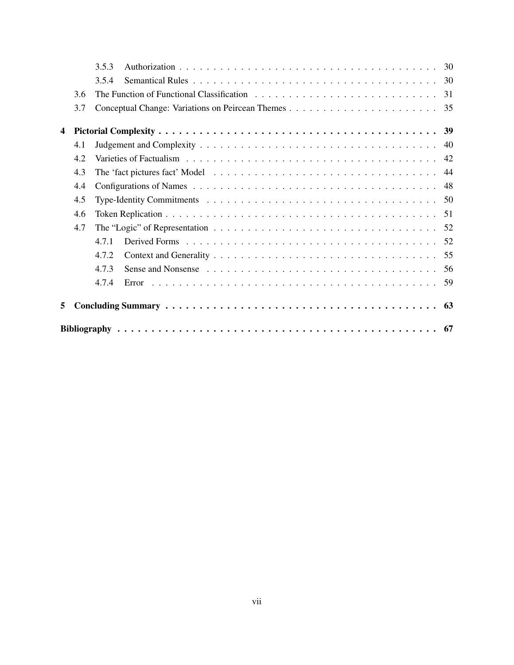|                         |     | 3.5.3 |  |  |
|-------------------------|-----|-------|--|--|
|                         |     | 3.5.4 |  |  |
|                         | 3.6 |       |  |  |
|                         | 3.7 |       |  |  |
| $\overline{\mathbf{4}}$ |     |       |  |  |
|                         | 4.1 |       |  |  |
|                         | 4.2 |       |  |  |
|                         | 4.3 |       |  |  |
|                         | 4.4 |       |  |  |
|                         | 4.5 |       |  |  |
|                         | 4.6 |       |  |  |
|                         | 4.7 |       |  |  |
|                         |     | 4.7.1 |  |  |
|                         |     | 4.7.2 |  |  |
|                         |     | 4.7.3 |  |  |
|                         |     | 4.7.4 |  |  |
| 5                       |     |       |  |  |
|                         |     |       |  |  |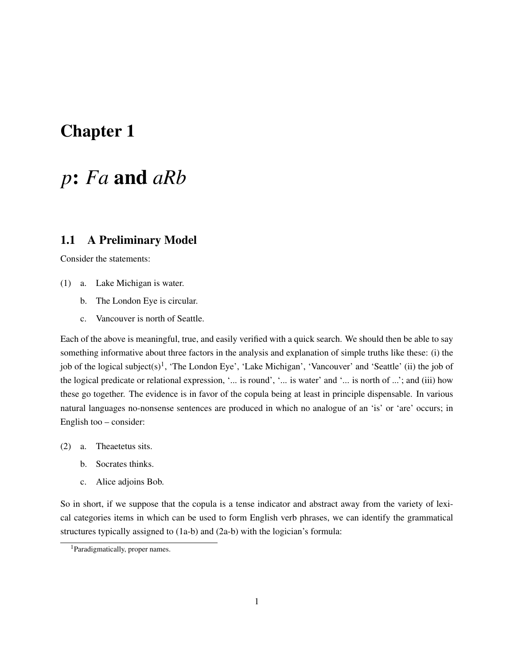### Chapter 1

## *p*: *Fa* and *aRb*

### 1.1 A Preliminary Model

Consider the statements:

- (1) a. Lake Michigan is water.
	- b. The London Eye is circular.
	- c. Vancouver is north of Seattle.

Each of the above is meaningful, true, and easily verified with a quick search. We should then be able to say something informative about three factors in the analysis and explanation of simple truths like these: (i) the job of the logical subject(s)<sup>1</sup>, 'The London Eye', 'Lake Michigan', 'Vancouver' and 'Seattle' (ii) the job of the logical predicate or relational expression, '... is round', '... is water' and '... is north of ...'; and (iii) how these go together. The evidence is in favor of the copula being at least in principle dispensable. In various natural languages no-nonsense sentences are produced in which no analogue of an 'is' or 'are' occurs; in English too – consider:

- (2) a. Theaetetus sits.
	- b. Socrates thinks.
	- c. Alice adjoins Bob.

So in short, if we suppose that the copula is a tense indicator and abstract away from the variety of lexical categories items in which can be used to form English verb phrases, we can identify the grammatical structures typically assigned to (1a-b) and (2a-b) with the logician's formula:

<sup>1</sup>Paradigmatically, proper names.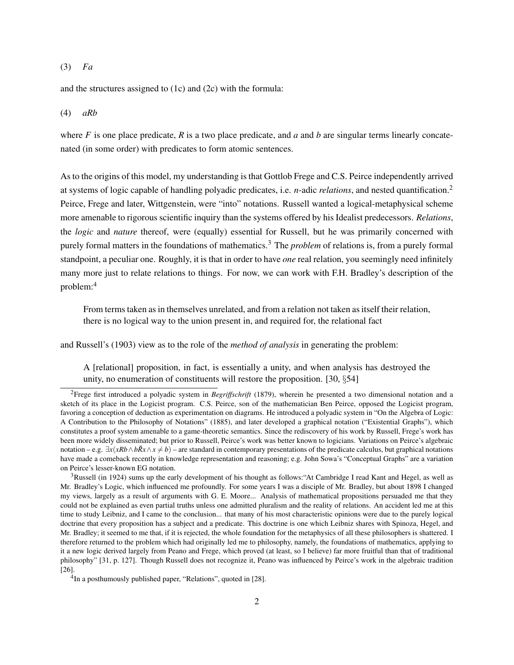#### (3) *Fa*

and the structures assigned to (1c) and (2c) with the formula:

#### (4) *aRb*

where  $F$  is one place predicate,  $R$  is a two place predicate, and  $a$  and  $b$  are singular terms linearly concatenated (in some order) with predicates to form atomic sentences.

As to the origins of this model, my understanding is that Gottlob Frege and C.S. Peirce independently arrived at systems of logic capable of handling polyadic predicates, i.e. *n*-adic *relations*, and nested quantification.<sup>2</sup> Peirce, Frege and later, Wittgenstein, were "into" notations. Russell wanted a logical-metaphysical scheme more amenable to rigorous scientific inquiry than the systems offered by his Idealist predecessors. *Relations*, the *logic* and *nature* thereof, were (equally) essential for Russell, but he was primarily concerned with purely formal matters in the foundations of mathematics.<sup>3</sup> The *problem* of relations is, from a purely formal standpoint, a peculiar one. Roughly, it is that in order to have *one* real relation, you seemingly need infinitely many more just to relate relations to things. For now, we can work with F.H. Bradley's description of the problem:<sup>4</sup>

From terms taken as in themselves unrelated, and from a relation not taken as itself their relation, there is no logical way to the union present in, and required for, the relational fact

and Russell's (1903) view as to the role of the *method of analysis* in generating the problem:

A [relational] proposition, in fact, is essentially a unity, and when analysis has destroyed the unity, no enumeration of constituents will restore the proposition. [30, §54]

<sup>2</sup>Frege first introduced a polyadic system in *Begriffschrift* (1879), wherein he presented a two dimensional notation and a sketch of its place in the Logicist program. C.S. Peirce, son of the mathematician Ben Peirce, opposed the Logicist program, favoring a conception of deduction as experimentation on diagrams. He introduced a polyadic system in "On the Algebra of Logic: A Contribution to the Philosophy of Notations" (1885), and later developed a graphical notation ("Existential Graphs"), which constitutes a proof system amenable to a game-theoretic semantics. Since the rediscovery of his work by Russell, Frege's work has been more widely disseminated; but prior to Russell, Peirce's work was better known to logicians. Variations on Peirce's algebraic notation – e.g.  $\exists x(xRb \wedge b\tilde{R}x \wedge x \neq b)$  – are standard in contemporary presentations of the predicate calculus, but graphical notations have made a comeback recently in knowledge representation and reasoning; e.g. John Sowa's "Conceptual Graphs" are a variation on Peirce's lesser-known EG notation.

<sup>&</sup>lt;sup>3</sup>Russell (in 1924) sums up the early development of his thought as follows: "At Cambridge I read Kant and Hegel, as well as Mr. Bradley's Logic, which influenced me profoundly. For some years I was a disciple of Mr. Bradley, but about 1898 I changed my views, largely as a result of arguments with G. E. Moore... Analysis of mathematical propositions persuaded me that they could not be explained as even partial truths unless one admitted pluralism and the reality of relations. An accident led me at this time to study Leibniz, and I came to the conclusion... that many of his most characteristic opinions were due to the purely logical doctrine that every proposition has a subject and a predicate. This doctrine is one which Leibniz shares with Spinoza, Hegel, and Mr. Bradley; it seemed to me that, if it is rejected, the whole foundation for the metaphysics of all these philosophers is shattered. I therefore returned to the problem which had originally led me to philosophy, namely, the foundations of mathematics, applying to it a new logic derived largely from Peano and Frege, which proved (at least, so I believe) far more fruitful than that of traditional philosophy" [31, p. 127]. Though Russell does not recognize it, Peano was influenced by Peirce's work in the algebraic tradition [26].

<sup>&</sup>lt;sup>4</sup>In a posthumously published paper, "Relations", quoted in [28].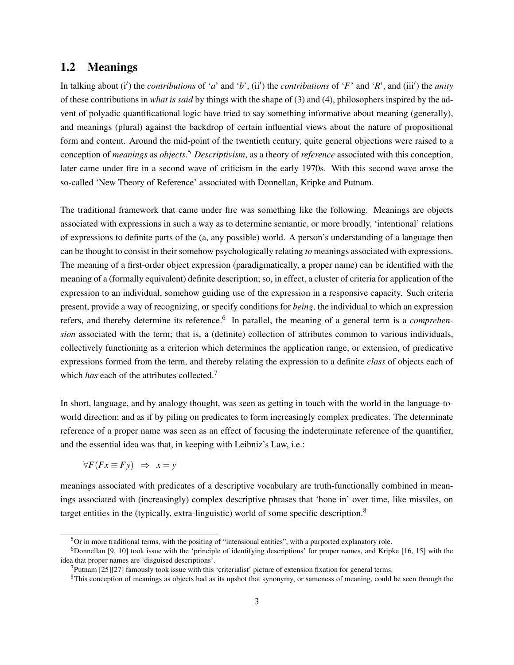### 1.2 Meanings

In talking about  $(i')$  the *contributions* of '*a*' and '*b*',  $(ii')$  the *contributions* of '*F*' and '*R*', and (iii') the *unity* of these contributions in *what is said* by things with the shape of (3) and (4), philosophers inspired by the advent of polyadic quantificational logic have tried to say something informative about meaning (generally), and meanings (plural) against the backdrop of certain influential views about the nature of propositional form and content. Around the mid-point of the twentieth century, quite general objections were raised to a conception of *meanings* as *objects*. <sup>5</sup> *Descriptivism*, as a theory of *reference* associated with this conception, later came under fire in a second wave of criticism in the early 1970s. With this second wave arose the so-called 'New Theory of Reference' associated with Donnellan, Kripke and Putnam.

The traditional framework that came under fire was something like the following. Meanings are objects associated with expressions in such a way as to determine semantic, or more broadly, 'intentional' relations of expressions to definite parts of the (a, any possible) world. A person's understanding of a language then can be thought to consist in their somehow psychologically relating *to* meanings associated with expressions. The meaning of a first-order object expression (paradigmatically, a proper name) can be identified with the meaning of a (formally equivalent) definite description; so, in effect, a cluster of criteria for application of the expression to an individual, somehow guiding use of the expression in a responsive capacity. Such criteria present, provide a way of recognizing, or specify conditions for *being*, the individual to which an expression refers, and thereby determine its reference.<sup>6</sup> In parallel, the meaning of a general term is a *comprehension* associated with the term; that is, a (definite) collection of attributes common to various individuals, collectively functioning as a criterion which determines the application range, or extension, of predicative expressions formed from the term, and thereby relating the expression to a definite *class* of objects each of which *has* each of the attributes collected.<sup>7</sup>

In short, language, and by analogy thought, was seen as getting in touch with the world in the language-toworld direction; and as if by piling on predicates to form increasingly complex predicates. The determinate reference of a proper name was seen as an effect of focusing the indeterminate reference of the quantifier, and the essential idea was that, in keeping with Leibniz's Law, i.e.:

∀*F*(*Fx* ≡ *Fy*) ⇒ *x* = *y*

meanings associated with predicates of a descriptive vocabulary are truth-functionally combined in meanings associated with (increasingly) complex descriptive phrases that 'hone in' over time, like missiles, on target entities in the (typically, extra-linguistic) world of some specific description.<sup>8</sup>

 $5$ Or in more traditional terms, with the positing of "intensional entities", with a purported explanatory role.

 $6$ Donnellan [9, 10] took issue with the 'principle of identifying descriptions' for proper names, and Kripke [16, 15] with the idea that proper names are 'disguised descriptions'.

<sup>7</sup>Putnam [25][27] famously took issue with this 'criterialist' picture of extension fixation for general terms.

<sup>&</sup>lt;sup>8</sup>This conception of meanings as objects had as its upshot that synonymy, or sameness of meaning, could be seen through the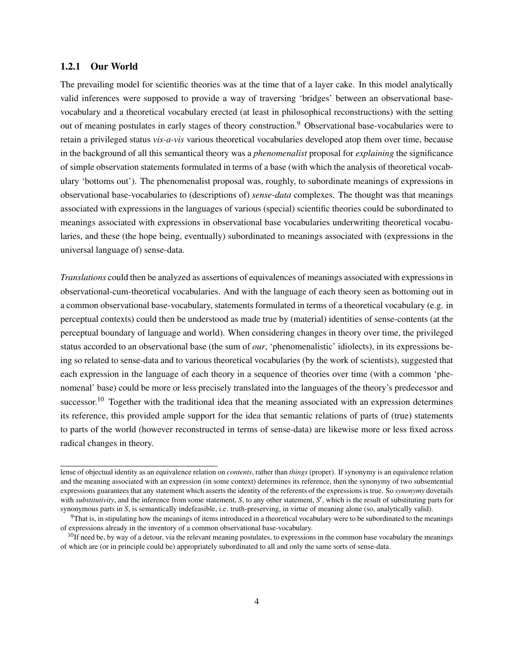#### 1.2.1 Our World

The prevailing model for scientific theories was at the time that of a layer cake. In this model analytically valid inferences were supposed to provide a way of traversing 'bridges' between an observational basevocabulary and a theoretical vocabulary erected (at least in philosophical reconstructions) with the setting out of meaning postulates in early stages of theory construction.<sup>9</sup> Observational base-vocabularies were to retain a privileged status *vis-a-vis* various theoretical vocabularies developed atop them over time, because in the background of all this semantical theory was a *phenomenalist* proposal for *explaining* the significance of simple observation statements formulated in terms of a base (with which the analysis of theoretical vocabulary 'bottoms out'). The phenomenalist proposal was, roughly, to subordinate meanings of expressions in observational base-vocabularies to (descriptions of) *sense-data* complexes. The thought was that meanings associated with expressions in the languages of various (special) scientific theories could be subordinated to meanings associated with expressions in observational base vocabularies underwriting theoretical vocabularies, and these (the hope being, eventually) subordinated to meanings associated with (expressions in the universal language of) sense-data.

*Translations* could then be analyzed as assertions of equivalences of meanings associated with expressions in observational-cum-theoretical vocabularies. And with the language of each theory seen as bottoming out in a common observational base-vocabulary, statements formulated in terms of a theoretical vocabulary (e.g. in perceptual contexts) could then be understood as made true by (material) identities of sense-contents (at the perceptual boundary of language and world). When considering changes in theory over time, the privileged status accorded to an observational base (the sum of *our*, 'phenomenalistic' idiolects), in its expressions being so related to sense-data and to various theoretical vocabularies (by the work of scientists), suggested that each expression in the language of each theory in a sequence of theories over time (with a common 'phenomenal' base) could be more or less precisely translated into the languages of the theory's predecessor and successor.<sup>10</sup> Together with the traditional idea that the meaning associated with an expression determines its reference, this provided ample support for the idea that semantic relations of parts of (true) statements to parts of the world (however reconstructed in terms of sense-data) are likewise more or less fixed across radical changes in theory.

lense of objectual identity as an equivalence relation on *contents*, rather than *things* (proper). If synonymy is an equivalence relation and the meaning associated with an expression (in some context) determines its reference, then the synonymy of two subsentential expressions guarantees that any statement which asserts the identity of the referents of the expressions is true. So *synonymy* dovetails with *substitutivity*, and the inference from some statement, *S*, to any other statement, *S'*, which is the result of substituting parts for synonymous parts in *S*, is semantically indefeasible, i.e. truth-preserving, in virtue of meaning alone (so, analytically valid).

 $9$ That is, in stipulating how the meanings of items introduced in a theoretical vocabulary were to be subordinated to the meanings of expressions already in the inventory of a common observational base-vocabulary.

 $^{10}$ If need be, by way of a detour, via the relevant meaning postulates, to expressions in the common base vocabulary the meanings of which are (or in principle could be) appropriately subordinated to all and only the same sorts of sense-data.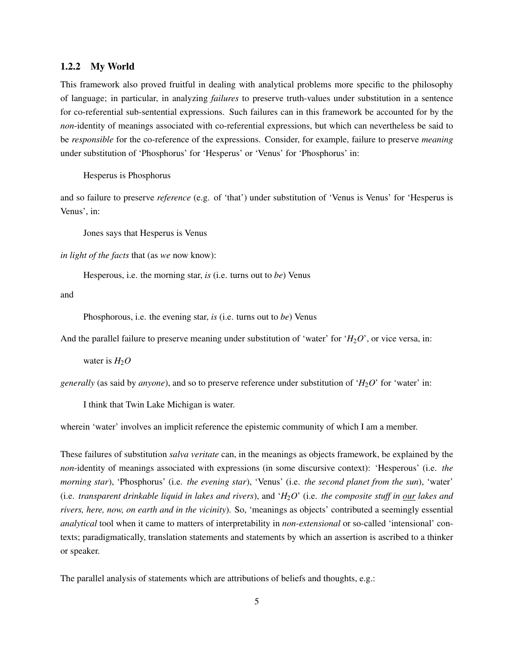#### 1.2.2 My World

This framework also proved fruitful in dealing with analytical problems more specific to the philosophy of language; in particular, in analyzing *failures* to preserve truth-values under substitution in a sentence for co-referential sub-sentential expressions. Such failures can in this framework be accounted for by the *non*-identity of meanings associated with co-referential expressions, but which can nevertheless be said to be *responsible* for the co-reference of the expressions. Consider, for example, failure to preserve *meaning* under substitution of 'Phosphorus' for 'Hesperus' or 'Venus' for 'Phosphorus' in:

Hesperus is Phosphorus

and so failure to preserve *reference* (e.g. of 'that') under substitution of 'Venus is Venus' for 'Hesperus is Venus', in:

Jones says that Hesperus is Venus

*in light of the facts* that (as *we* now know):

Hesperous, i.e. the morning star, *is* (i.e. turns out to *be*) Venus

and

Phosphorous, i.e. the evening star, *is* (i.e. turns out to *be*) Venus

And the parallel failure to preserve meaning under substitution of 'water' for ' $H_2O$ ', or vice versa, in:

water is  $H_2O$ 

*generally* (as said by *anyone*), and so to preserve reference under substitution of '*H*<sub>2</sub>*O*' for 'water' in:

I think that Twin Lake Michigan is water.

wherein 'water' involves an implicit reference the epistemic community of which I am a member.

These failures of substitution *salva veritate* can, in the meanings as objects framework, be explained by the *non*-identity of meanings associated with expressions (in some discursive context): 'Hesperous' (i.e. *the morning star*), 'Phosphorus' (i.e. *the evening star*), 'Venus' (i.e. *the second planet from the sun*), 'water' (i.e. *transparent drinkable liquid in lakes and rivers*), and '*H*2*O*' (i.e. *the composite stuff in our lakes and rivers, here, now, on earth and in the vicinity*). So, 'meanings as objects' contributed a seemingly essential *analytical* tool when it came to matters of interpretability in *non-extensional* or so-called 'intensional' contexts; paradigmatically, translation statements and statements by which an assertion is ascribed to a thinker or speaker.

The parallel analysis of statements which are attributions of beliefs and thoughts, e.g.: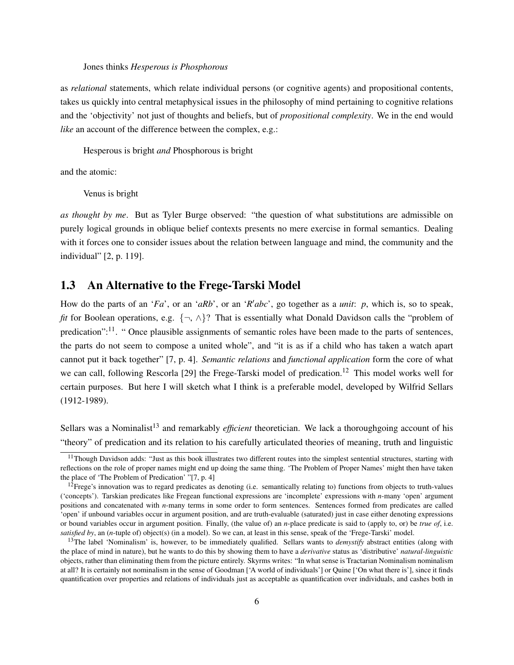#### Jones thinks *Hesperous is Phosphorous*

as *relational* statements, which relate individual persons (or cognitive agents) and propositional contents, takes us quickly into central metaphysical issues in the philosophy of mind pertaining to cognitive relations and the 'objectivity' not just of thoughts and beliefs, but of *propositional complexity*. We in the end would *like* an account of the difference between the complex, e.g.:

Hesperous is bright *and* Phosphorous is bright

and the atomic:

Venus is bright

*as thought by me*. But as Tyler Burge observed: "the question of what substitutions are admissible on purely logical grounds in oblique belief contexts presents no mere exercise in formal semantics. Dealing with it forces one to consider issues about the relation between language and mind, the community and the individual" [2, p. 119].

### 1.3 An Alternative to the Frege-Tarski Model

How do the parts of an '*Fa*', or an '*aRb*', or an '*R'abc*', go together as a *unit*: *p*, which is, so to speak, *fit* for Boolean operations, e.g.  $\{\neg, \wedge\}$ ? That is essentially what Donald Davidson calls the "problem of predication":<sup>11</sup>. " Once plausible assignments of semantic roles have been made to the parts of sentences, the parts do not seem to compose a united whole", and "it is as if a child who has taken a watch apart cannot put it back together" [7, p. 4]. *Semantic relations* and *functional application* form the core of what we can call, following Rescorla [29] the Frege-Tarski model of predication.<sup>12</sup> This model works well for certain purposes. But here I will sketch what I think is a preferable model, developed by Wilfrid Sellars (1912-1989).

Sellars was a Nominalist<sup>13</sup> and remarkably *efficient* theoretician. We lack a thoroughgoing account of his "theory" of predication and its relation to his carefully articulated theories of meaning, truth and linguistic

 $11$ Though Davidson adds: "Just as this book illustrates two different routes into the simplest sentential structures, starting with reflections on the role of proper names might end up doing the same thing. 'The Problem of Proper Names' might then have taken the place of 'The Problem of Predication' "[7, p. 4]

<sup>&</sup>lt;sup>12</sup>Frege's innovation was to regard predicates as denoting (i.e. semantically relating to) functions from objects to truth-values ('concepts'). Tarskian predicates like Fregean functional expressions are 'incomplete' expressions with *n*-many 'open' argument positions and concatenated with *n*-many terms in some order to form sentences. Sentences formed from predicates are called 'open' if unbound variables occur in argument position, and are truth-evaluable (saturated) just in case either denoting expressions or bound variables occur in argument position. Finally, (the value of) an *n*-place predicate is said to (apply to, or) be *true of*, i.e. *satisfied by*, an (*n*-tuple of) object(s) (in a model). So we can, at least in this sense, speak of the 'Frege-Tarski' model.

<sup>&</sup>lt;sup>13</sup>The label 'Nominalism' is, however, to be immediately qualified. Sellars wants to *demystify* abstract entities (along with the place of mind in nature), but he wants to do this by showing them to have a *derivative* status as 'distributive' *natural-linguistic* objects, rather than eliminating them from the picture entirely. Skyrms writes: "In what sense is Tractarian Nominalism nominalism at all? It is certainly not nominalism in the sense of Goodman ['A world of individuals'] or Quine ['On what there is'], since it finds quantification over properties and relations of individuals just as acceptable as quantification over individuals, and cashes both in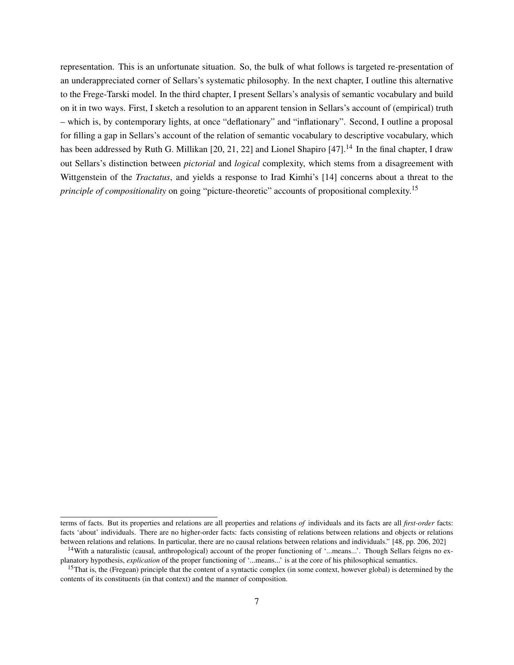representation. This is an unfortunate situation. So, the bulk of what follows is targeted re-presentation of an underappreciated corner of Sellars's systematic philosophy. In the next chapter, I outline this alternative to the Frege-Tarski model. In the third chapter, I present Sellars's analysis of semantic vocabulary and build on it in two ways. First, I sketch a resolution to an apparent tension in Sellars's account of (empirical) truth – which is, by contemporary lights, at once "deflationary" and "inflationary". Second, I outline a proposal for filling a gap in Sellars's account of the relation of semantic vocabulary to descriptive vocabulary, which has been addressed by Ruth G. Millikan [20, 21, 22] and Lionel Shapiro [47].<sup>14</sup> In the final chapter, I draw out Sellars's distinction between *pictorial* and *logical* complexity, which stems from a disagreement with Wittgenstein of the *Tractatus*, and yields a response to Irad Kimhi's [14] concerns about a threat to the *principle of compositionality* on going "picture-theoretic" accounts of propositional complexity.<sup>15</sup>

terms of facts. But its properties and relations are all properties and relations *of* individuals and its facts are all *first-order* facts: facts 'about' individuals. There are no higher-order facts: facts consisting of relations between relations and objects or relations between relations and relations. In particular, there are no causal relations between relations and individuals." [48, pp. 206, 202]

<sup>&</sup>lt;sup>14</sup>With a naturalistic (causal, anthropological) account of the proper functioning of '...means...'. Though Sellars feigns no explanatory hypothesis, *explication* of the proper functioning of '...means...' is at the core of his philosophical semantics.

<sup>&</sup>lt;sup>15</sup>That is, the (Fregean) principle that the content of a syntactic complex (in some context, however global) is determined by the contents of its constituents (in that context) and the manner of composition.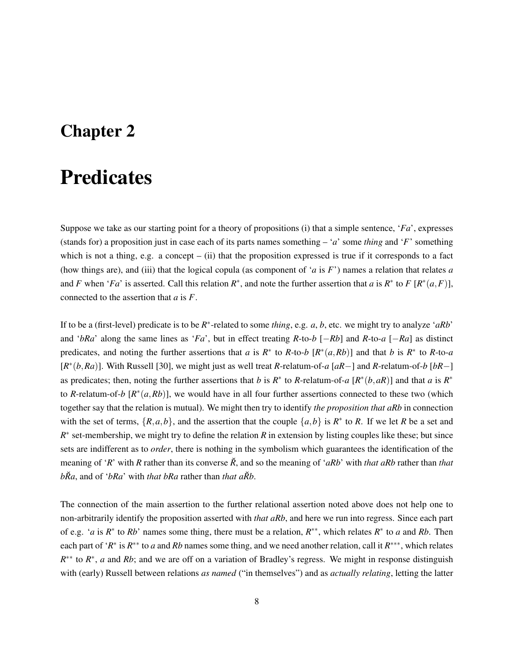### Chapter 2

## **Predicates**

Suppose we take as our starting point for a theory of propositions (i) that a simple sentence, '*Fa*', expresses (stands for) a proposition just in case each of its parts names something – '*a*' some *thing* and '*F*' something which is not a thing, e.g. a concept – (ii) that the proposition expressed is true if it corresponds to a fact (how things are), and (iii) that the logical copula (as component of '*a* is *F*') names a relation that relates *a* and *F* when '*Fa*' is asserted. Call this relation  $R^*$ , and note the further assertion that *a* is  $R^*$  to *F*  $[R^*(a, F)]$ , connected to the assertion that *a* is *F*.

If to be a (first-level) predicate is to be *R* ∗ -related to some *thing*, e.g. *a*, *b*, etc. we might try to analyze '*aRb*' and '*bRa*' along the same lines as '*Fa*', but in effect treating *R*-to-*b* [−*Rb*] and *R*-to-*a* [−*Ra*] as distinct predicates, and noting the further assertions that *a* is  $R^*$  to  $R$ -to-*b*  $[R^*(a,Rb)]$  and that *b* is  $R^*$  to  $R$ -to-*a* [*R* ∗ (*b*,*Ra*)]. With Russell [30], we might just as well treat *R*-relatum-of-*a* [*aR*−] and *R*-relatum-of-*b* [*bR*−] as predicates; then, noting the further assertions that *b* is  $R^*$  to *R*-relatum-of-*a*  $[R^*(b, aR)]$  and that *a* is  $R^*$ to *R*-relatum-of-*b*  $[R^*(a,Rb)]$ , we would have in all four further assertions connected to these two (which together say that the relation is mutual). We might then try to identify *the proposition that aRb* in connection with the set of terms,  $\{R, a, b\}$ , and the assertion that the couple  $\{a, b\}$  is  $R^*$  to  $R$ . If we let  $R$  be a set and  $R^*$  set-membership, we might try to define the relation  $R$  in extension by listing couples like these; but since sets are indifferent as to *order*, there is nothing in the symbolism which guarantees the identification of the meaning of '*R*' with *R* rather than its converse *R*˘, and so the meaning of '*aRb*' with *that aRb* rather than *that bRa*, and of '*bRa*' with *that bRa* rather than *that aRb*.

The connection of the main assertion to the further relational assertion noted above does not help one to non-arbitrarily identify the proposition asserted with *that aRb*, and here we run into regress. Since each part of e.g. '*a* is  $R^*$  to  $Rb$ ' names some thing, there must be a relation,  $R^{**}$ , which relates  $R^*$  to *a* and  $Rb$ . Then each part of '*R*<sup>\*</sup> is *R*<sup>\*\*</sup> to *a* and *Rb* names some thing, and we need another relation, call it *R*<sup>\*\*\*</sup>, which relates *R*<sup>\*\*</sup> to *R*<sup>\*</sup>, *a* and *Rb*; and we are off on a variation of Bradley's regress. We might in response distinguish with (early) Russell between relations *as named* ("in themselves") and as *actually relating*, letting the latter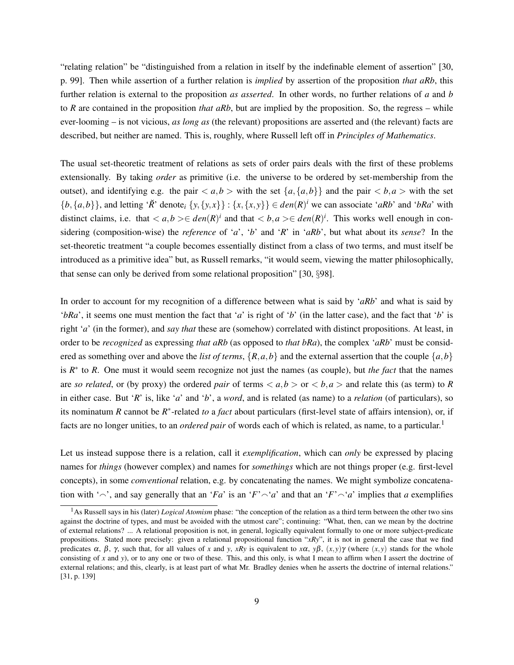"relating relation" be "distinguished from a relation in itself by the indefinable element of assertion" [30, p. 99]. Then while assertion of a further relation is *implied* by assertion of the proposition *that aRb*, this further relation is external to the proposition *as asserted*. In other words, no further relations of *a* and *b* to *R* are contained in the proposition *that aRb*, but are implied by the proposition. So, the regress – while ever-looming – is not vicious, *as long as* (the relevant) propositions are asserted and (the relevant) facts are described, but neither are named. This is, roughly, where Russell left off in *Principles of Mathematics*.

The usual set-theoretic treatment of relations as sets of order pairs deals with the first of these problems extensionally. By taking *order* as primitive (i.e. the universe to be ordered by set-membership from the outset), and identifying e.g. the pair  $\langle a,b \rangle$  with the set  $\{a,\{a,b\}\}\$  and the pair  $\langle b,a \rangle$  with the set  $\{b, \{a, b\}\}\$ , and letting '*R*<sup>'</sup> denote<sub>i</sub>  $\{y, \{y, x\}\}$  :  $\{x, \{x, y\}\}\in den(R)^i$  we can associate '*aRb*' and '*bRa*' with distinct claims, i.e. that  $\langle a,b\rangle \in \text{den}(R)^i$  and that  $\langle b,a\rangle \in \text{den}(R)^i$ . This works well enough in considering (composition-wise) the *reference* of '*a*', '*b*' and '*R*' in '*aRb*', but what about its *sense*? In the set-theoretic treatment "a couple becomes essentially distinct from a class of two terms, and must itself be introduced as a primitive idea" but, as Russell remarks, "it would seem, viewing the matter philosophically, that sense can only be derived from some relational proposition" [30, §98].

In order to account for my recognition of a difference between what is said by '*aRb*' and what is said by '*bRa*', it seems one must mention the fact that '*a*' is right of '*b*' (in the latter case), and the fact that '*b*' is right '*a*' (in the former), and *say that* these are (somehow) correlated with distinct propositions. At least, in order to be *recognized* as expressing *that aRb* (as opposed to *that bRa*), the complex '*aRb*' must be considered as something over and above the *list of terms*,  $\{R, a, b\}$  and the external assertion that the couple  $\{a, b\}$ is *R* ∗ to *R*. One must it would seem recognize not just the names (as couple), but *the fact* that the names are *so related*, or (by proxy) the ordered *pair* of terms  $\langle a,b \rangle$  or  $\langle b,a \rangle$  and relate this (as term) to *R* in either case. But '*R*' is, like '*a*' and '*b*', a *word*, and is related (as name) to a *relation* (of particulars), so its nominatum *R* cannot be *R* ∗ -related *to* a *fact* about particulars (first-level state of affairs intension), or, if facts are no longer unities, to an *ordered pair* of words each of which is related, as name, to a particular.<sup>1</sup>

Let us instead suppose there is a relation, call it *exemplification*, which can *only* be expressed by placing names for *things* (however complex) and names for *somethings* which are not things proper (e.g. first-level concepts), in some *conventional* relation, e.g. by concatenating the names. We might symbolize concatenation with ' $\sim$ ', and say generally that an '*Fa*' is an '*F*' $\sim$ '*a*' and that an '*F*' $\sim$ '*a*' implies that *a* exemplifies

<sup>&</sup>lt;sup>1</sup>As Russell says in his (later) *Logical Atomism* phase: "the conception of the relation as a third term between the other two sins against the doctrine of types, and must be avoided with the utmost care"; continuing: "What, then, can we mean by the doctrine of external relations? ... A relational proposition is not, in general, logically equivalent formally to one or more subject-predicate propositions. Stated more precisely: given a relational propositional function "*xRy*", it is not in general the case that we find predicates  $\alpha$ ,  $\beta$ ,  $\gamma$ , such that, for all values of *x* and *y*, *xRy* is equivalent to *x* $\alpha$ ,  $\gamma\beta$ ,  $(x, y)\gamma$  (where  $(x, y)$  stands for the whole consisting of *x* and *y*), or to any one or two of these. This, and this only, is what I mean to affirm when I assert the doctrine of external relations; and this, clearly, is at least part of what Mr. Bradley denies when he asserts the doctrine of internal relations." [31, p. 139]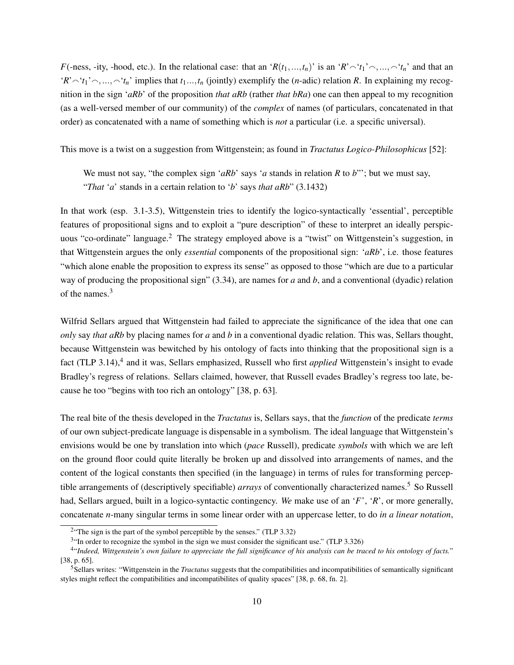*F*(-ness, -ity, -hood, etc.). In the relational case: that an '*R*( $t_1$ ,..., $t_n$ )' is an '*R*' $\sim$ ' $t_1$ ' $\sim$ ,..., $\sim$ ' $t_n$ ' and that an  $'R' \sim 't_1' \sim \ldots \sim 't_n'$  implies that  $t_1 \ldots, t_n$  (jointly) exemplify the (*n*-adic) relation *R*. In explaining my recognition in the sign '*aRb*' of the proposition *that aRb* (rather *that bRa*) one can then appeal to my recognition (as a well-versed member of our community) of the *complex* of names (of particulars, concatenated in that order) as concatenated with a name of something which is *not* a particular (i.e. a specific universal).

This move is a twist on a suggestion from Wittgenstein; as found in *Tractatus Logico-Philosophicus* [52]:

We must not say, "the complex sign '*aRb*' says '*a* stands in relation *R* to *b*"'; but we must say, "*That* '*a*' stands in a certain relation to '*b*' says *that aRb*" (3.1432)

In that work (esp. 3.1-3.5), Wittgenstein tries to identify the logico-syntactically 'essential', perceptible features of propositional signs and to exploit a "pure description" of these to interpret an ideally perspicuous "co-ordinate" language.<sup>2</sup> The strategy employed above is a "twist" on Wittgenstein's suggestion, in that Wittgenstein argues the only *essential* components of the propositional sign: '*aRb*', i.e. those features "which alone enable the proposition to express its sense" as opposed to those "which are due to a particular way of producing the propositional sign" (3.34), are names for *a* and *b*, and a conventional (dyadic) relation of the names.<sup>3</sup>

Wilfrid Sellars argued that Wittgenstein had failed to appreciate the significance of the idea that one can *only* say *that aRb* by placing names for *a* and *b* in a conventional dyadic relation. This was, Sellars thought, because Wittgenstein was bewitched by his ontology of facts into thinking that the propositional sign is a fact (TLP 3.14),<sup>4</sup> and it was, Sellars emphasized, Russell who first *applied* Wittgenstein's insight to evade Bradley's regress of relations. Sellars claimed, however, that Russell evades Bradley's regress too late, because he too "begins with too rich an ontology" [38, p. 63].

The real bite of the thesis developed in the *Tractatus* is, Sellars says, that the *function* of the predicate *terms* of our own subject-predicate language is dispensable in a symbolism. The ideal language that Wittgenstein's envisions would be one by translation into which (*pace* Russell), predicate *symbols* with which we are left on the ground floor could quite literally be broken up and dissolved into arrangements of names, and the content of the logical constants then specified (in the language) in terms of rules for transforming perceptible arrangements of (descriptively specifiable) *arrays* of conventionally characterized names.<sup>5</sup> So Russell had, Sellars argued, built in a logico-syntactic contingency. *We* make use of an '*F*', '*R*', or more generally, concatenate *n*-many singular terms in some linear order with an uppercase letter, to do *in a linear notation*,

 $2^{\circ}$ The sign is the part of the symbol perceptible by the senses." (TLP 3.32)

 $3$ "In order to recognize the symbol in the sign we must consider the significant use." (TLP 3.326)

<sup>4</sup> "*Indeed, Wittgenstein's own failure to appreciate the full significance of his analysis can be traced to his ontology of facts.*" [38, p. 65].

<sup>5</sup>Sellars writes: "Wittgenstein in the *Tractatus* suggests that the compatibilities and incompatibilities of semantically significant styles might reflect the compatibilities and incompatibilites of quality spaces" [38, p. 68, fn. 2].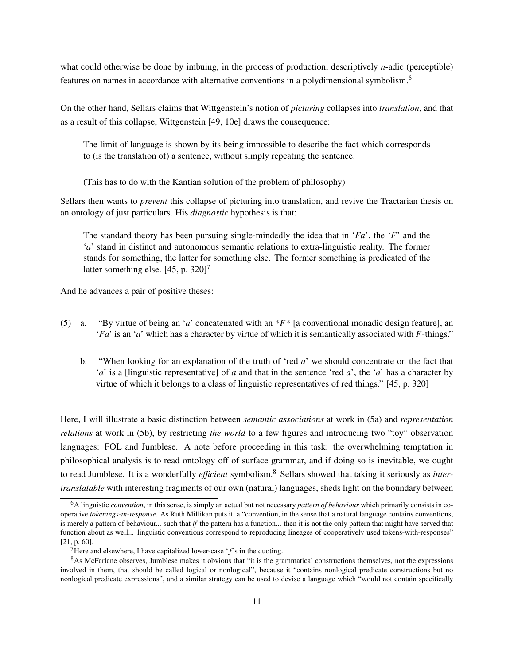what could otherwise be done by imbuing, in the process of production, descriptively *n*-adic (perceptible) features on names in accordance with alternative conventions in a polydimensional symbolism.<sup>6</sup>

On the other hand, Sellars claims that Wittgenstein's notion of *picturing* collapses into *translation*, and that as a result of this collapse, Wittgenstein [49, 10e] draws the consequence:

The limit of language is shown by its being impossible to describe the fact which corresponds to (is the translation of) a sentence, without simply repeating the sentence.

(This has to do with the Kantian solution of the problem of philosophy)

Sellars then wants to *prevent* this collapse of picturing into translation, and revive the Tractarian thesis on an ontology of just particulars. His *diagnostic* hypothesis is that:

The standard theory has been pursuing single-mindedly the idea that in '*Fa*', the '*F*' and the '*a*' stand in distinct and autonomous semantic relations to extra-linguistic reality. The former stands for something, the latter for something else. The former something is predicated of the latter something else.  $[45, p. 320]$ <sup>7</sup>

And he advances a pair of positive theses:

- (5) a. "By virtue of being an '*a*' concatenated with an \**F*\* [a conventional monadic design feature], an '*Fa*' is an '*a*' which has a character by virtue of which it is semantically associated with *F*-things."
	- b. "When looking for an explanation of the truth of 'red *a*' we should concentrate on the fact that '*a*' is a [linguistic representative] of *a* and that in the sentence 'red *a*', the '*a*' has a character by virtue of which it belongs to a class of linguistic representatives of red things." [45, p. 320]

Here, I will illustrate a basic distinction between *semantic associations* at work in (5a) and *representation relations* at work in (5b), by restricting *the world* to a few figures and introducing two "toy" observation languages: FOL and Jumblese. A note before proceeding in this task: the overwhelming temptation in philosophical analysis is to read ontology off of surface grammar, and if doing so is inevitable, we ought to read Jumblese. It is a wonderfully *efficient* symbolism.<sup>8</sup> Sellars showed that taking it seriously as *intertranslatable* with interesting fragments of our own (natural) languages, sheds light on the boundary between

<sup>6</sup>A linguistic *convention*, in this sense, is simply an actual but not necessary *pattern of behaviour* which primarily consists in cooperative *tokenings-in-response*. As Ruth Millikan puts it, a "convention, in the sense that a natural language contains conventions, is merely a pattern of behaviour... such that *if* the pattern has a function... then it is not the only pattern that might have served that function about as well... linguistic conventions correspond to reproducing lineages of cooperatively used tokens-with-responses" [21, p. 60].

<sup>7</sup>Here and elsewhere, I have capitalized lower-case '*f*'s in the quoting.

<sup>&</sup>lt;sup>8</sup>As McFarlane observes, Jumblese makes it obvious that "it is the grammatical constructions themselves, not the expressions involved in them, that should be called logical or nonlogical", because it "contains nonlogical predicate constructions but no nonlogical predicate expressions", and a similar strategy can be used to devise a language which "would not contain specifically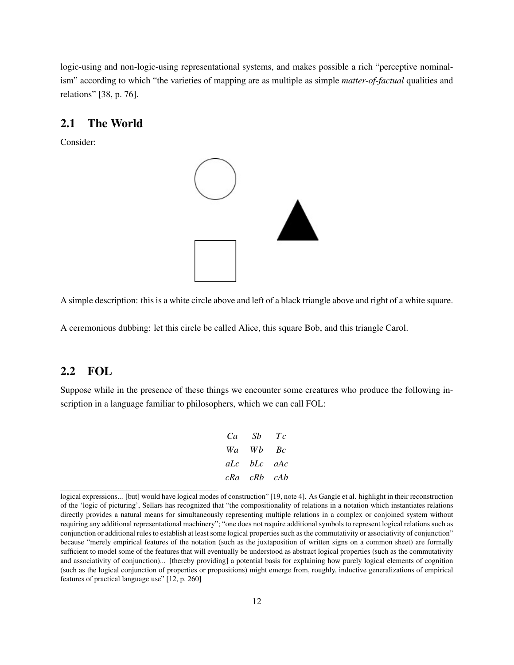logic-using and non-logic-using representational systems, and makes possible a rich "perceptive nominalism" according to which "the varieties of mapping are as multiple as simple *matter-of-factual* qualities and relations" [38, p. 76].

### 2.1 The World

Consider:



A simple description: this is a white circle above and left of a black triangle above and right of a white square.

A ceremonious dubbing: let this circle be called Alice, this square Bob, and this triangle Carol.

### 2.2 FOL

Suppose while in the presence of these things we encounter some creatures who produce the following inscription in a language familiar to philosophers, which we can call FOL:

| Ca  | Sb  | Ŧс  |
|-----|-----|-----|
| Wa  | Wh  | Bс  |
| aLc | bLc | aAc |
| cRa | cRb | cAb |

logical expressions... [but] would have logical modes of construction" [19, note 4]. As Gangle et al. highlight in their reconstruction of the 'logic of picturing', Sellars has recognized that "the compositionality of relations in a notation which instantiates relations directly provides a natural means for simultaneously representing multiple relations in a complex or conjoined system without requiring any additional representational machinery"; "one does not require additional symbols to represent logical relations such as conjunction or additional rules to establish at least some logical properties such as the commutativity or associativity of conjunction" because "merely empirical features of the notation (such as the juxtaposition of written signs on a common sheet) are formally sufficient to model some of the features that will eventually be understood as abstract logical properties (such as the commutativity and associativity of conjunction)... [thereby providing] a potential basis for explaining how purely logical elements of cognition (such as the logical conjunction of properties or propositions) might emerge from, roughly, inductive generalizations of empirical features of practical language use" [12, p. 260]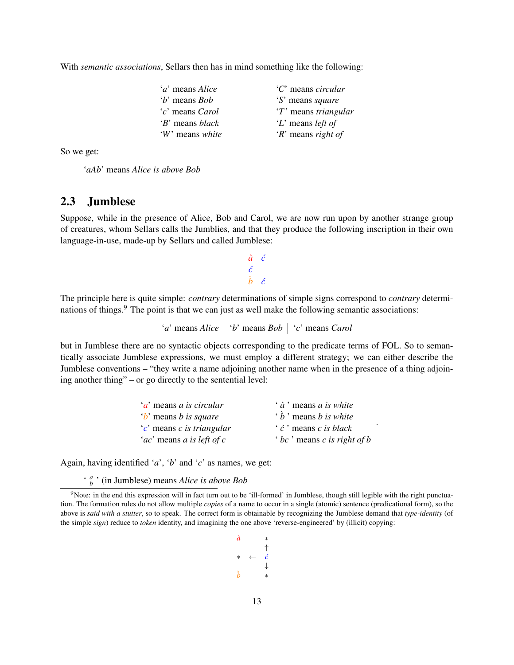With *semantic associations*, Sellars then has in mind something like the following:

| ' <i>a</i> ' means <i>Alice</i> | 'C' means circular       |
|---------------------------------|--------------------------|
| <i>'b'</i> means <i>Bob</i>     | 'S' means square         |
| <i>c</i> ' means <i>Carol</i>   | 'T' means triangular     |
| 'B' means black                 | 'L' means <i>left of</i> |
| 'W' means white                 | $R$ means right of       |

So we get:

'*aAb*' means *Alice is above Bob*

### 2.3 Jumblese

Suppose, while in the presence of Alice, Bob and Carol, we are now run upon by another strange group of creatures, whom Sellars calls the Jumblies, and that they produce the following inscription in their own language-in-use, made-up by Sellars and called Jumblese:

> $\dot{a}$   $\dot{c}$ *c*´  $\dot{b}$  *c*

The principle here is quite simple: *contrary* determinations of simple signs correspond to *contrary* determinations of things.<sup>9</sup> The point is that we can just as well make the following semantic associations:

'*a*' means *Alice* '*b*' means *Bob* '*c*' means *Carol*

but in Jumblese there are no syntactic objects corresponding to the predicate terms of FOL. So to semantically associate Jumblese expressions, we must employ a different strategy; we can either describe the Jumblese conventions – "they write a name adjoining another name when in the presence of a thing adjoining another thing" – or go directly to the sentential level:

| <i>'a'</i> means <i>a</i> is circular | $\hat{a}$ means <i>a</i> is white        |
|---------------------------------------|------------------------------------------|
| <i>b</i> means <i>b</i> is square     | $\hat{b}$ means <i>b</i> is white        |
| $c'$ means c is triangular            | $\cdot$ $\acute{c}$ means c is black     |
| 'ac' means a is left of c             | $\cdot$ bc $\cdot$ means c is right of b |

.

Again, having identified '*a*', '*b*' and '*c*' as names, we get:

' *a b* ' (in Jumblese) means *Alice is above Bob*

```
a` ∗
     ↑
∗ ← c´
     ↓
b` ∗
```
<sup>&</sup>lt;sup>9</sup>Note: in the end this expression will in fact turn out to be 'ill-formed' in Jumblese, though still legible with the right punctuation. The formation rules do not allow multiple *copies* of a name to occur in a single (atomic) sentence (predicational form), so the above is *said with a stutter*, so to speak. The correct form is obtainable by recognizing the Jumblese demand that *type-identity* (of the simple *sign*) reduce to *token* identity, and imagining the one above 'reverse-engineered' by (illicit) copying: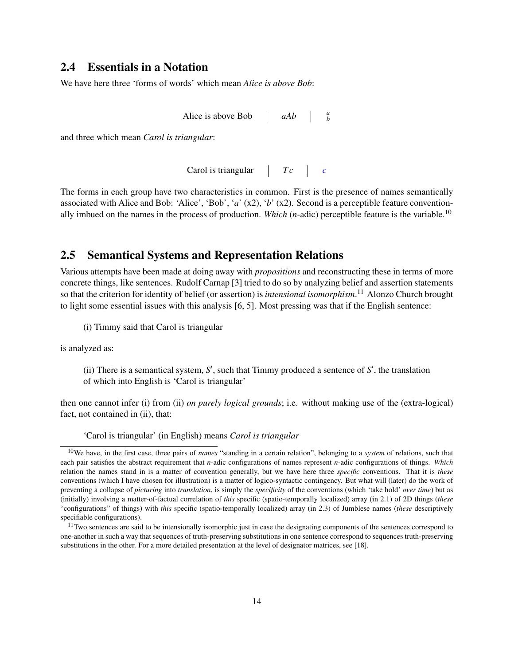### 2.4 Essentials in a Notation

We have here three 'forms of words' which mean *Alice is above Bob*:

| Alice is above Bob | aAb |  |  |
|--------------------|-----|--|--|
|--------------------|-----|--|--|

and three which mean *Carol is triangular*:

Carol is triangular  $\begin{array}{|c|c|c|c|c|} \hline \end{array}$  *C* 

The forms in each group have two characteristics in common. First is the presence of names semantically associated with Alice and Bob: 'Alice', 'Bob', '*a*' (x2), '*b*' (x2). Second is a perceptible feature conventionally imbued on the names in the process of production. *Which* (*n*-adic) perceptible feature is the variable.<sup>10</sup>

### 2.5 Semantical Systems and Representation Relations

Various attempts have been made at doing away with *propositions* and reconstructing these in terms of more concrete things, like sentences. Rudolf Carnap [3] tried to do so by analyzing belief and assertion statements so that the criterion for identity of belief (or assertion) is *intensional isomorphism*. <sup>11</sup> Alonzo Church brought to light some essential issues with this analysis [6, 5]. Most pressing was that if the English sentence:

(i) Timmy said that Carol is triangular

is analyzed as:

(ii) There is a semantical system,  $S'$ , such that Timmy produced a sentence of  $S'$ , the translation of which into English is 'Carol is triangular'

then one cannot infer (i) from (ii) *on purely logical grounds*; i.e. without making use of the (extra-logical) fact, not contained in (ii), that:

'Carol is triangular' (in English) means *Carol is triangular*

<sup>10</sup>We have, in the first case, three pairs of *names* "standing in a certain relation", belonging to a *system* of relations, such that each pair satisfies the abstract requirement that *n*-adic configurations of names represent *n*-adic configurations of things. *Which* relation the names stand in is a matter of convention generally, but we have here three *specific* conventions. That it is *these* conventions (which I have chosen for illustration) is a matter of logico-syntactic contingency. But what will (later) do the work of preventing a collapse of *picturing* into *translation*, is simply the *specificity* of the conventions (which 'take hold' *over time*) but as (initially) involving a matter-of-factual correlation of *this* specific (spatio-temporally localized) array (in 2.1) of 2D things (*these* "configurations" of things) with *this* specific (spatio-temporally localized) array (in 2.3) of Jumblese names (*these* descriptively specifiable configurations).

<sup>&</sup>lt;sup>11</sup>Two sentences are said to be intensionally isomorphic just in case the designating components of the sentences correspond to one-another in such a way that sequences of truth-preserving substitutions in one sentence correspond to sequences truth-preserving substitutions in the other. For a more detailed presentation at the level of designator matrices, see [18].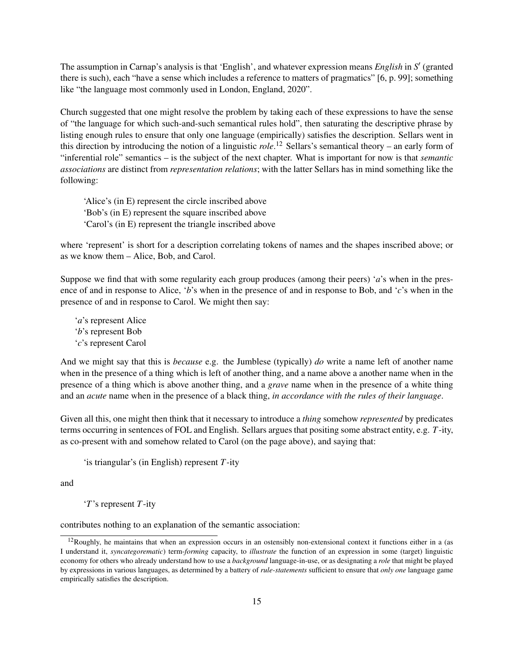The assumption in Carnap's analysis is that 'English', and whatever expression means *English* in *S* 0 (granted there is such), each "have a sense which includes a reference to matters of pragmatics" [6, p. 99]; something like "the language most commonly used in London, England, 2020".

Church suggested that one might resolve the problem by taking each of these expressions to have the sense of "the language for which such-and-such semantical rules hold", then saturating the descriptive phrase by listing enough rules to ensure that only one language (empirically) satisfies the description. Sellars went in this direction by introducing the notion of a linguistic *role*. <sup>12</sup> Sellars's semantical theory – an early form of "inferential role" semantics – is the subject of the next chapter. What is important for now is that *semantic associations* are distinct from *representation relations*; with the latter Sellars has in mind something like the following:

'Alice's (in E) represent the circle inscribed above 'Bob's (in E) represent the square inscribed above 'Carol's (in E) represent the triangle inscribed above

where 'represent' is short for a description correlating tokens of names and the shapes inscribed above; or as we know them – Alice, Bob, and Carol.

Suppose we find that with some regularity each group produces (among their peers) '*a*'s when in the presence of and in response to Alice, '*b*'s when in the presence of and in response to Bob, and '*c*'s when in the presence of and in response to Carol. We might then say:

'*a*'s represent Alice '*b*'s represent Bob '*c*'s represent Carol

And we might say that this is *because* e.g. the Jumblese (typically) *do* write a name left of another name when in the presence of a thing which is left of another thing, and a name above a another name when in the presence of a thing which is above another thing, and a *grave* name when in the presence of a white thing and an *acute* name when in the presence of a black thing, *in accordance with the rules of their language*.

Given all this, one might then think that it necessary to introduce a *thing* somehow *represented* by predicates terms occurring in sentences of FOL and English. Sellars argues that positing some abstract entity, e.g. *T*-ity, as co-present with and somehow related to Carol (on the page above), and saying that:

'is triangular's (in English) represent *T*-ity

and

'*T*'s represent *T*-ity

contributes nothing to an explanation of the semantic association:

 $12$ Roughly, he maintains that when an expression occurs in an ostensibly non-extensional context it functions either in a (as I understand it, *syncategorematic*) term-*forming* capacity, to *illustrate* the function of an expression in some (target) linguistic economy for others who already understand how to use a *background* language-in-use, or as designating a *role* that might be played by expressions in various languages, as determined by a battery of *rule-statements* sufficient to ensure that *only one* language game empirically satisfies the description.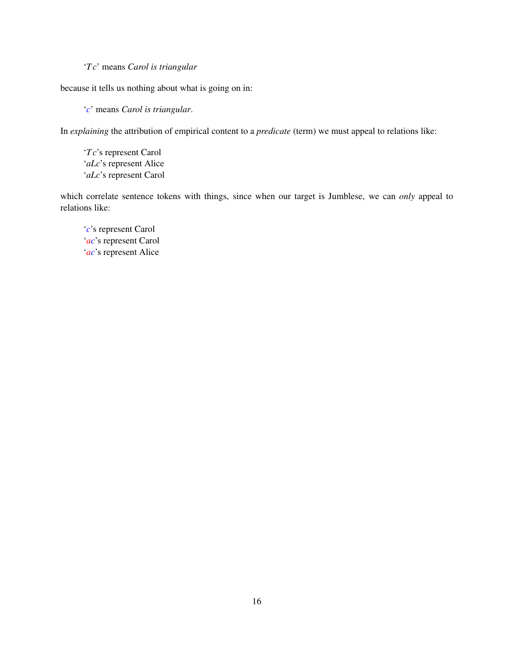### '*T c*' means *Carol is triangular*

because it tells us nothing about what is going on in:

'*c*' means *Carol is triangular*.

In *explaining* the attribution of empirical content to a *predicate* (term) we must appeal to relations like:

'*T c*'s represent Carol '*aLc*'s represent Alice '*aLc*'s represent Carol

which correlate sentence tokens with things, since when our target is Jumblese, we can *only* appeal to relations like:

'*c*'s represent Carol '*ac*'s represent Carol '*ac*'s represent Alice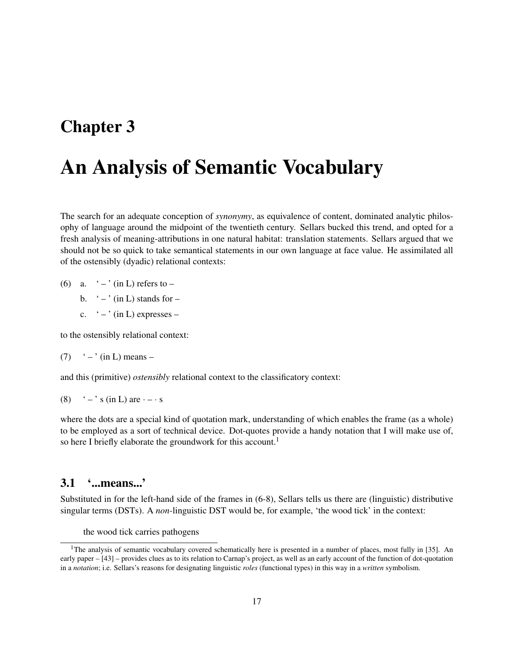### Chapter 3

# An Analysis of Semantic Vocabulary

The search for an adequate conception of *synonymy*, as equivalence of content, dominated analytic philosophy of language around the midpoint of the twentieth century. Sellars bucked this trend, and opted for a fresh analysis of meaning-attributions in one natural habitat: translation statements. Sellars argued that we should not be so quick to take semantical statements in our own language at face value. He assimilated all of the ostensibly (dyadic) relational contexts:

- (6) a.  $\left(-\right)$  (in L) refers to
	- b.  $\degree$   $\degree$  (in L) stands for –
	- c.  $\left( \right)$  (in L) expresses –

to the ostensibly relational context:

$$
(7) \t'-' \t (in L) means -
$$

and this (primitive) *ostensibly* relational context to the classificatory context:

(8)  $\cdot$  –  $\cdot$  s (in L) are  $\cdot$  –  $\cdot$  s

where the dots are a special kind of quotation mark, understanding of which enables the frame (as a whole) to be employed as a sort of technical device. Dot-quotes provide a handy notation that I will make use of, so here I briefly elaborate the groundwork for this account.<sup>1</sup>

### 3.1 '...means...'

Substituted in for the left-hand side of the frames in (6-8), Sellars tells us there are (linguistic) distributive singular terms (DSTs). A *non-*linguistic DST would be, for example, 'the wood tick' in the context:

the wood tick carries pathogens

<sup>&</sup>lt;sup>1</sup>The analysis of semantic vocabulary covered schematically here is presented in a number of places, most fully in [35]. An early paper – [43] – provides clues as to its relation to Carnap's project, as well as an early account of the function of dot-quotation in a *notation*; i.e. Sellars's reasons for designating linguistic *roles* (functional types) in this way in a *written* symbolism.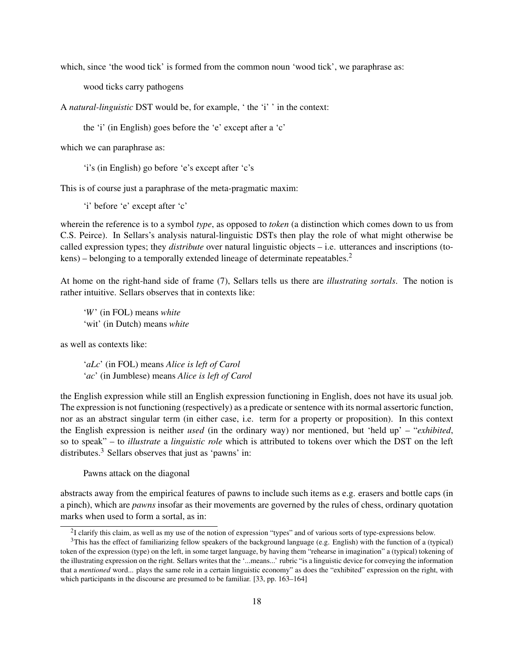which, since 'the wood tick' is formed from the common noun 'wood tick', we paraphrase as:

wood ticks carry pathogens

A *natural-linguistic* DST would be, for example, ' the 'i' ' in the context:

the 'i' (in English) goes before the 'e' except after a 'c'

which we can paraphrase as:

'i's (in English) go before 'e's except after 'c's

This is of course just a paraphrase of the meta-pragmatic maxim:

'i' before 'e' except after 'c'

wherein the reference is to a symbol *type*, as opposed to *token* (a distinction which comes down to us from C.S. Peirce). In Sellars's analysis natural-linguistic DSTs then play the role of what might otherwise be called expression types; they *distribute* over natural linguistic objects – i.e. utterances and inscriptions (to $kens$ ) – belonging to a temporally extended lineage of determinate repeatables.<sup>2</sup>

At home on the right-hand side of frame (7), Sellars tells us there are *illustrating sortals*. The notion is rather intuitive. Sellars observes that in contexts like:

'*W*' (in FOL) means *white* 'wit' (in Dutch) means *white*

as well as contexts like:

'*aLc*' (in FOL) means *Alice is left of Carol* '*ac*' (in Jumblese) means *Alice is left of Carol*

the English expression while still an English expression functioning in English, does not have its usual job. The expression is not functioning (respectively) as a predicate or sentence with its normal assertoric function, nor as an abstract singular term (in either case, i.e. term for a property or proposition). In this context the English expression is neither *used* (in the ordinary way) nor mentioned, but 'held up' – "*exhibited*, so to speak" – to *illustrate* a *linguistic role* which is attributed to tokens over which the DST on the left distributes.<sup>3</sup> Sellars observes that just as 'pawns' in:

Pawns attack on the diagonal

abstracts away from the empirical features of pawns to include such items as e.g. erasers and bottle caps (in a pinch), which are *pawns* insofar as their movements are governed by the rules of chess, ordinary quotation marks when used to form a sortal, as in:

 $2I$  clarify this claim, as well as my use of the notion of expression "types" and of various sorts of type-expressions below.

 $3$ This has the effect of familiarizing fellow speakers of the background language (e.g. English) with the function of a (typical) token of the expression (type) on the left, in some target language, by having them "rehearse in imagination" a (typical) tokening of the illustrating expression on the right. Sellars writes that the '...means...' rubric "is a linguistic device for conveying the information that a *mentioned* word... plays the same role in a certain linguistic economy" as does the "exhibited" expression on the right, with which participants in the discourse are presumed to be familiar. [33, pp. 163–164]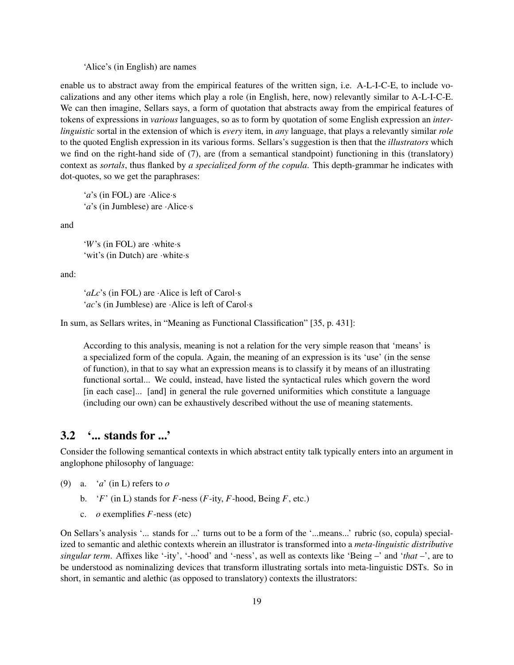'Alice's (in English) are names

enable us to abstract away from the empirical features of the written sign, i.e. A-L-I-C-E, to include vocalizations and any other items which play a role (in English, here, now) relevantly similar to A-L-I-C-E. We can then imagine, Sellars says, a form of quotation that abstracts away from the empirical features of tokens of expressions in *various* languages, so as to form by quotation of some English expression an *interlinguistic* sortal in the extension of which is *every* item, in *any* language, that plays a relevantly similar *role* to the quoted English expression in its various forms. Sellars's suggestion is then that the *illustrators* which we find on the right-hand side of (7), are (from a semantical standpoint) functioning in this (translatory) context as *sortals*, thus flanked by *a specialized form of the copula*. This depth-grammar he indicates with dot-quotes, so we get the paraphrases:

'*a*'s (in FOL) are ·Alice·s '*a*'s (in Jumblese) are ·Alice·s

and

'*W*'s (in FOL) are ·white·s 'wit's (in Dutch) are ·white·s

and:

'*aLc*'s (in FOL) are ·Alice is left of Carol·s '*ac*'s (in Jumblese) are ·Alice is left of Carol·s

In sum, as Sellars writes, in "Meaning as Functional Classification" [35, p. 431]:

According to this analysis, meaning is not a relation for the very simple reason that 'means' is a specialized form of the copula. Again, the meaning of an expression is its 'use' (in the sense of function), in that to say what an expression means is to classify it by means of an illustrating functional sortal... We could, instead, have listed the syntactical rules which govern the word [in each case]... [and] in general the rule governed uniformities which constitute a language (including our own) can be exhaustively described without the use of meaning statements.

### 3.2 '... stands for ...'

Consider the following semantical contexts in which abstract entity talk typically enters into an argument in anglophone philosophy of language:

(9) a. '*a*' (in L) refers to *o*

- b. ' $F'$  (in L) stands for  $F$ -ness ( $F$ -ity,  $F$ -hood, Being  $F$ , etc.)
- c. *o* exemplifies *F*-ness (etc)

On Sellars's analysis '... stands for ...' turns out to be a form of the '...means...' rubric (so, copula) specialized to semantic and alethic contexts wherein an illustrator is transformed into a *meta-linguistic distributive singular term*. Affixes like '-ity', '-hood' and '-ness', as well as contexts like 'Being –' and '*that* –', are to be understood as nominalizing devices that transform illustrating sortals into meta-linguistic DSTs. So in short, in semantic and alethic (as opposed to translatory) contexts the illustrators: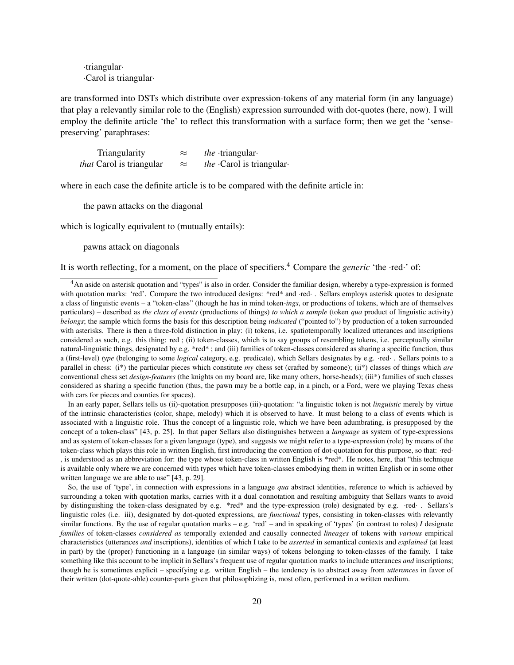·triangular· ·Carol is triangular·

are transformed into DSTs which distribute over expression-tokens of any material form (in any language) that play a relevantly similar role to the (English) expression surrounded with dot-quotes (here, now). I will employ the definite article 'the' to reflect this transformation with a surface form; then we get the 'sensepreserving' paraphrases:

| Triangularity                   | $\approx$ | <i>the</i> $\cdot$ triangular $\cdot$ |
|---------------------------------|-----------|---------------------------------------|
| <i>that</i> Carol is triangular | $\approx$ | <i>the</i> $-Carol$ is triangular     |

where in each case the definite article is to be compared with the definite article in:

the pawn attacks on the diagonal

which is logically equivalent to (mutually entails):

pawns attack on diagonals

It is worth reflecting, for a moment, on the place of specifiers.<sup>4</sup> Compare the *generic* 'the ·red·' of:

In an early paper, Sellars tells us (ii)-quotation presupposes (iii)-quotation: "a linguistic token is not *linguistic* merely by virtue of the intrinsic characteristics (color, shape, melody) which it is observed to have. It must belong to a class of events which is associated with a linguistic role. Thus the concept of a linguistic role, which we have been adumbrating, is presupposed by the concept of a token-class" [43, p. 25]. In that paper Sellars also distinguishes between a *language* as system of type-expressions and as system of token-classes for a given language (type), and suggests we might refer to a type-expression (role) by means of the token-class which plays this role in written English, first introducing the convention of dot-quotation for this purpose, so that: ·red· , is understood as an abbreviation for: the type whose token-class in written English is \*red\*. He notes, here, that "this technique is available only where we are concerned with types which have token-classes embodying them in written English or in some other written language we are able to use" [43, p. 29].

So, the use of 'type', in connection with expressions in a language *qua* abstract identities, reference to which is achieved by surrounding a token with quotation marks, carries with it a dual connotation and resulting ambiguity that Sellars wants to avoid by distinguishing the token-class designated by e.g. \*red\* and the type-expression (role) designated by e.g. ·red· . Sellars's linguistic roles (i.e. iii), designated by dot-quoted expressions, are *functional* types, consisting in token-classes with relevantly similar functions. By the use of regular quotation marks – e.g. 'red' – and in speaking of 'types' (in contrast to roles)  $I$  designate *families* of token-classes *considered as* temporally extended and causally connected *lineages* of tokens with *various* empirical characteristics (utterances *and* inscriptions), identities of which I take to be *asserted* in semantical contexts and *explained* (at least in part) by the (proper) functioning in a language (in similar ways) of tokens belonging to token-classes of the family. I take something like this account to be implicit in Sellars's frequent use of regular quotation marks to include utterances *and* inscriptions; though he is sometimes explicit – specifying e.g. written English – the tendency is to abstract away from *utterances* in favor of their written (dot-quote-able) counter-parts given that philosophizing is, most often, performed in a written medium.

<sup>4</sup>An aside on asterisk quotation and "types" is also in order. Consider the familiar design, whereby a type-expression is formed with quotation marks: 'red'. Compare the two introduced designs: \*red\* and ·red· . Sellars employs asterisk quotes to designate a class of linguistic events – a "token-class" (though he has in mind token-*ings*, or productions of tokens, which are of themselves particulars) – described as *the class of events* (productions of things) *to which a sample* (token *qua* product of linguistic activity) *belongs*; the sample which forms the basis for this description being *indicated* ("pointed to") by production of a token surrounded with asterisks. There is then a three-fold distinction in play: (i) tokens, i.e. spatiotemporally localized utterances and inscriptions considered as such, e.g. this thing: red ; (ii) token-classes, which is to say groups of resembling tokens, i.e. perceptually similar natural-linguistic things, designated by e.g. \*red\* ; and (iii) families of token-classes considered as sharing a specific function, thus a (first-level) *type* (belonging to some *logical* category, e.g. predicate), which Sellars designates by e.g. ·red· . Sellars points to a parallel in chess: (i\*) the particular pieces which constitute *my* chess set (crafted by someone); (ii\*) classes of things which *are* conventional chess set *design-features* (the knights on my board are, like many others, horse-heads); (iii\*) families of such classes considered as sharing a specific function (thus, the pawn may be a bottle cap, in a pinch, or a Ford, were we playing Texas chess with cars for pieces and counties for spaces).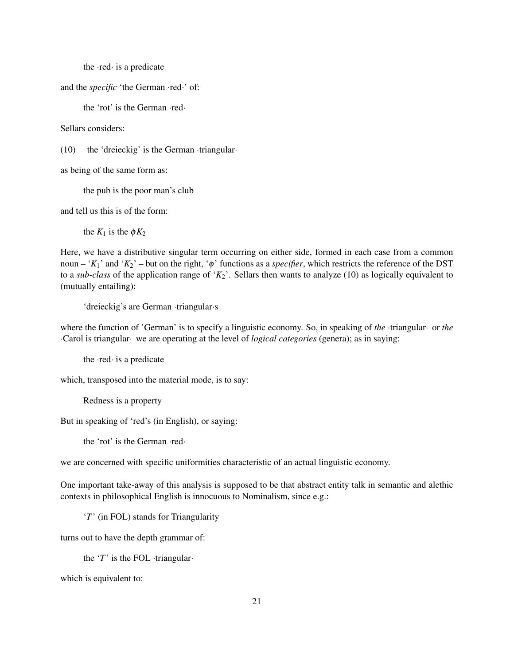the ·red· is a predicate

and the *specific* 'the German ·red·' of:

the 'rot' is the German ·red·

Sellars considers:

(10) the 'dreieckig' is the German ·triangular·

as being of the same form as:

the pub is the poor man's club

and tell us this is of the form:

the  $K_1$  is the  $\phi K_2$ 

Here, we have a distributive singular term occurring on either side, formed in each case from a common noun – ' $K_1$ ' and ' $K_2$ ' – but on the right, ' $\phi$ ' functions as a *specifier*, which restricts the reference of the DST to a *sub-class* of the application range of '*K*2'. Sellars then wants to analyze (10) as logically equivalent to (mutually entailing):

'dreieckig's are German ·triangular·s

where the function of 'German' is to specify a linguistic economy. So, in speaking of *the* ·triangular· or *the* ·Carol is triangular· we are operating at the level of *logical categories* (genera); as in saying:

the ·red· is a predicate

which, transposed into the material mode, is to say:

Redness is a property

But in speaking of 'red's (in English), or saying:

the 'rot' is the German ·red·

we are concerned with specific uniformities characteristic of an actual linguistic economy.

One important take-away of this analysis is supposed to be that abstract entity talk in semantic and alethic contexts in philosophical English is innocuous to Nominalism, since e.g.:

'*T*' (in FOL) stands for Triangularity

turns out to have the depth grammar of:

the '*T*' is the FOL ·triangular·

which is equivalent to: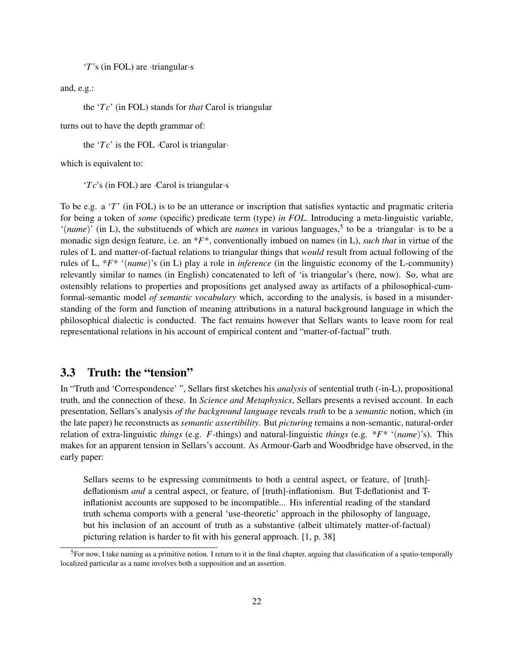'*T*'s (in FOL) are ·triangular·s

and, e.g.:

the '*T c*' (in FOL) stands for *that* Carol is triangular

turns out to have the depth grammar of:

the '*T c*' is the FOL ·Carol is triangular·

which is equivalent to:

'*T c*'s (in FOL) are ·Carol is triangular·s

To be e.g. a '*T*' (in FOL) is to be an utterance or inscription that satisfies syntactic and pragmatic criteria for being a token of *some* (specific) predicate term (type) *in FOL*. Introducing a meta-linguistic variable, '(*name*)' (in L), the substituends of which are *names* in various languages,<sup>5</sup> to be a ·triangular· is to be a monadic sign design feature, i.e. an \**F*\*, conventionally imbued on names (in L), *such that* in virtue of the rules of L and matter-of-factual relations to triangular things that *would* result from actual following of the rules of L, \**F*\* '(*name*)'s (in L) play a role in *inference* (in the linguistic economy of the L-community) relevantly similar to names (in English) concatenated to left of 'is triangular's (here, now). So, what are ostensibly relations to properties and propositions get analysed away as artifacts of a philosophical-cumformal-semantic model *of semantic vocabulary* which, according to the analysis, is based in a misunderstanding of the form and function of meaning attributions in a natural background language in which the philosophical dialectic is conducted. The fact remains however that Sellars wants to leave room for real representational relations in his account of empirical content and "matter-of-factual" truth.

### 3.3 Truth: the "tension"

In "Truth and 'Correspondence' ", Sellars first sketches his *analysis* of sentential truth (-in-L), propositional truth, and the connection of these. In *Science and Metaphysics*, Sellars presents a revised account. In each presentation, Sellars's analysis *of the background language* reveals *truth* to be a *semantic* notion, which (in the late paper) he reconstructs as *semantic assertibility*. But *picturing* remains a non-semantic, natural-order relation of extra-linguistic *things* (e.g. *F*-things) and natural-linguistic *things* (e.g. \**F*\* '(*name*)'s). This makes for an apparent tension in Sellars's account. As Armour-Garb and Woodbridge have observed, in the early paper:

Sellars seems to be expressing commitments to both a central aspect, or feature, of [truth] deflationism *and* a central aspect, or feature, of [truth]-inflationism. But T-deflationist and Tinflationist accounts are supposed to be incompatible... His inferential reading of the standard truth schema comports with a general 'use-theoretic' approach in the philosophy of language, but his inclusion of an account of truth as a substantive (albeit ultimately matter-of-factual) picturing relation is harder to fit with his general approach. [1, p. 38]

 ${}^{5}$ For now, I take naming as a primitive notion. I return to it in the final chapter, arguing that classification of a spatio-temporally localized particular as a name involves both a supposition and an assertion.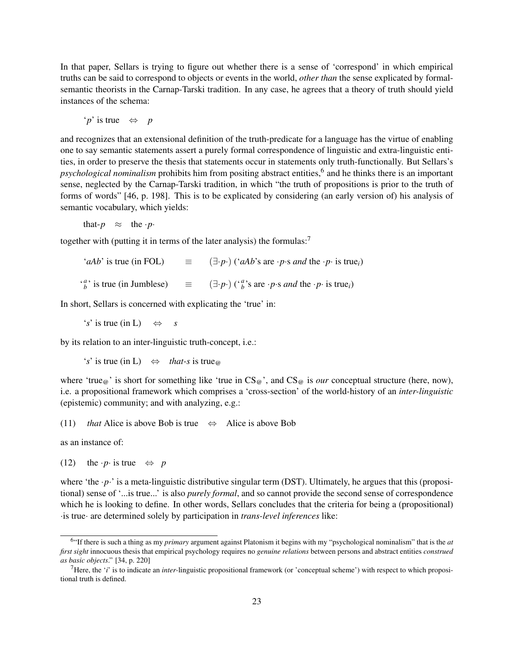In that paper, Sellars is trying to figure out whether there is a sense of 'correspond' in which empirical truths can be said to correspond to objects or events in the world, *other than* the sense explicated by formalsemantic theorists in the Carnap-Tarski tradition. In any case, he agrees that a theory of truth should yield instances of the schema:

'*p*' is true ⇔ *p*

and recognizes that an extensional definition of the truth-predicate for a language has the virtue of enabling one to say semantic statements assert a purely formal correspondence of linguistic and extra-linguistic entities, in order to preserve the thesis that statements occur in statements only truth-functionally. But Sellars's psychological nominalism prohibits him from positing abstract entities,<sup>6</sup> and he thinks there is an important sense, neglected by the Carnap-Tarski tradition, in which "the truth of propositions is prior to the truth of forms of words" [46, p. 198]. This is to be explicated by considering (an early version of) his analysis of semantic vocabulary, which yields:

that- $p \approx$  the ·*p*·

together with (putting it in terms of the later analysis) the formulas:<sup>7</sup>

 $(aAb)$  is true (in FOL)  $\equiv$   $(\exists \cdot p \cdot)(\land ab \land s \text{ are } \neg p \cdot s \text{ and the } \neg p \cdot \text{ is true})$  $\binom{a}{b}$  is true (in Jumblese)  $\equiv$   $(\exists \cdot p \cdot)$  ( $\binom{a}{b}$  $b^a$ 's are ·*p*·s *and* the ·*p*· is true<sub>*i*</sub>)

In short, Sellars is concerned with explicating the 'true' in:

 $'s'$  is true (in L)  $\Leftrightarrow$  *s* 

by its relation to an inter-linguistic truth-concept, i.e.:

 $'s'$  is true (in L)  $\Leftrightarrow$  *that-s* is true<sub>@</sub>

where 'true<sub>@</sub>' is short for something like 'true in  $CS_{\mathcal{Q}}$ ', and  $CS_{\mathcal{Q}}$  is *our* conceptual structure (here, now), i.e. a propositional framework which comprises a 'cross-section' of the world-history of an *inter-linguistic* (epistemic) community; and with analyzing, e.g.:

(11) *that* Alice is above Bob is true  $\Leftrightarrow$  Alice is above Bob

as an instance of:

(12) the  $\cdot p \cdot$  is true  $\Leftrightarrow p$ 

where 'the *·p*·' is a meta-linguistic distributive singular term (DST). Ultimately, he argues that this (propositional) sense of '...is true...' is also *purely formal*, and so cannot provide the second sense of correspondence which he is looking to define. In other words, Sellars concludes that the criteria for being a (propositional) ·is true· are determined solely by participation in *trans-level inferences* like:

<sup>6</sup> "If there is such a thing as my *primary* argument against Platonism it begins with my "psychological nominalism" that is the *at first sight* innocuous thesis that empirical psychology requires no *genuine relations* between persons and abstract entities *construed as basic objects*." [34, p. 220]

<sup>7</sup>Here, the '*i*' is to indicate an *inter-*linguistic propositional framework (or 'conceptual scheme') with respect to which propositional truth is defined.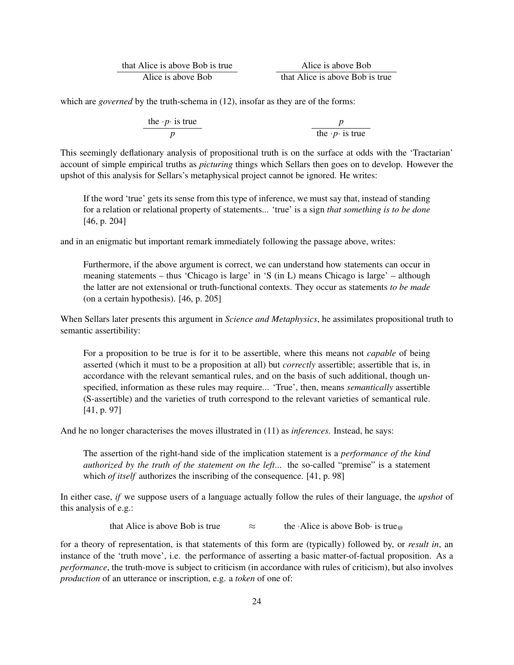| that Alice is above Bob is true | Alice is above Bob              |  |
|---------------------------------|---------------------------------|--|
| Alice is above Bob              | that Alice is above Bob is true |  |

which are *governed* by the truth-schema in (12), insofar as they are of the forms:

| the $\cdot p \cdot$ is true | $p$                         |
|-----------------------------|-----------------------------|
| $p$                         | the $\cdot p \cdot$ is true |

This seemingly deflationary analysis of propositional truth is on the surface at odds with the 'Tractarian' account of simple empirical truths as *picturing* things which Sellars then goes on to develop. However the upshot of this analysis for Sellars's metaphysical project cannot be ignored. He writes:

If the word 'true' gets its sense from this type of inference, we must say that, instead of standing for a relation or relational property of statements... 'true' is a sign *that something is to be done* [46, p. 204]

and in an enigmatic but important remark immediately following the passage above, writes:

Furthermore, if the above argument is correct, we can understand how statements can occur in meaning statements – thus 'Chicago is large' in 'S (in L) means Chicago is large' – although the latter are not extensional or truth-functional contexts. They occur as statements *to be made* (on a certain hypothesis). [46, p. 205]

When Sellars later presents this argument in *Science and Metaphysics*, he assimilates propositional truth to semantic assertibility:

For a proposition to be true is for it to be assertible, where this means not *capable* of being asserted (which it must to be a proposition at all) but *correctly* assertible; assertible that is, in accordance with the relevant semantical rules, and on the basis of such additional, though unspecified, information as these rules may require... 'True', then, means *semantically* assertible (S-assertible) and the varieties of truth correspond to the relevant varieties of semantical rule. [41, p. 97]

And he no longer characterises the moves illustrated in (11) as *inferences*. Instead, he says:

The assertion of the right-hand side of the implication statement is a *performance of the kind authorized by the truth of the statement on the left*... the so-called "premise" is a statement which *of itself* authorizes the inscribing of the consequence. [41, p. 98]

In either case, *if* we suppose users of a language actually follow the rules of their language, the *upshot* of this analysis of e.g.:

that Alice is above Bob is true  $\approx$  the ·Alice is above Bob· is true  $\infty$ 

for a theory of representation, is that statements of this form are (typically) followed by, or *result in*, an instance of the 'truth move', i.e. the performance of asserting a basic matter-of-factual proposition. As a *performance*, the truth-move is subject to criticism (in accordance with rules of criticism), but also involves *production* of an utterance or inscription, e.g. a *token* of one of: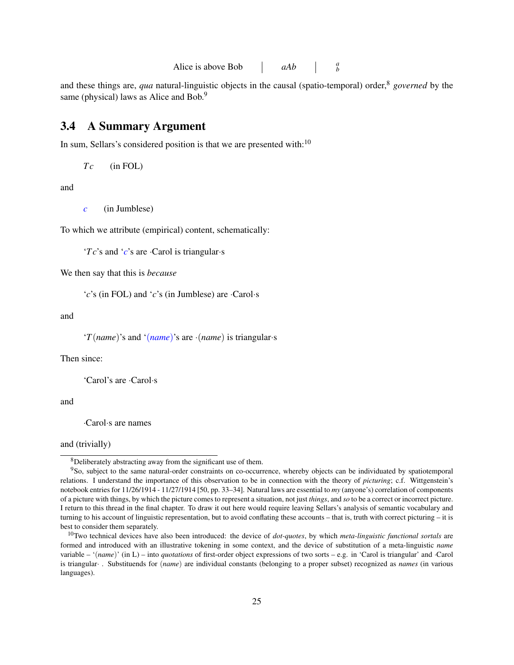Alice is above Bob *aAb <sup>a</sup> b*

and these things are, *qua* natural-linguistic objects in the causal (spatio-temporal) order,<sup>8</sup> *governed* by the same (physical) laws as Alice and Bob.<sup>9</sup>

### 3.4 A Summary Argument

In sum, Sellars's considered position is that we are presented with: $10$ 

$$
Tc \qquad (\text{in FOL})
$$

and

```
c (in Jumblese)
```
To which we attribute (empirical) content, schematically:

'*T c*'s and '*c*'s are ·Carol is triangular·s

We then say that this is *because*

'*c*'s (in FOL) and '*c*'s (in Jumblese) are ·Carol·s

and

'*T*(*name*)'s and '(*name*)'s are ·(*name*) is triangular·s

Then since:

'Carol's are ·Carol·s

and

·Carol·s are names

and (trivially)

<sup>8</sup>Deliberately abstracting away from the significant use of them.

<sup>9</sup>So, subject to the same natural-order constraints on co-occurrence, whereby objects can be individuated by spatiotemporal relations. I understand the importance of this observation to be in connection with the theory of *picturing*; c.f. Wittgenstein's notebook entries for 11/26/1914 - 11/27/1914 [50, pp. 33–34]. Natural laws are essential to *my* (anyone's) correlation of components of a picture with things, by which the picture comes to represent a situation, not just *things*, and *so* to be a correct or incorrect picture. I return to this thread in the final chapter. To draw it out here would require leaving Sellars's analysis of semantic vocabulary and turning to his account of linguistic representation, but to avoid conflating these accounts – that is, truth with correct picturing – it is best to consider them separately.

<sup>10</sup>Two technical devices have also been introduced: the device of *dot-quotes*, by which *meta-linguistic functional sortals* are formed and introduced with an illustrative tokening in some context, and the device of substitution of a meta-linguistic *name* variable – '(*name*)' (in L) – into *quotations* of first-order object expressions of two sorts – e.g. in 'Carol is triangular' and ·Carol is triangular· . Substituends for (*name*) are individual constants (belonging to a proper subset) recognized as *names* (in various languages).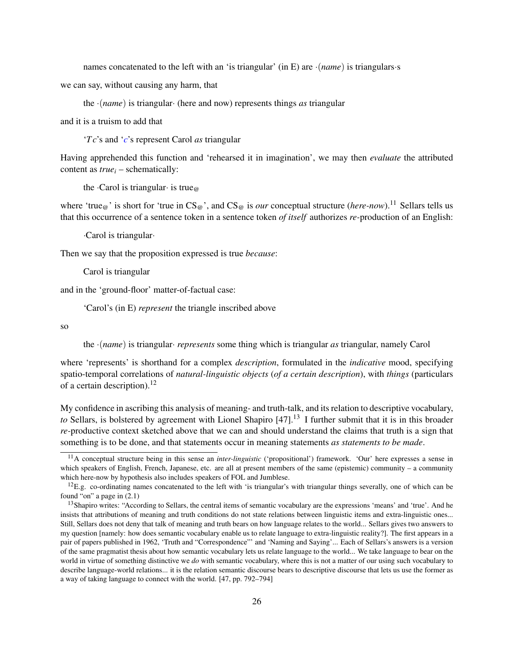names concatenated to the left with an 'is triangular' (in E) are ·(*name*) is triangulars·s

we can say, without causing any harm, that

the ·(*name*) is triangular· (here and now) represents things *as* triangular

and it is a truism to add that

'*T c*'s and '*c*'s represent Carol *as* triangular

Having apprehended this function and 'rehearsed it in imagination', we may then *evaluate* the attributed content as *true<sup>i</sup>* – schematically:

the  $\cdot$ Carol is triangular $\cdot$  is true $\infty$ 

where 'true<sub>@</sub>' is short for 'true in  $CS_{\varpi}$ ', and  $CS_{\varpi}$  is *our* conceptual structure (*here-now*).<sup>11</sup> Sellars tells us that this occurrence of a sentence token in a sentence token *of itself* authorizes *re-*production of an English:

·Carol is triangular·

Then we say that the proposition expressed is true *because*:

Carol is triangular

and in the 'ground-floor' matter-of-factual case:

'Carol's (in E) *represent* the triangle inscribed above

so

the ·(*name*) is triangular· *represents* some thing which is triangular *as* triangular, namely Carol

where 'represents' is shorthand for a complex *description*, formulated in the *indicative* mood, specifying spatio-temporal correlations of *natural-linguistic objects* (*of a certain description*), with *things* (particulars of a certain description).<sup>12</sup>

My confidence in ascribing this analysis of meaning- and truth-talk, and its relation to descriptive vocabulary, *to* Sellars, is bolstered by agreement with Lionel Shapiro [47].<sup>13</sup> I further submit that it is in this broader *re-*productive context sketched above that we can and should understand the claims that truth is a sign that something is to be done, and that statements occur in meaning statements *as statements to be made*.

<sup>11</sup>A conceptual structure being in this sense an *inter-linguistic* ('propositional') framework. 'Our' here expresses a sense in which speakers of English, French, Japanese, etc. are all at present members of the same (epistemic) community – a community which here-now by hypothesis also includes speakers of FOL and Jumblese.

 $^{12}E.g.$  co-ordinating names concatenated to the left with 'is triangular's with triangular things severally, one of which can be found "on" a page in (2.1)

<sup>&</sup>lt;sup>13</sup>Shapiro writes: "According to Sellars, the central items of semantic vocabulary are the expressions 'means' and 'true'. And he insists that attributions of meaning and truth conditions do not state relations between linguistic items and extra-linguistic ones... Still, Sellars does not deny that talk of meaning and truth bears on how language relates to the world... Sellars gives two answers to my question [namely: how does semantic vocabulary enable us to relate language to extra-linguistic reality?]. The first appears in a pair of papers published in 1962, 'Truth and "Correspondence"' and 'Naming and Saying'... Each of Sellars's answers is a version of the same pragmatist thesis about how semantic vocabulary lets us relate language to the world... We take language to bear on the world in virtue of something distinctive we *do* with semantic vocabulary, where this is not a matter of our using such vocabulary to describe language-world relations... it is the relation semantic discourse bears to descriptive discourse that lets us use the former as a way of taking language to connect with the world. [47, pp. 792–794]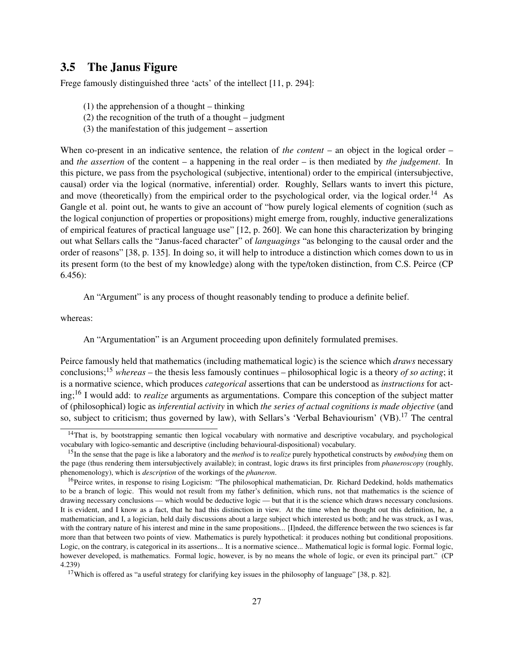### 3.5 The Janus Figure

Frege famously distinguished three 'acts' of the intellect [11, p. 294]:

- (1) the apprehension of a thought thinking
- (2) the recognition of the truth of a thought judgment
- (3) the manifestation of this judgement assertion

When co-present in an indicative sentence, the relation of *the content* – an object in the logical order – and *the assertion* of the content – a happening in the real order – is then mediated by *the judgement*. In this picture, we pass from the psychological (subjective, intentional) order to the empirical (intersubjective, causal) order via the logical (normative, inferential) order. Roughly, Sellars wants to invert this picture, and move (theoretically) from the empirical order to the psychological order, via the logical order.<sup>14</sup> As Gangle et al. point out, he wants to give an account of "how purely logical elements of cognition (such as the logical conjunction of properties or propositions) might emerge from, roughly, inductive generalizations of empirical features of practical language use" [12, p. 260]. We can hone this characterization by bringing out what Sellars calls the "Janus-faced character" of *languagings* "as belonging to the causal order and the order of reasons" [38, p. 135]. In doing so, it will help to introduce a distinction which comes down to us in its present form (to the best of my knowledge) along with the type/token distinction, from C.S. Peirce (CP 6.456):

An "Argument" is any process of thought reasonably tending to produce a definite belief.

whereas:

An "Argumentation" is an Argument proceeding upon definitely formulated premises.

Peirce famously held that mathematics (including mathematical logic) is the science which *draws* necessary conclusions;<sup>15</sup> *whereas* – the thesis less famously continues – philosophical logic is a theory *of so acting*; it is a normative science, which produces *categorical* assertions that can be understood as *instructions* for acting;<sup>16</sup> I would add: to *realize* arguments as argumentations. Compare this conception of the subject matter of (philosophical) logic as *inferential activity* in which *the series of actual cognitions is made objective* (and so, subject to criticism; thus governed by law), with Sellars's 'Verbal Behaviourism' (VB).<sup>17</sup> The central

<sup>&</sup>lt;sup>14</sup>That is, by bootstrapping semantic then logical vocabulary with normative and descriptive vocabulary, and psychological vocabulary with logico-semantic and descriptive (including behavioural-dispositional) vocabulary.

<sup>15</sup>In the sense that the page is like a laboratory and the *method* is to *realize* purely hypothetical constructs by *embodying* them on the page (thus rendering them intersubjectively available); in contrast, logic draws its first principles from *phaneroscopy* (roughly, phenomenology), which is *description* of the workings of the *phaneron*.

<sup>&</sup>lt;sup>16</sup>Peirce writes, in response to rising Logicism: "The philosophical mathematician, Dr. Richard Dedekind, holds mathematics to be a branch of logic. This would not result from my father's definition, which runs, not that mathematics is the science of drawing necessary conclusions — which would be deductive logic — but that it is the science which draws necessary conclusions. It is evident, and I know as a fact, that he had this distinction in view. At the time when he thought out this definition, he, a mathematician, and I, a logician, held daily discussions about a large subject which interested us both; and he was struck, as I was, with the contrary nature of his interest and mine in the same propositions... [I]ndeed, the difference between the two sciences is far more than that between two points of view. Mathematics is purely hypothetical: it produces nothing but conditional propositions. Logic, on the contrary, is categorical in its assertions... It is a normative science... Mathematical logic is formal logic. Formal logic, however developed, is mathematics. Formal logic, however, is by no means the whole of logic, or even its principal part." (CP 4.239)

<sup>&</sup>lt;sup>17</sup>Which is offered as "a useful strategy for clarifying key issues in the philosophy of language" [38, p. 82].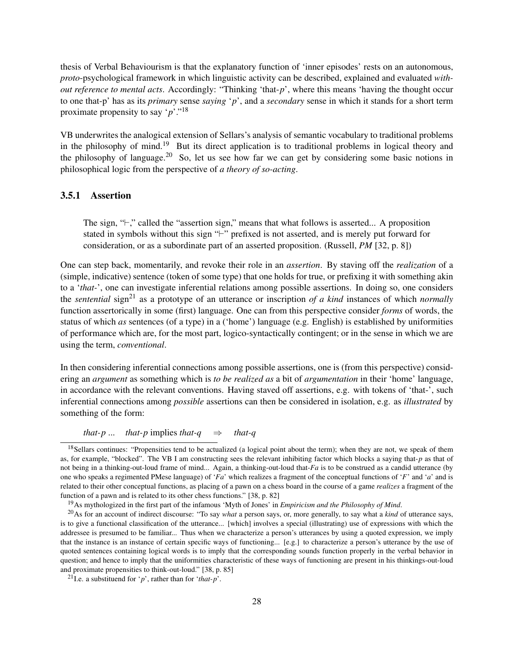thesis of Verbal Behaviourism is that the explanatory function of 'inner episodes' rests on an autonomous, *proto*-psychological framework in which linguistic activity can be described, explained and evaluated *without reference to mental acts*. Accordingly: "Thinking 'that-*p*', where this means 'having the thought occur to one that-p' has as its *primary* sense *saying* '*p*', and a *secondary* sense in which it stands for a short term proximate propensity to say '*p*'."<sup>18</sup>

VB underwrites the analogical extension of Sellars's analysis of semantic vocabulary to traditional problems in the philosophy of mind.<sup>19</sup> But its direct application is to traditional problems in logical theory and the philosophy of language.<sup>20</sup> So, let us see how far we can get by considering some basic notions in philosophical logic from the perspective of *a theory of so-acting*.

### 3.5.1 Assertion

The sign,  $\div$ ," called the "assertion sign," means that what follows is asserted... A proposition stated in symbols without this sign  $F$  prefixed is not asserted, and is merely put forward for consideration, or as a subordinate part of an asserted proposition. (Russell, *PM* [32, p. 8])

One can step back, momentarily, and revoke their role in an *assertion*. By staving off the *realization* of a (simple, indicative) sentence (token of some type) that one holds for true, or prefixing it with something akin to a '*that-*', one can investigate inferential relations among possible assertions. In doing so, one considers the *sentential* sign<sup>21</sup> as a prototype of an utterance or inscription *of a kind* instances of which *normally* function assertorically in some (first) language. One can from this perspective consider *forms* of words, the status of which *as* sentences (of a type) in a ('home') language (e.g. English) is established by uniformities of performance which are, for the most part, logico-syntactically contingent; or in the sense in which we are using the term, *conventional*.

In then considering inferential connections among possible assertions, one is (from this perspective) considering an *argument* as something which is *to be realized as* a bit of *argumentation* in their 'home' language, in accordance with the relevant conventions. Having staved off assertions, e.g. with tokens of 'that-', such inferential connections among *possible* assertions can then be considered in isolation, e.g. as *illustrated* by something of the form:

*that-p* ... *that-p* implies *that-q*  $\Rightarrow$  *that-q* 

<sup>&</sup>lt;sup>18</sup>Sellars continues: "Propensities tend to be actualized (a logical point about the term); when they are not, we speak of them as, for example, "blocked". The VB I am constructing sees the relevant inhibiting factor which blocks a saying that-*p* as that of not being in a thinking-out-loud frame of mind... Again, a thinking-out-loud that-*Fa* is to be construed as a candid utterance (by one who speaks a regimented PMese language) of '*Fa*' which realizes a fragment of the conceptual functions of '*F*' and '*a*' and is related to their other conceptual functions, as placing of a pawn on a chess board in the course of a game *realizes* a fragment of the function of a pawn and is related to its other chess functions." [38, p. 82]

<sup>19</sup>As mythologized in the first part of the infamous 'Myth of Jones' in *Empiricism and the Philosophy of Mind*.

<sup>20</sup>As for an account of indirect discourse: "To say *what* a person says, or, more generally, to say what a *kind* of utterance says, is to give a functional classification of the utterance... [which] involves a special (illustrating) use of expressions with which the addressee is presumed to be familiar... Thus when we characterize a person's utterances by using a quoted expression, we imply that the instance is an instance of certain specific ways of functioning... [e.g.] to characterize a person's utterance by the use of quoted sentences containing logical words is to imply that the corresponding sounds function properly in the verbal behavior in question; and hence to imply that the uniformities characteristic of these ways of functioning are present in his thinkings-out-loud and proximate propensities to think-out-loud." [38, p. 85]

<sup>21</sup>I.e. a substituend for '*p*', rather than for '*that-p*'.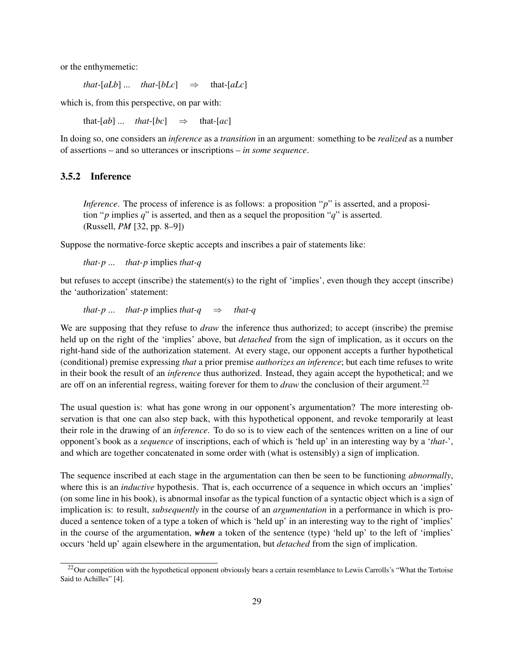or the enthymemetic:

*that*-[ $aLb$ ] ... *that*-[ $bLc$ ]  $\Rightarrow$  that-[ $aLc$ ]

which is, from this perspective, on par with:

that- $[ab]$  ... *that-* $[bc]$   $\Rightarrow$  that- $[ac]$ 

In doing so, one considers an *inference* as a *transition* in an argument: something to be *realized* as a number of assertions – and so utterances or inscriptions – *in some sequence*.

#### 3.5.2 Inference

*Inference*. The process of inference is as follows: a proposition "*p*" is asserted, and a proposition " $p$  implies  $q$ " is asserted, and then as a sequel the proposition " $q$ " is asserted. (Russell, *PM* [32, pp. 8–9])

Suppose the normative-force skeptic accepts and inscribes a pair of statements like:

*that-p* ... *that-p* implies *that-q*

but refuses to accept (inscribe) the statement(s) to the right of 'implies', even though they accept (inscribe) the 'authorization' statement:

that-p ... that-p implies that-q 
$$
\Rightarrow
$$
 that-q

We are supposing that they refuse to *draw* the inference thus authorized; to accept (inscribe) the premise held up on the right of the 'implies' above, but *detached* from the sign of implication, as it occurs on the right-hand side of the authorization statement. At every stage, our opponent accepts a further hypothetical (conditional) premise expressing *that* a prior premise *authorizes an inference*; but each time refuses to write in their book the result of an *inference* thus authorized. Instead, they again accept the hypothetical; and we are off on an inferential regress, waiting forever for them to *draw* the conclusion of their argument.<sup>22</sup>

The usual question is: what has gone wrong in our opponent's argumentation? The more interesting observation is that one can also step back, with this hypothetical opponent, and revoke temporarily at least their role in the drawing of an *inference*. To do so is to view each of the sentences written on a line of our opponent's book as a *sequence* of inscriptions, each of which is 'held up' in an interesting way by a '*that-*', and which are together concatenated in some order with (what is ostensibly) a sign of implication.

The sequence inscribed at each stage in the argumentation can then be seen to be functioning *abnormally*, where this is an *inductive* hypothesis. That is, each occurrence of a sequence in which occurs an 'implies' (on some line in his book), is abnormal insofar as the typical function of a syntactic object which is a sign of implication is: to result, *subsequently* in the course of an *argumentation* in a performance in which is produced a sentence token of a type a token of which is 'held up' in an interesting way to the right of 'implies' in the course of the argumentation, *when* a token of the sentence (type) 'held up' to the left of 'implies' occurs 'held up' again elsewhere in the argumentation, but *detached* from the sign of implication.

 $^{22}$ Our competition with the hypothetical opponent obviously bears a certain resemblance to Lewis Carrolls's "What the Tortoise" Said to Achilles" [4].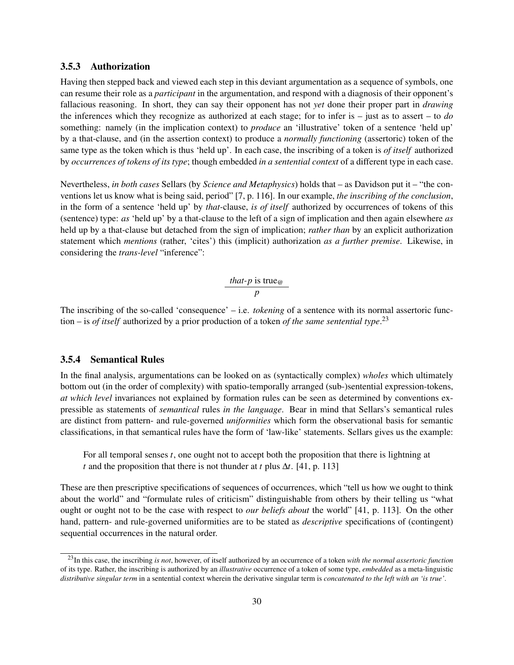#### 3.5.3 Authorization

Having then stepped back and viewed each step in this deviant argumentation as a sequence of symbols, one can resume their role as a *participant* in the argumentation, and respond with a diagnosis of their opponent's fallacious reasoning. In short, they can say their opponent has not *yet* done their proper part in *drawing* the inferences which they recognize as authorized at each stage; for to infer is – just as to assert – to *do* something: namely (in the implication context) to *produce* an 'illustrative' token of a sentence 'held up' by a that-clause, and (in the assertion context) to produce a *normally functioning* (assertoric) token of the same type as the token which is thus 'held up'. In each case, the inscribing of a token is *of itself* authorized by *occurrences of tokens of its type*; though embedded *in a sentential context* of a different type in each case.

Nevertheless, *in both cases* Sellars (by *Science and Metaphysics*) holds that – as Davidson put it – "the conventions let us know what is being said, period" [7, p. 116]. In our example, *the inscribing of the conclusion*, in the form of a sentence 'held up' by *that-*clause, *is of itself* authorized by occurrences of tokens of this (sentence) type: *as* 'held up' by a that-clause to the left of a sign of implication and then again elsewhere *as* held up by a that-clause but detached from the sign of implication; *rather than* by an explicit authorization statement which *mentions* (rather, 'cites') this (implicit) authorization *as a further premise*. Likewise, in considering the *trans-level* "inference":

*that-p* is true<sub>$$
\omega
$$</sub> *p*

The inscribing of the so-called 'consequence' – i.e. *tokening* of a sentence with its normal assertoric function – is *of itself* authorized by a prior production of a token *of the same sentential type*. 23

#### 3.5.4 Semantical Rules

In the final analysis, argumentations can be looked on as (syntactically complex) *wholes* which ultimately bottom out (in the order of complexity) with spatio-temporally arranged (sub-)sentential expression-tokens, *at which level* invariances not explained by formation rules can be seen as determined by conventions expressible as statements of *semantical* rules *in the language*. Bear in mind that Sellars's semantical rules are distinct from pattern- and rule-governed *uniformities* which form the observational basis for semantic classifications, in that semantical rules have the form of 'law-like' statements. Sellars gives us the example:

For all temporal senses *t*, one ought not to accept both the proposition that there is lightning at *t* and the proposition that there is not thunder at *t* plus ∆*t*. [41, p. 113]

These are then prescriptive specifications of sequences of occurrences, which "tell us how we ought to think about the world" and "formulate rules of criticism" distinguishable from others by their telling us "what ought or ought not to be the case with respect to *our beliefs about* the world" [41, p. 113]. On the other hand, pattern- and rule-governed uniformities are to be stated as *descriptive* specifications of (contingent) sequential occurrences in the natural order.

<sup>23</sup>In this case, the inscribing *is not*, however, of itself authorized by an occurrence of a token *with the normal assertoric function* of its type. Rather, the inscribing is authorized by an *illustrative* occurrence of a token of some type, *embedded* as a meta-linguistic *distributive singular term* in a sentential context wherein the derivative singular term is *concatenated to the left with an 'is true'*.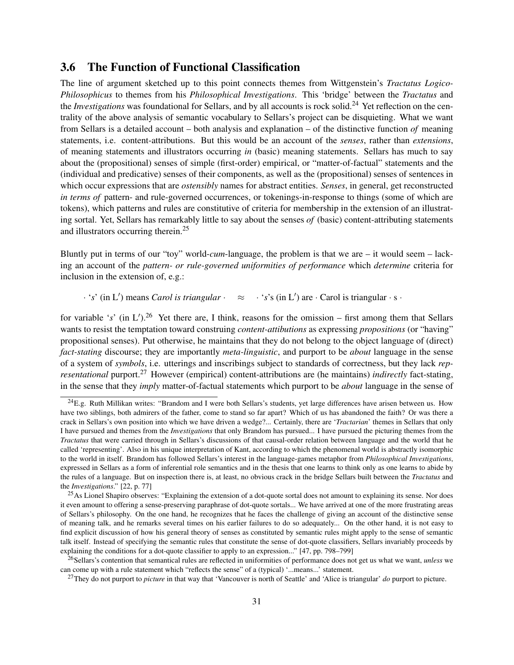## 3.6 The Function of Functional Classification

The line of argument sketched up to this point connects themes from Wittgenstein's *Tractatus Logico-Philosophicus* to themes from his *Philosophical Investigations*. This 'bridge' between the *Tractatus* and the *Investigations* was foundational for Sellars, and by all accounts is rock solid.<sup>24</sup> Yet reflection on the centrality of the above analysis of semantic vocabulary to Sellars's project can be disquieting. What we want from Sellars is a detailed account – both analysis and explanation – of the distinctive function *of* meaning statements, i.e. content-attributions. But this would be an account of the *senses*, rather than *extensions*, of meaning statements and illustrators occurring *in* (basic) meaning statements. Sellars has much to say about the (propositional) senses of simple (first-order) empirical, or "matter-of-factual" statements and the (individual and predicative) senses of their components, as well as the (propositional) senses of sentences in which occur expressions that are *ostensibly* names for abstract entities. *Senses*, in general, get reconstructed *in terms of* pattern- and rule-governed occurrences, or tokenings-in-response to things (some of which are tokens), which patterns and rules are constitutive of criteria for membership in the extension of an illustrating sortal. Yet, Sellars has remarkably little to say about the senses *of* (basic) content-attributing statements and illustrators occurring therein.<sup>25</sup>

Bluntly put in terms of our "toy" world-*cum*-language, the problem is that we are – it would seem – lacking an account of the *pattern- or rule-governed uniformities of performance* which *determine* criteria for inclusion in the extension of, e.g.:

· 's' (in L') means *Carol is triangular* ·  $\approx$  · 's's (in L') are · Carol is triangular · s ·

for variable 's' (in  $L'$ ).<sup>26</sup> Yet there are, I think, reasons for the omission – first among them that Sellars wants to resist the temptation toward construing *content-attibutions* as expressing *propositions* (or "having" propositional senses). Put otherwise, he maintains that they do not belong to the object language of (direct) *fact-stating* discourse; they are importantly *meta-linguistic*, and purport to be *about* language in the sense of a system of *symbols*, i.e. utterings and inscribings subject to standards of correctness, but they lack *representational* purport.<sup>27</sup> However (empirical) content-attributions are (he maintains) *indirectly* fact-stating, in the sense that they *imply* matter-of-factual statements which purport to be *about* language in the sense of

 $^{24}$ E.g. Ruth Millikan writes: "Brandom and I were both Sellars's students, yet large differences have arisen between us. How have two siblings, both admirers of the father, come to stand so far apart? Which of us has abandoned the faith? Or was there a crack in Sellars's own position into which we have driven a wedge?... Certainly, there are '*Tractarian*' themes in Sellars that only I have pursued and themes from the *Investigations* that only Brandom has pursued... I have pursued the picturing themes from the *Tractatus* that were carried through in Sellars's discussions of that causal-order relation between language and the world that he called 'representing'. Also in his unique interpretation of Kant, according to which the phenomenal world is abstractly isomorphic to the world in itself. Brandom has followed Sellars's interest in the language-games metaphor from *Philosophical Investigations*, expressed in Sellars as a form of inferential role semantics and in the thesis that one learns to think only as one learns to abide by the rules of a language. But on inspection there is, at least, no obvious crack in the bridge Sellars built between the *Tractatus* and the *Investigations*." [22, p. 77]

<sup>&</sup>lt;sup>25</sup>As Lionel Shapiro observes: "Explaining the extension of a dot-quote sortal does not amount to explaining its sense. Nor does it even amount to offering a sense-preserving paraphrase of dot-quote sortals... We have arrived at one of the more frustrating areas of Sellars's philosophy. On the one hand, he recognizes that he faces the challenge of giving an account of the distinctive sense of meaning talk, and he remarks several times on his earlier failures to do so adequately... On the other hand, it is not easy to find explicit discussion of how his general theory of senses as constituted by semantic rules might apply to the sense of semantic talk itself. Instead of specifying the semantic rules that constitute the sense of dot-quote classifiers, Sellars invariably proceeds by explaining the conditions for a dot-quote classifier to apply to an expression..." [47, pp. 798–799]

<sup>26</sup>Sellars's contention that semantical rules are reflected in uniformities of performance does not get us what we want, *unless* we can come up with a rule statement which "reflects the sense" of a (typical) '...means...' statement.

<sup>27</sup>They do not purport to *picture* in that way that 'Vancouver is north of Seattle' and 'Alice is triangular' *do* purport to picture.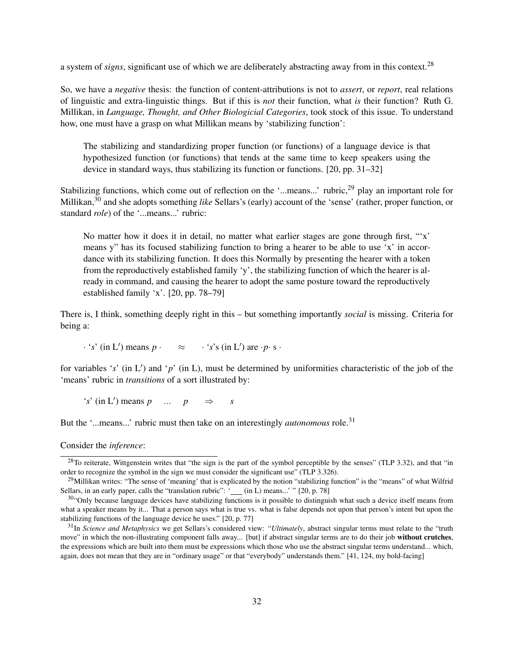a system of *signs*, significant use of which we are deliberately abstracting away from in this context.<sup>28</sup>

So, we have a *negative* thesis: the function of content-attributions is not to *assert*, or *report*, real relations of linguistic and extra-linguistic things. But if this is *not* their function, what *is* their function? Ruth G. Millikan, in *Language, Thought, and Other Biologicial Categories*, took stock of this issue. To understand how, one must have a grasp on what Millikan means by 'stabilizing function':

The stabilizing and standardizing proper function (or functions) of a language device is that hypothesized function (or functions) that tends at the same time to keep speakers using the device in standard ways, thus stabilizing its function or functions. [20, pp. 31–32]

Stabilizing functions, which come out of reflection on the '...means...' rubric,<sup>29</sup> play an important role for Millikan,<sup>30</sup> and she adopts something *like* Sellars's (early) account of the 'sense' (rather, proper function, or standard *role*) of the '...means...' rubric:

No matter how it does it in detail, no matter what earlier stages are gone through first, "'x' means y" has its focused stabilizing function to bring a hearer to be able to use 'x' in accordance with its stabilizing function. It does this Normally by presenting the hearer with a token from the reproductively established family 'y', the stabilizing function of which the hearer is already in command, and causing the hearer to adopt the same posture toward the reproductively established family 'x'. [20, pp. 78–79]

There is, I think, something deeply right in this – but something importantly *social* is missing. Criteria for being a:

 $\cdot$  '*s*' (in L') means  $p \cdot \approx \cdot$  '*s*'s (in L') are  $\cdot p \cdot s \cdot$ 

for variables 's' (in  $L'$ ) and 'p' (in  $L$ ), must be determined by uniformities characteristic of the job of the 'means' rubric in *transitions* of a sort illustrated by:

 $f'(s')$  (in L<sup>t</sup>) means *p* ... *p*  $\Rightarrow$  *s* 

But the '...means...' rubric must then take on an interestingly *autonomous* role.<sup>31</sup>

Consider the *inference*:

 $^{28}$ To reiterate, Wittgenstein writes that "the sign is the part of the symbol perceptible by the senses" (TLP 3.32), and that "in order to recognize the symbol in the sign we must consider the significant use" (TLP 3.326).

<sup>&</sup>lt;sup>29</sup>Millikan writes: "The sense of 'meaning' that is explicated by the notion "stabilizing function" is the "means" of what Wilfrid Sellars, in an early paper, calls the "translation rubric": ' (in L) means...' " [20, p. 78]

 $30$ "Only because language devices have stabilizing functions is it possible to distinguish what such a device itself means from what a speaker means by it... That a person says what is true vs. what is false depends not upon that person's intent but upon the stabilizing functions of the language device he uses." [20, p. 77]

<sup>31</sup>In *Science and Metaphysics* we get Sellars's considered view: "*Ultimately*, abstract singular terms must relate to the "truth move" in which the non-illustrating component falls away... [but] if abstract singular terms are to do their job without crutches, the expressions which are built into them must be expressions which those who use the abstract singular terms understand... which, again, does not mean that they are in "ordinary usage" or that "everybody" understands them." [41, 124, my bold-facing]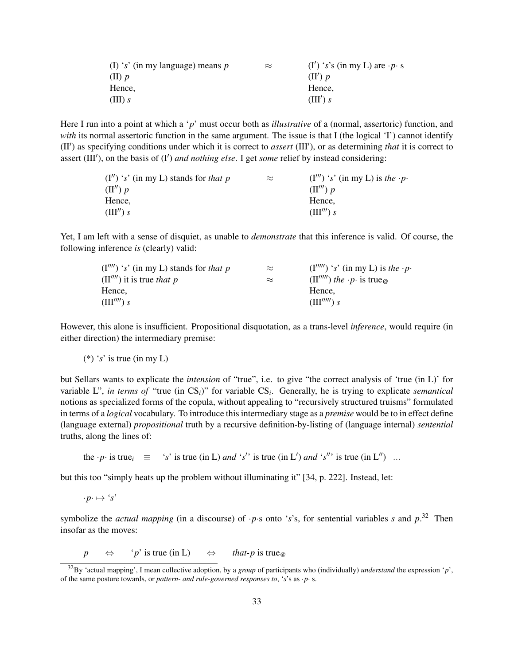| (I) 's' (in my language) means $p$ | $\approx$ | $(I')$ 's's (in my L) are $\cdot p \cdot s$ |
|------------------------------------|-----------|---------------------------------------------|
| $(II)$ p                           |           | $(\Pi') p$                                  |
| Hence.                             |           | Hence.                                      |
| (III) s                            |           | (III') s                                    |

Here I run into a point at which a '*p*' must occur both as *illustrative* of a (normal, assertoric) function, and *with* its normal assertoric function in the same argument. The issue is that I (the logical 'I') cannot identify (II') as specifying conditions under which it is correct to *assert* (III'), or as determining *that* it is correct to assert (III'), on the basis of (I') *and nothing else*. I get *some* relief by instead considering:

| $(I'')$ 's' (in my L) stands for that p | $\approx$ | $(I''')$ 's' (in my L) is the $\cdot p$ . |
|-----------------------------------------|-----------|-------------------------------------------|
| $(\Pi'') p$                             |           | $(\Pi''') p$                              |
| Hence.                                  |           | Hence.                                    |
| (III'')s                                |           | $(\mathbf{III}^{\prime\prime\prime})$ s   |

Yet, I am left with a sense of disquiet, as unable to *demonstrate* that this inference is valid. Of course, the following inference *is* (clearly) valid:

| $(I''''')$ 's' (in my L) stands for that p | $\approx$ | $(I''''')$ 's' (in my L) is the $\cdot p \cdot$                         |
|--------------------------------------------|-----------|-------------------------------------------------------------------------|
| $(II'''')$ it is true that p               | $\approx$ | $(\Pi''''')$ the $\cdot p \cdot$ is true <sub><math>\varpi</math></sub> |
| Hence.                                     |           | Hence.                                                                  |
| (III''')s                                  |           | $(\text{III}^{\prime\prime\prime\prime\prime})$ s                       |

However, this alone is insufficient. Propositional disquotation, as a trans-level *inference*, would require (in either direction) the intermediary premise:

(\*) '*s*' is true (in my L)

but Sellars wants to explicate the *intension* of "true", i.e. to give "the correct analysis of 'true (in L)' for variable L", *in terms of* "true (in CS*i*)" for variable CS*<sup>i</sup>* . Generally, he is trying to explicate *semantical* notions as specialized forms of the copula, without appealing to "recursively structured truisms" formulated in terms of a *logical* vocabulary. To introduce this intermediary stage as a *premise* would be to in effect define (language external) *propositional* truth by a recursive definition-by-listing of (language internal) *sentential* truths, along the lines of:

the  $\cdot p \cdot$  is true<sub>*i*</sub>  $\equiv$  '*s*' is true (in L) *and* '*s'*' is true (in L') *and* '*s''* is true (in L'') ...

but this too "simply heats up the problem without illuminating it" [34, p. 222]. Instead, let:

 $\cdot p \cdot \mapsto \cdot s'$ 

symbolize the *actual mapping* (in a discourse) of  $\cdot$ *p* $\cdot$ s onto  $\cdot$ *s* $\cdot$ s, for sentential variables *s* and *p*.<sup>32</sup> Then insofar as the moves:

 $p \Leftrightarrow \t'p'$  is true (in L)  $\Leftrightarrow$  *that-p* is true<sub>@</sub>

<sup>32</sup>By 'actual mapping', I mean collective adoption, by a *group* of participants who (individually) *understand* the expression '*p*', of the same posture towards, or *pattern- and rule-governed responses to*, '*s*'s as ·*p*· s.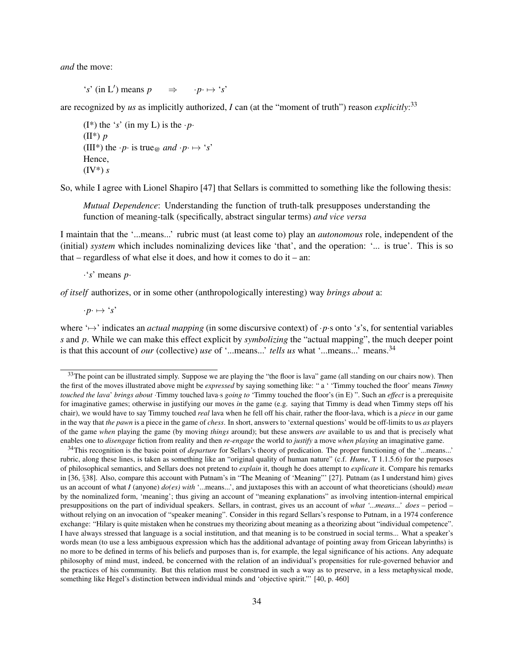*and* the move:

 $\mathbf{r}'$  (in L') means p  $\Rightarrow$  ·*p*· $\mapsto$  '*s*'

are recognized by *us* as implicitly authorized, *I* can (at the "moment of truth") reason *explicitly*: 33

( $I^*$ ) the '*s*' (in my L) is the  $\cdot p$ . (II\*) *p* (III<sup>\*</sup>) the ·*p*· is true<sub>@</sub> and ·*p*·  $\mapsto$  '*s*' Hence, (IV\*) *s*

So, while I agree with Lionel Shapiro [47] that Sellars is committed to something like the following thesis:

*Mutual Dependence*: Understanding the function of truth-talk presupposes understanding the function of meaning-talk (specifically, abstract singular terms) *and vice versa*

I maintain that the '...means...' rubric must (at least come to) play an *autonomous* role, independent of the (initial) *system* which includes nominalizing devices like 'that', and the operation: '... is true'. This is so that – regardless of what else it does, and how it comes to do it – an:

·'*s*' means *p*·

*of itself* authorizes, or in some other (anthropologically interesting) way *brings about* a:

 $\cdot p \cdot \mapsto \cdot s'$ 

where '7→' indicates an *actual mapping* (in some discursive context) of ·*p*·s onto '*s*'s, for sentential variables *s* and *p*. While we can make this effect explicit by *symbolizing* the "actual mapping", the much deeper point is that this account of *our* (collective) *use* of '...means...' *tells us* what '...means...' means.<sup>34</sup>

<sup>&</sup>lt;sup>33</sup>The point can be illustrated simply. Suppose we are playing the "the floor is lava" game (all standing on our chairs now). Then the first of the moves illustrated above might be *expressed* by saying something like: " a ' 'Timmy touched the floor' means *Timmy touched the lava*' *brings about* ·Timmy touched lava·s *going to* 'Timmy touched the floor's (in E) ". Such an *effect* is a prerequisite for imaginative games; otherwise in justifying our moves *in* the game (e.g. saying that Timmy is dead when Timmy steps off his chair), we would have to say Timmy touched *real* lava when he fell off his chair, rather the floor-lava, which is a *piece* in our game in the way that *the pawn* is a piece in the game of *chess*. In short, answers to 'external questions' would be off-limits to us *as* players of the game *when* playing the game (by moving *things* around); but these answers *are* available to us and that is precisely what enables one to *disengage* fiction from reality and then *re-engage* the world to *justify* a move *when playing* an imaginative game.

<sup>34</sup>This recognition is the basic point of *departure* for Sellars's theory of predication. The proper functioning of the '...means...' rubric, along these lines, is taken as something like an "original quality of human nature" (c.f. *Hume*, T 1.1.5.6) for the purposes of philosophical semantics, and Sellars does not pretend to *explain* it, though he does attempt to *explicate* it. Compare his remarks in [36, §38]. Also, compare this account with Putnam's in "The Meaning of 'Meaning"' [27]. Putnam (as I understand him) gives us an account of what *I* (anyone) *do(es) with* '...means...', and juxtaposes this with an account of what theoreticians (should) *mean* by the nominalized form, 'meaning'; thus giving an account of "meaning explanations" as involving intention-internal empirical presuppositions on the part of individual speakers. Sellars, in contrast, gives us an account of *what '...means...' does* – period – without relying on an invocation of "speaker meaning". Consider in this regard Sellars's response to Putnam, in a 1974 conference exchange: "Hilary is quite mistaken when he construes my theorizing about meaning as a theorizing about "individual competence". I have always stressed that language is a social institution, and that meaning is to be construed in social terms... What a speaker's words mean (to use a less ambiguous expression which has the additional advantage of pointing away from Gricean labyrinths) is no more to be defined in terms of his beliefs and purposes than is, for example, the legal significance of his actions. Any adequate philosophy of mind must, indeed, be concerned with the relation of an individual's propensities for rule-governed behavior and the practices of his community. But this relation must be construed in such a way as to preserve, in a less metaphysical mode, something like Hegel's distinction between individual minds and 'objective spirit."' [40, p. 460]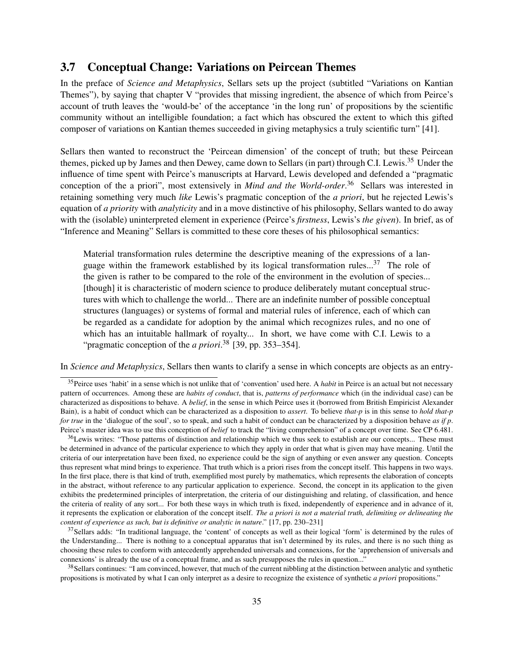### 3.7 Conceptual Change: Variations on Peircean Themes

In the preface of *Science and Metaphysics*, Sellars sets up the project (subtitled "Variations on Kantian Themes"), by saying that chapter V "provides that missing ingredient, the absence of which from Peirce's account of truth leaves the 'would-be' of the acceptance 'in the long run' of propositions by the scientific community without an intelligible foundation; a fact which has obscured the extent to which this gifted composer of variations on Kantian themes succeeded in giving metaphysics a truly scientific turn" [41].

Sellars then wanted to reconstruct the 'Peircean dimension' of the concept of truth; but these Peircean themes, picked up by James and then Dewey, came down to Sellars (in part) through C.I. Lewis.<sup>35</sup> Under the influence of time spent with Peirce's manuscripts at Harvard, Lewis developed and defended a "pragmatic conception of the a priori", most extensively in *Mind and the World-order*. <sup>36</sup> Sellars was interested in retaining something very much *like* Lewis's pragmatic conception of the *a priori*, but he rejected Lewis's equation of *a priority* with *analyticity* and in a move distinctive of his philosophy, Sellars wanted to do away with the (isolable) uninterpreted element in experience (Peirce's *firstness*, Lewis's *the given*). In brief, as of "Inference and Meaning" Sellars is committed to these core theses of his philosophical semantics:

Material transformation rules determine the descriptive meaning of the expressions of a language within the framework established by its logical transformation rules... $37$  The role of the given is rather to be compared to the role of the environment in the evolution of species... [though] it is characteristic of modern science to produce deliberately mutant conceptual structures with which to challenge the world... There are an indefinite number of possible conceptual structures (languages) or systems of formal and material rules of inference, each of which can be regarded as a candidate for adoption by the animal which recognizes rules, and no one of which has an intuitable hallmark of royalty... In short, we have come with C.I. Lewis to a "pragmatic conception of the *a priori*. <sup>38</sup> [39, pp. 353–354].

In *Science and Metaphysics*, Sellars then wants to clarify a sense in which concepts are objects as an entry-

<sup>36</sup>Lewis writes: "Those patterns of distinction and relationship which we thus seek to establish are our concepts... These must be determined in advance of the particular experience to which they apply in order that what is given may have meaning. Until the criteria of our interpretation have been fixed, no experience could be the sign of anything or even answer any question. Concepts thus represent what mind brings to experience. That truth which is a priori rises from the concept itself. This happens in two ways. In the first place, there is that kind of truth, exemplified most purely by mathematics, which represents the elaboration of concepts in the abstract, without reference to any particular application to experience. Second, the concept in its application to the given exhibits the predetermined principles of interpretation, the criteria of our distinguishing and relating, of classification, and hence the criteria of reality of any sort... For both these ways in which truth is fixed, independently of experience and in advance of it, it represents the explication or elaboration of the concept itself. *The a priori is not a material truth, delimiting or delineating the content of experience as such, but is definitive or analytic in nature*." [17, pp. 230–231]

 $37$ Sellars adds: "In traditional language, the 'content' of concepts as well as their logical 'form' is determined by the rules of the Understanding... There is nothing to a conceptual apparatus that isn't determined by its rules, and there is no such thing as choosing these rules to conform with antecedently apprehended universals and connexions, for the 'apprehension of universals and connexions' is already the use of a conceptual frame, and as such presupposes the rules in question..."

<sup>38</sup> Sellars continues: "I am convinced, however, that much of the current nibbling at the distinction between analytic and synthetic propositions is motivated by what I can only interpret as a desire to recognize the existence of synthetic *a priori* propositions."

<sup>35</sup>Peirce uses 'habit' in a sense which is not unlike that of 'convention' used here. A *habit* in Peirce is an actual but not necessary pattern of occurrences. Among these are *habits of conduct*, that is, *patterns of performance* which (in the individual case) can be characterized as dispositions to behave. A *belief*, in the sense in which Peirce uses it (borrowed from British Empiricist Alexander Bain), is a habit of conduct which can be characterized as a disposition to *assert*. To believe *that-p* is in this sense to *hold that-p for true* in the 'dialogue of the soul', so to speak, and such a habit of conduct can be characterized by a disposition behave *as if p*. Peirce's master idea was to use this conception of *belief* to track the "living comprehension" of a concept over time. See CP 6.481.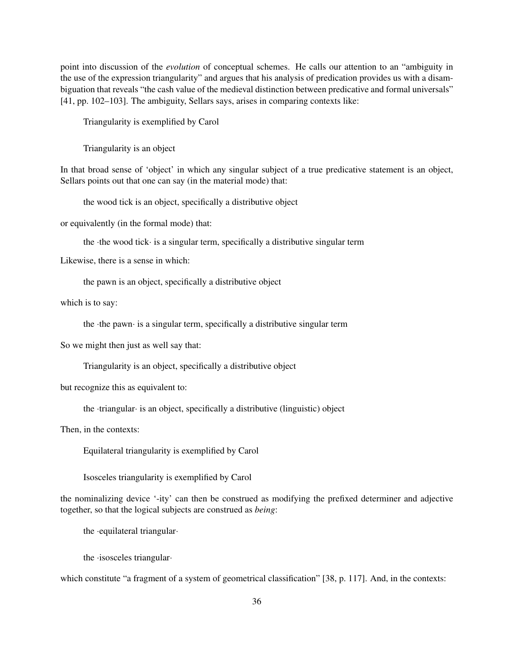point into discussion of the *evolution* of conceptual schemes. He calls our attention to an "ambiguity in the use of the expression triangularity" and argues that his analysis of predication provides us with a disambiguation that reveals "the cash value of the medieval distinction between predicative and formal universals" [41, pp. 102–103]. The ambiguity, Sellars says, arises in comparing contexts like:

Triangularity is exemplified by Carol

Triangularity is an object

In that broad sense of 'object' in which any singular subject of a true predicative statement is an object, Sellars points out that one can say (in the material mode) that:

the wood tick is an object, specifically a distributive object

or equivalently (in the formal mode) that:

the ·the wood tick· is a singular term, specifically a distributive singular term

Likewise, there is a sense in which:

the pawn is an object, specifically a distributive object

which is to say:

the ·the pawn· is a singular term, specifically a distributive singular term

So we might then just as well say that:

Triangularity is an object, specifically a distributive object

but recognize this as equivalent to:

the ·triangular· is an object, specifically a distributive (linguistic) object

Then, in the contexts:

Equilateral triangularity is exemplified by Carol

Isosceles triangularity is exemplified by Carol

the nominalizing device '-ity' can then be construed as modifying the prefixed determiner and adjective together, so that the logical subjects are construed as *being*:

the ·equilateral triangular·

the ·isosceles triangular·

which constitute "a fragment of a system of geometrical classification" [38, p. 117]. And, in the contexts: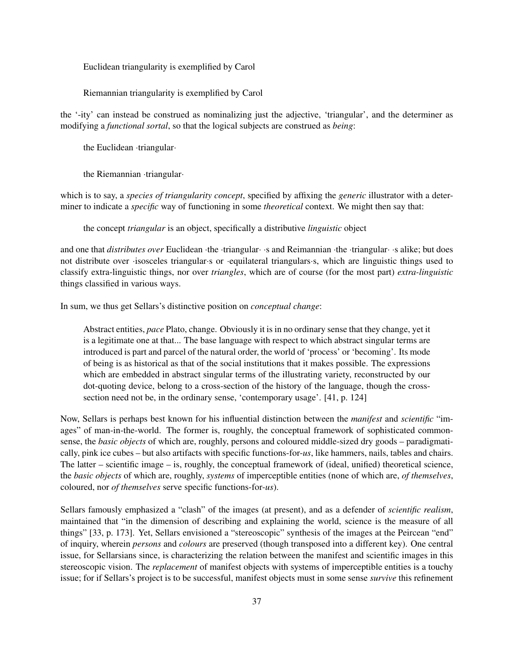Euclidean triangularity is exemplified by Carol

Riemannian triangularity is exemplified by Carol

the '-ity' can instead be construed as nominalizing just the adjective, 'triangular', and the determiner as modifying a *functional sortal*, so that the logical subjects are construed as *being*:

the Euclidean ·triangular·

the Riemannian ·triangular·

which is to say, a *species of triangularity concept*, specified by affixing the *generic* illustrator with a determiner to indicate a *specific* way of functioning in some *theoretical* context. We might then say that:

the concept *triangular* is an object, specifically a distributive *linguistic* object

and one that *distributes over* Euclidean ·the ·triangular· ·s and Reimannian ·the ·triangular· ·s alike; but does not distribute over ·isosceles triangular·s or ·equilateral triangulars·s, which are linguistic things used to classify extra-linguistic things, nor over *triangles*, which are of course (for the most part) *extra-linguistic* things classified in various ways.

In sum, we thus get Sellars's distinctive position on *conceptual change*:

Abstract entities, *pace* Plato, change. Obviously it is in no ordinary sense that they change, yet it is a legitimate one at that... The base language with respect to which abstract singular terms are introduced is part and parcel of the natural order, the world of 'process' or 'becoming'. Its mode of being is as historical as that of the social institutions that it makes possible. The expressions which are embedded in abstract singular terms of the illustrating variety, reconstructed by our dot-quoting device, belong to a cross-section of the history of the language, though the crosssection need not be, in the ordinary sense, 'contemporary usage'. [41, p. 124]

Now, Sellars is perhaps best known for his influential distinction between the *manifest* and *scientific* "images" of man-in-the-world. The former is, roughly, the conceptual framework of sophisticated commonsense, the *basic objects* of which are, roughly, persons and coloured middle-sized dry goods – paradigmatically, pink ice cubes – but also artifacts with specific functions-for-*us*, like hammers, nails, tables and chairs. The latter – scientific image – is, roughly, the conceptual framework of (ideal, unified) theoretical science, the *basic objects* of which are, roughly, *systems* of imperceptible entities (none of which are, *of themselves*, coloured, nor *of themselves* serve specific functions-for-*us*).

Sellars famously emphasized a "clash" of the images (at present), and as a defender of *scientific realism*, maintained that "in the dimension of describing and explaining the world, science is the measure of all things" [33, p. 173]. Yet, Sellars envisioned a "stereoscopic" synthesis of the images at the Peircean "end" of inquiry, wherein *persons* and *colours* are preserved (though transposed into a different key). One central issue, for Sellarsians since, is characterizing the relation between the manifest and scientific images in this stereoscopic vision. The *replacement* of manifest objects with systems of imperceptible entities is a touchy issue; for if Sellars's project is to be successful, manifest objects must in some sense *survive* this refinement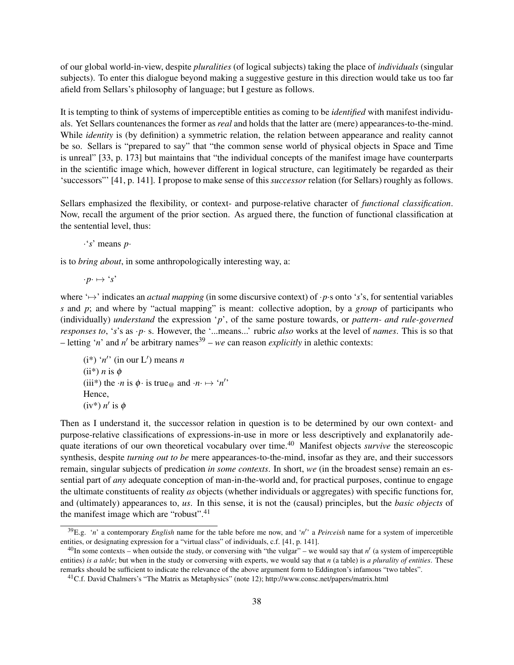of our global world-in-view, despite *pluralities* (of logical subjects) taking the place of *individuals* (singular subjects). To enter this dialogue beyond making a suggestive gesture in this direction would take us too far afield from Sellars's philosophy of language; but I gesture as follows.

It is tempting to think of systems of imperceptible entities as coming to be *identified* with manifest individuals. Yet Sellars countenances the former as *real* and holds that the latter are (mere) appearances-to-the-mind. While *identity* is (by definition) a symmetric relation, the relation between appearance and reality cannot be so. Sellars is "prepared to say" that "the common sense world of physical objects in Space and Time is unreal" [33, p. 173] but maintains that "the individual concepts of the manifest image have counterparts in the scientific image which, however different in logical structure, can legitimately be regarded as their 'successors"' [41, p. 141]. I propose to make sense of this *successor* relation (for Sellars) roughly as follows.

Sellars emphasized the flexibility, or context- and purpose-relative character of *functional classification*. Now, recall the argument of the prior section. As argued there, the function of functional classification at the sentential level, thus:

·'*s*' means *p*·

is to *bring about*, in some anthropologically interesting way, a:

 $\cdot p \cdot \mapsto \hat{ } \cdot s'$ 

where '7→' indicates an *actual mapping* (in some discursive context) of ·*p*·s onto '*s*'s, for sentential variables *s* and *p*; and where by "actual mapping" is meant: collective adoption, by a *group* of participants who (individually) *understand* the expression '*p*', of the same posture towards, or *pattern- and rule-governed responses to*, '*s*'s as ·*p*· s. However, the '...means...' rubric *also* works at the level of *names*. This is so that  $-$  letting '*n*' and *n'* be arbitrary names<sup>39</sup> – *we* can reason *explicitly* in alethic contexts:

 $(i^*)$  '*n'* (in our L') means *n*  $(ii^*)$  *n* is  $\phi$ (iii<sup>\*</sup>) the  $\cdot n$  is  $\phi \cdot$  is true<sub>@</sub> and  $\cdot n \mapsto \cdot n'$ ' Hence,  $(iv^*) n'$  is  $\phi$ 

Then as I understand it, the successor relation in question is to be determined by our own context- and purpose-relative classifications of expressions-in-use in more or less descriptively and explanatorily adequate iterations of our own theoretical vocabulary over time.<sup>40</sup> Manifest objects *survive* the stereoscopic synthesis, despite *turning out to be* mere appearances-to-the-mind, insofar as they are, and their successors remain, singular subjects of predication *in some contexts*. In short, *we* (in the broadest sense) remain an essential part of *any* adequate conception of man-in-the-world and, for practical purposes, continue to engage the ultimate constituents of reality *as* objects (whether individuals or aggregates) with specific functions for, and (ultimately) appearances to, *us*. In this sense, it is not the (causal) principles, but the *basic objects* of the manifest image which are "robust".<sup>41</sup>

<sup>&</sup>lt;sup>39</sup>E.g. 'n' a contemporary *English* name for the table before me now, and 'n' a *Peirceish* name for a system of impercetible entities, or designating expression for a "virtual class" of individuals, c.f. [41, p. 141].

 $40$ In some contexts – when outside the study, or conversing with "the vulgar" – we would say that  $n'$  (a system of imperceptible entities) *is a table*; but when in the study or conversing with experts, we would say that *n* (a table) is *a plurality of entities*. These remarks should be sufficient to indicate the relevance of the above argument form to Eddington's infamous "two tables".

<sup>41</sup>C.f. David Chalmers's "The Matrix as Metaphysics" (note 12); http://www.consc.net/papers/matrix.html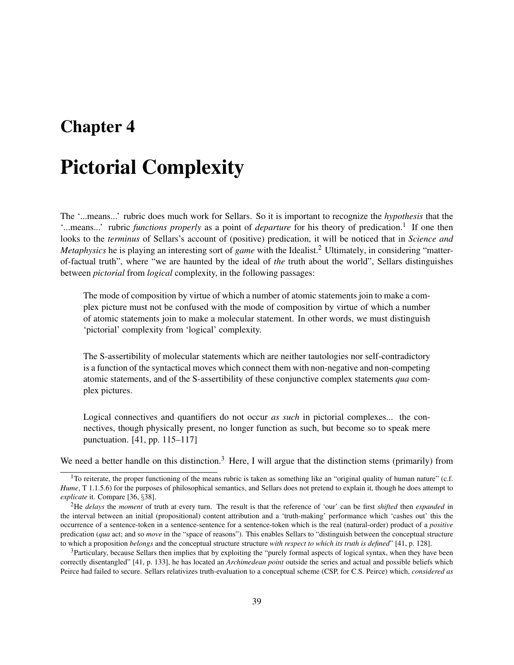## Chapter 4

# Pictorial Complexity

The '...means...' rubric does much work for Sellars. So it is important to recognize the *hypothesis* that the '...means...' rubric *functions properly* as a point of *departure* for his theory of predication.<sup>1</sup> If one then looks to the *terminus* of Sellars's account of (positive) predication, it will be noticed that in *Science and Metaphysics* he is playing an interesting sort of *game* with the Idealist.<sup>2</sup> Ultimately, in considering "matterof-factual truth", where "we are haunted by the ideal of *the* truth about the world", Sellars distinguishes between *pictorial* from *logical* complexity, in the following passages:

The mode of composition by virtue of which a number of atomic statements join to make a complex picture must not be confused with the mode of composition by virtue of which a number of atomic statements join to make a molecular statement. In other words, we must distinguish 'pictorial' complexity from 'logical' complexity.

The S-assertibility of molecular statements which are neither tautologies nor self-contradictory is a function of the syntactical moves which connect them with non-negative and non-competing atomic statements, and of the S-assertibility of these conjunctive complex statements *qua* complex pictures.

Logical connectives and quantifiers do not occur *as such* in pictorial complexes... the connectives, though physically present, no longer function as such, but become so to speak mere punctuation. [41, pp. 115–117]

We need a better handle on this distinction.<sup>3</sup> Here, I will argue that the distinction stems (primarily) from

<sup>&</sup>lt;sup>1</sup>To reiterate, the proper functioning of the means rubric is taken as something like an "original quality of human nature" (c.f. *Hume*, T 1.1.5.6) for the purposes of philosophical semantics, and Sellars does not pretend to explain it, though he does attempt to *explicate* it. Compare [36, §38].

<sup>2</sup>He *delays* the *moment* of truth at every turn. The result is that the reference of 'our' can be first *shifted* then *expanded* in the interval between an initial (propositional) content attribution and a 'truth-making' performance which 'cashes out' this the occurrence of a sentence-token in a sentence-sentence for a sentence-token which is the real (natural-order) product of a *positive* predication (*qua* act; and so *move* in the "space of reasons"). This enables Sellars to "distinguish between the conceptual structure to which a proposition *belongs* and the conceptual structure structure *with respect to which its truth is defined*" [41, p. 128].

<sup>&</sup>lt;sup>3</sup>Particulary, because Sellars then implies that by exploiting the "purely formal aspects of logical syntax, when they have been correctly disentangled" [41, p. 133], he has located an *Archimedean point* outside the series and actual and possible beliefs which Peirce had failed to secure. Sellars relativizes truth-evaluation to a conceptual scheme (CSP, for C.S. Peirce) which, *considered as*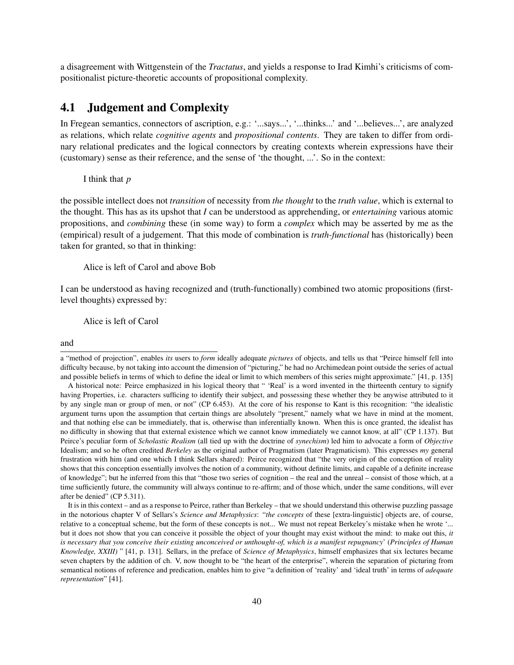a disagreement with Wittgenstein of the *Tractatus*, and yields a response to Irad Kimhi's criticisms of compositionalist picture-theoretic accounts of propositional complexity.

## 4.1 Judgement and Complexity

In Fregean semantics, connectors of ascription, e.g.: '...says...', '...thinks...' and '...believes...', are analyzed as relations, which relate *cognitive agents* and *propositional contents*. They are taken to differ from ordinary relational predicates and the logical connectors by creating contexts wherein expressions have their (customary) sense as their reference, and the sense of 'the thought, ...'. So in the context:

#### I think that *p*

the possible intellect does not *transition* of necessity from *the thought* to the *truth value*, which is external to the thought. This has as its upshot that *I* can be understood as apprehending, or *entertaining* various atomic propositions, and *combining* these (in some way) to form a *complex* which may be asserted by me as the (empirical) result of a judgement. That this mode of combination is *truth-functional* has (historically) been taken for granted, so that in thinking:

#### Alice is left of Carol and above Bob

I can be understood as having recognized and (truth-functionally) combined two atomic propositions (firstlevel thoughts) expressed by:

Alice is left of Carol

and

a "method of projection", enables *its* users to *form* ideally adequate *pictures* of objects, and tells us that "Peirce himself fell into difficulty because, by not taking into account the dimension of "picturing," he had no Archimedean point outside the series of actual and possible beliefs in terms of which to define the ideal or limit to which members of this series might approximate." [41, p. 135]

A historical note: Peirce emphasized in his logical theory that " 'Real' is a word invented in the thirteenth century to signify having Properties, i.e. characters sufficing to identify their subject, and possessing these whether they be anywise attributed to it by any single man or group of men, or not" (CP 6.453). At the core of his response to Kant is this recognition: "the idealistic argument turns upon the assumption that certain things are absolutely "present," namely what we have in mind at the moment, and that nothing else can be immediately, that is, otherwise than inferentially known. When this is once granted, the idealist has no difficulty in showing that that external existence which we cannot know immediately we cannot know, at all" (CP 1.137). But Peirce's peculiar form of *Scholastic Realism* (all tied up with the doctrine of *synechism*) led him to advocate a form of *Objective* Idealism; and so he often credited *Berkeley* as the original author of Pragmatism (later Pragmaticism). This expresses *my* general frustration with him (and one which I think Sellars shared): Peirce recognized that "the very origin of the conception of reality shows that this conception essentially involves the notion of a community, without definite limits, and capable of a definite increase of knowledge"; but he inferred from this that "those two series of cognition – the real and the unreal – consist of those which, at a time sufficiently future, the community will always continue to re-affirm; and of those which, under the same conditions, will ever after be denied" (CP 5.311).

It is in this context – and as a response to Peirce, rather than Berkeley – that we should understand this otherwise puzzling passage in the notorious chapter V of Sellars's *Science and Metaphysics*: "*the concepts* of these [extra-linguistic] objects are, of course, relative to a conceptual scheme, but the form of these concepts is not... We must not repeat Berkeley's mistake when he wrote '... but it does not show that you can conceive it possible the object of your thought may exist without the mind: to make out this, *it is necessary that you conceive their existing unconceived or unthought-of, which is a manifest repugnancy*' (*Principles of Human Knowledge, XXIII)* " [41, p. 131]. Sellars, in the preface of *Science of Metaphysics*, himself emphasizes that six lectures became seven chapters by the addition of ch. V, now thought to be "the heart of the enterprise", wherein the separation of picturing from semantical notions of reference and predication, enables him to give "a definition of 'reality' and 'ideal truth' in terms of *adequate representation*" [41].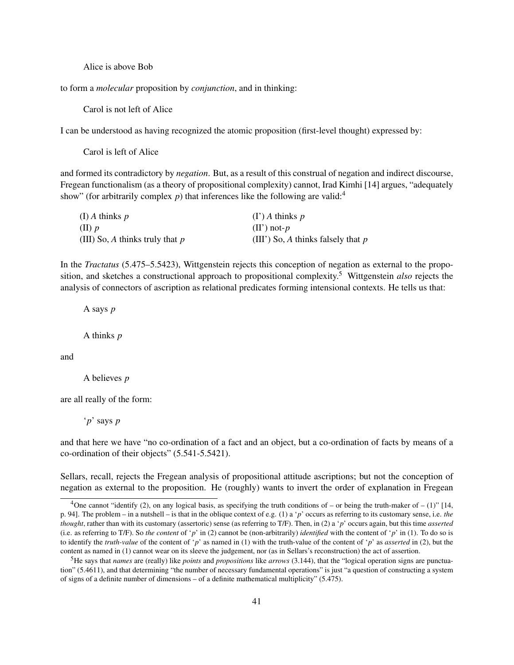Alice is above Bob

to form a *molecular* proposition by *conjunction*, and in thinking:

Carol is not left of Alice

I can be understood as having recognized the atomic proposition (first-level thought) expressed by:

Carol is left of Alice

and formed its contradictory by *negation*. But, as a result of this construal of negation and indirect discourse, Fregean functionalism (as a theory of propositional complexity) cannot, Irad Kimhi [14] argues, "adequately show" (for arbitrarily complex  $p$ ) that inferences like the following are valid:<sup>4</sup>

| (I) A thinks $p$                  | $(\Gamma)$ A thinks p                |
|-----------------------------------|--------------------------------------|
| $(II)$ p                          | $(II')$ not- $p$                     |
| (III) So, A thinks truly that $p$ | (III') So, A thinks falsely that $p$ |

In the *Tractatus* (5.475–5.5423), Wittgenstein rejects this conception of negation as external to the proposition, and sketches a constructional approach to propositional complexity.<sup>5</sup> Wittgenstein *also* rejects the analysis of connectors of ascription as relational predicates forming intensional contexts. He tells us that:

A says *p*

A thinks *p*

and

A believes *p*

are all really of the form:

'*p*' says *p*

and that here we have "no co-ordination of a fact and an object, but a co-ordination of facts by means of a co-ordination of their objects" (5.541-5.5421).

Sellars, recall, rejects the Fregean analysis of propositional attitude ascriptions; but not the conception of negation as external to the proposition. He (roughly) wants to invert the order of explanation in Fregean

<sup>&</sup>lt;sup>4</sup>One cannot "identify (2), on any logical basis, as specifying the truth conditions of – or being the truth-maker of – (1)" [14, p. 94]. The problem – in a nutshell – is that in the oblique context of e.g. (1) a '*p*' occurs as referring to its customary sense, i.e. *the thought*, rather than with its customary (assertoric) sense (as referring to T/F). Then, in (2) a '*p*' occurs again, but this time *asserted* (i.e. as referring to T/F). So *the content* of '*p*' in (2) cannot be (non-arbitrarily) *identified* with the content of '*p*' in (1). To do so is to identify the *truth-value* of the content of '*p*' as named in (1) with the truth-value of the content of '*p*' as *asserted* in (2), but the content as named in (1) cannot wear on its sleeve the judgement, nor (as in Sellars's reconstruction) the act of assertion.

<sup>5</sup>He says that *names* are (really) like *points* and *propositions* like *arrows* (3.144), that the "logical operation signs are punctuation" (5.4611), and that determining "the number of necessary fundamental operations" is just "a question of constructing a system of signs of a definite number of dimensions – of a definite mathematical multiplicity" (5.475).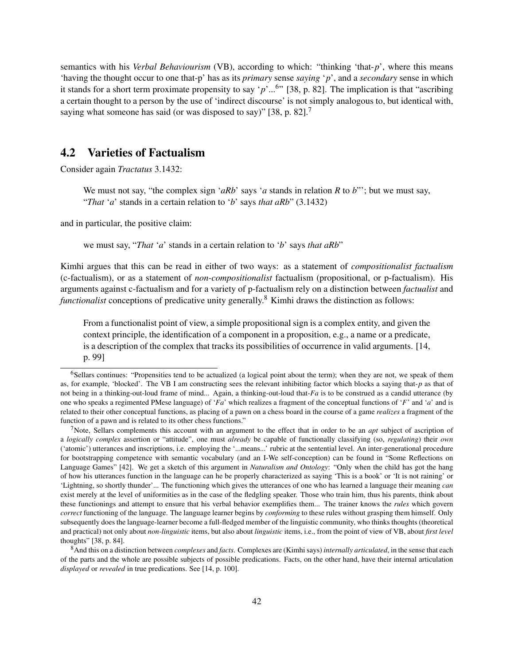semantics with his *Verbal Behaviourism* (VB), according to which: "thinking 'that-*p*', where this means 'having the thought occur to one that-p' has as its *primary* sense *saying* '*p*', and a *secondary* sense in which it stands for a short term proximate propensity to say '*p*'...<sup>6</sup> " [38, p. 82]. The implication is that "ascribing a certain thought to a person by the use of 'indirect discourse' is not simply analogous to, but identical with, saying what someone has said (or was disposed to say)" [38, p. 82].<sup>7</sup>

## 4.2 Varieties of Factualism

Consider again *Tractatus* 3.1432:

We must not say, "the complex sign '*aRb*' says '*a* stands in relation *R* to *b*"'; but we must say, "*That* '*a*' stands in a certain relation to '*b*' says *that aRb*" (3.1432)

and in particular, the positive claim:

we must say, "*That* '*a*' stands in a certain relation to '*b*' says *that aRb*"

Kimhi argues that this can be read in either of two ways: as a statement of *compositionalist factualism* (c-factualism), or as a statement of *non-compositionalist* factualism (propositional, or p-factualism). His arguments against c-factualism and for a variety of p-factualism rely on a distinction between *factualist* and *functionalist* conceptions of predicative unity generally.<sup>8</sup> Kimhi draws the distinction as follows:

From a functionalist point of view, a simple propositional sign is a complex entity, and given the context principle, the identification of a component in a proposition, e.g., a name or a predicate, is a description of the complex that tracks its possibilities of occurrence in valid arguments. [14, p. 99]

<sup>6</sup>Sellars continues: "Propensities tend to be actualized (a logical point about the term); when they are not, we speak of them as, for example, 'blocked'. The VB I am constructing sees the relevant inhibiting factor which blocks a saying that-*p* as that of not being in a thinking-out-loud frame of mind... Again, a thinking-out-loud that-*Fa* is to be construed as a candid utterance (by one who speaks a regimented PMese language) of '*Fa*' which realizes a fragment of the conceptual functions of '*F*' and '*a*' and is related to their other conceptual functions, as placing of a pawn on a chess board in the course of a game *realizes* a fragment of the function of a pawn and is related to its other chess functions."

<sup>7</sup>Note, Sellars complements this account with an argument to the effect that in order to be an *apt* subject of ascription of a *logically complex* assertion or "attitude", one must *already* be capable of functionally classifying (so, *regulating*) their *own* ('atomic') utterances and inscriptions, i.e. employing the '...means...' rubric at the sentential level. An inter-generational procedure for bootstrapping competence with semantic vocabulary (and an I-We self-conception) can be found in "Some Reflections on Language Games" [42]. We get a sketch of this argument in *Naturalism and Ontology*: "Only when the child has got the hang of how his utterances function in the language can he be properly characterized as saying 'This is a book' or 'It is not raining' or 'Lightning, so shortly thunder'... The functioning which gives the utterances of one who has learned a language their meaning *can* exist merely at the level of uniformities as in the case of the fledgling speaker. Those who train him, thus his parents, think about these functionings and attempt to ensure that his verbal behavior exemplifies them... The trainer knows the *rules* which govern *correct* functioning of the language. The language learner begins by *conforming* to these rules without grasping them himself. Only subsequently does the language-learner become a full-fledged member of the linguistic community, who thinks thoughts (theoretical and practical) not only about *non-linguistic* items, but also about *linguistic* items, i.e., from the point of view of VB, about *first level* thoughts" [38, p. 84].

<sup>8</sup>And this on a distinction between *complexes* and *facts*. Complexes are (Kimhi says) *internally articulated*, in the sense that each of the parts and the whole are possible subjects of possible predications. Facts, on the other hand, have their internal articulation *displayed* or *revealed* in true predications. See [14, p. 100].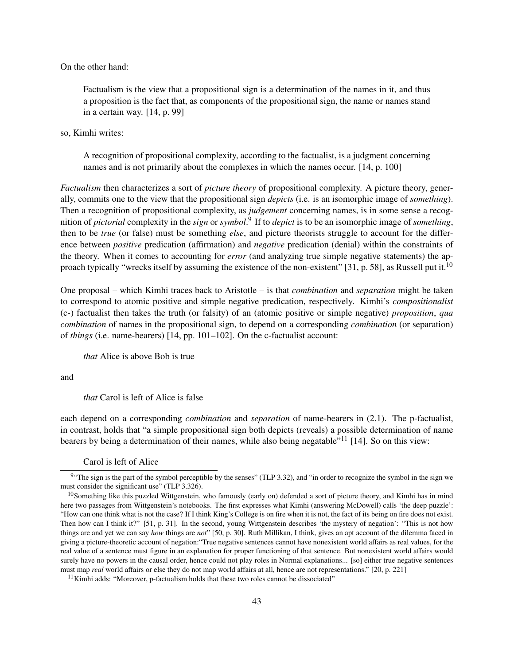On the other hand:

Factualism is the view that a propositional sign is a determination of the names in it, and thus a proposition is the fact that, as components of the propositional sign, the name or names stand in a certain way. [14, p. 99]

so, Kimhi writes:

A recognition of propositional complexity, according to the factualist, is a judgment concerning names and is not primarily about the complexes in which the names occur. [14, p. 100]

*Factualism* then characterizes a sort of *picture theory* of propositional complexity. A picture theory, generally, commits one to the view that the propositional sign *depicts* (i.e. is an isomorphic image of *something*). Then a recognition of propositional complexity, as *judgement* concerning names, is in some sense a recognition of *pictorial* complexity in the *sign* or *symbol*. 9 If to *depict* is to be an isomorphic image of *something*, then to be *true* (or false) must be something *else*, and picture theorists struggle to account for the difference between *positive* predication (affirmation) and *negative* predication (denial) within the constraints of the theory. When it comes to accounting for *error* (and analyzing true simple negative statements) the approach typically "wrecks itself by assuming the existence of the non-existent" [31, p. 58], as Russell put it.<sup>10</sup>

One proposal – which Kimhi traces back to Aristotle – is that *combination* and *separation* might be taken to correspond to atomic positive and simple negative predication, respectively. Kimhi's *compositionalist* (c-) factualist then takes the truth (or falsity) of an (atomic positive or simple negative) *proposition*, *qua combination* of names in the propositional sign, to depend on a corresponding *combination* (or separation) of *things* (i.e. name-bearers) [14, pp. 101–102]. On the c-factualist account:

*that* Alice is above Bob is true

and

*that* Carol is left of Alice is false

each depend on a corresponding *combination* and *separation* of name-bearers in (2.1). The p-factualist, in contrast, holds that "a simple propositional sign both depicts (reveals) a possible determination of name bearers by being a determination of their names, while also being negatable"<sup>11</sup> [14]. So on this view:

Carol is left of Alice

 $11$ Kimhi adds: "Moreover, p-factualism holds that these two roles cannot be dissociated"

<sup>&</sup>lt;sup>9.</sup> The sign is the part of the symbol perceptible by the senses" (TLP 3.32), and "in order to recognize the symbol in the sign we must consider the significant use" (TLP 3.326).

<sup>&</sup>lt;sup>10</sup>Something like this puzzled Wittgenstein, who famously (early on) defended a sort of picture theory, and Kimhi has in mind here two passages from Wittgenstein's notebooks. The first expresses what Kimhi (answering McDowell) calls 'the deep puzzle': "How can one think what is not the case? If I think King's College is on fire when it is not, the fact of its being on fire does not exist. Then how can I think it?" [51, p. 31]. In the second, young Wittgenstein describes 'the mystery of negation': "This is not how things are and yet we can say *how* things are *not*" [50, p. 30]. Ruth Millikan, I think, gives an apt account of the dilemma faced in giving a picture-theoretic account of negation:"True negative sentences cannot have nonexistent world affairs as real values, for the real value of a sentence must figure in an explanation for proper functioning of that sentence. But nonexistent world affairs would surely have no powers in the causal order, hence could not play roles in Normal explanations... [so] either true negative sentences must map *real* world affairs or else they do not map world affairs at all, hence are not representations." [20, p. 221]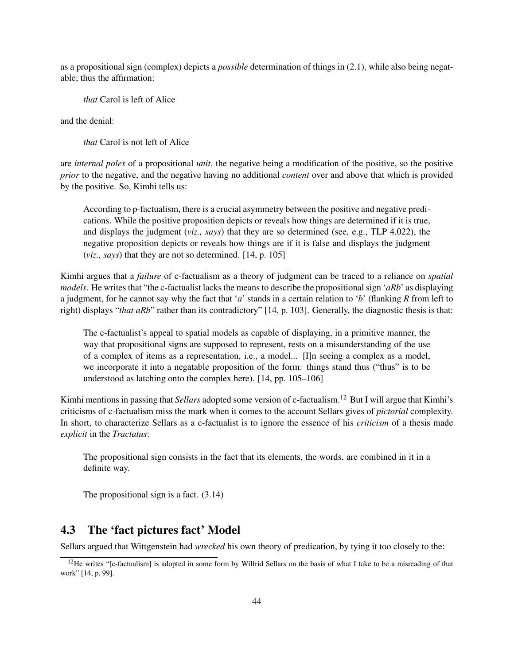as a propositional sign (complex) depicts a *possible* determination of things in (2.1), while also being negatable; thus the affirmation:

*that* Carol is left of Alice

and the denial:

*that* Carol is not left of Alice

are *internal poles* of a propositional *unit*, the negative being a modification of the positive, so the positive *prior* to the negative, and the negative having no additional *content* over and above that which is provided by the positive. So, Kimhi tells us:

According to p-factualism, there is a crucial asymmetry between the positive and negative predications. While the positive proposition depicts or reveals how things are determined if it is true, and displays the judgment (*viz., says*) that they are so determined (see, e.g., TLP 4.022), the negative proposition depicts or reveals how things are if it is false and displays the judgment (*viz., says*) that they are not so determined. [14, p. 105]

Kimhi argues that a *failure* of c-factualism as a theory of judgment can be traced to a reliance on *spatial models*. He writes that "the c-factualist lacks the means to describe the propositional sign '*aRb*' as displaying a judgment, for he cannot say why the fact that '*a*' stands in a certain relation to '*b*' (flanking *R* from left to right) displays "*that aRb*" rather than its contradictory" [14, p. 103]. Generally, the diagnostic thesis is that:

The c-factualist's appeal to spatial models as capable of displaying, in a primitive manner, the way that propositional signs are supposed to represent, rests on a misunderstanding of the use of a complex of items as a representation, i.e., a model... [I]n seeing a complex as a model, we incorporate it into a negatable proposition of the form: things stand thus ("thus" is to be understood as latching onto the complex here). [14, pp. 105–106]

Kimhi mentions in passing that *Sellars* adopted some version of c-factualism.<sup>12</sup> But I will argue that Kimhi's criticisms of c-factualism miss the mark when it comes to the account Sellars gives of *pictorial* complexity. In short, to characterize Sellars as a c-factualist is to ignore the essence of his *criticism* of a thesis made *explicit* in the *Tractatus*:

The propositional sign consists in the fact that its elements, the words, are combined in it in a definite way.

The propositional sign is a fact. (3.14)

## 4.3 The 'fact pictures fact' Model

Sellars argued that Wittgenstein had *wrecked* his own theory of predication, by tying it too closely to the:

<sup>&</sup>lt;sup>12</sup>He writes "[c-factualism] is adopted in some form by Wilfrid Sellars on the basis of what I take to be a misreading of that work" [14, p. 99].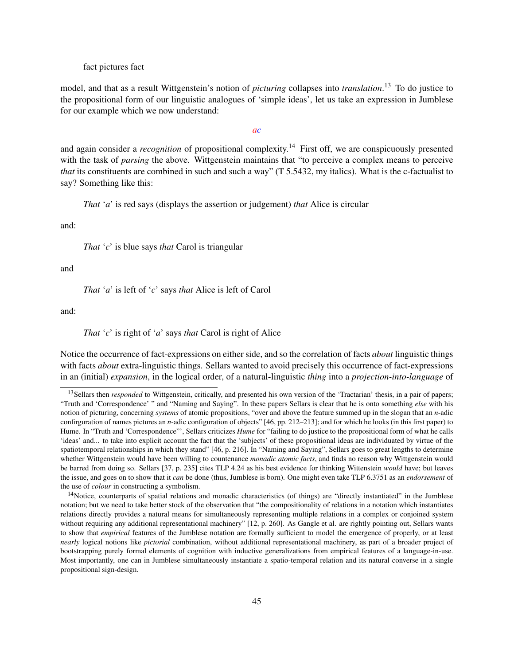fact pictures fact

model, and that as a result Wittgenstein's notion of *picturing* collapses into *translation*. <sup>13</sup> To do justice to the propositional form of our linguistic analogues of 'simple ideas', let us take an expression in Jumblese for our example which we now understand:

*ac*

and again consider a *recognition* of propositional complexity.<sup>14</sup> First off, we are conspicuously presented with the task of *parsing* the above. Wittgenstein maintains that "to perceive a complex means to perceive *that* its constituents are combined in such and such a way" (T 5.5432, my italics). What is the c-factualist to say? Something like this:

*That* '*a*' is red says (displays the assertion or judgement) *that* Alice is circular

and:

*That* '*c*' is blue says *that* Carol is triangular

and

*That* '*a*' is left of '*c*' says *that* Alice is left of Carol

and:

*That* '*c*' is right of '*a*' says *that* Carol is right of Alice

Notice the occurrence of fact-expressions on either side, and so the correlation of facts *about* linguistic things with facts *about* extra-linguistic things. Sellars wanted to avoid precisely this occurrence of fact-expressions in an (initial) *expansion*, in the logical order, of a natural-linguistic *thing* into a *projection-into-language* of

<sup>&</sup>lt;sup>13</sup>Sellars then *responded* to Wittgenstein, critically, and presented his own version of the 'Tractarian' thesis, in a pair of papers; "Truth and 'Correspondence' " and "Naming and Saying". In these papers Sellars is clear that he is onto something *else* with his notion of picturing, concerning *systems* of atomic propositions, "over and above the feature summed up in the slogan that an *n*-adic confirguration of names pictures an *n*-adic configuration of objects" [46, pp. 212–213]; and for which he looks (in this first paper) to Hume. In "Truth and 'Correspondence"', Sellars criticizes *Hume* for "failing to do justice to the propositional form of what he calls 'ideas' and... to take into explicit account the fact that the 'subjects' of these propositional ideas are individuated by virtue of the spatiotemporal relationships in which they stand" [46, p. 216]. In "Naming and Saying", Sellars goes to great lengths to determine whether Wittgenstein would have been willing to countenance *monadic atomic facts*, and finds no reason why Wittgenstein would be barred from doing so. Sellars [37, p. 235] cites TLP 4.24 as his best evidence for thinking Wittenstein *would* have; but leaves the issue, and goes on to show that it *can* be done (thus, Jumblese is born). One might even take TLP 6.3751 as an *endorsement* of the use of *colour* in constructing a symbolism.

<sup>&</sup>lt;sup>14</sup>Notice, counterparts of spatial relations and monadic characteristics (of things) are "directly instantiated" in the Jumblese notation; but we need to take better stock of the observation that "the compositionality of relations in a notation which instantiates relations directly provides a natural means for simultaneously representing multiple relations in a complex or conjoined system without requiring any additional representational machinery" [12, p. 260]. As Gangle et al. are rightly pointing out, Sellars wants to show that *empirical* features of the Jumblese notation are formally sufficient to model the emergence of properly, or at least *nearly* logical notions like *pictorial* combination, without additional representational machinery, as part of a broader project of bootstrapping purely formal elements of cognition with inductive generalizations from empirical features of a language-in-use. Most importantly, one can in Jumblese simultaneously instantiate a spatio-temporal relation and its natural converse in a single propositional sign-design.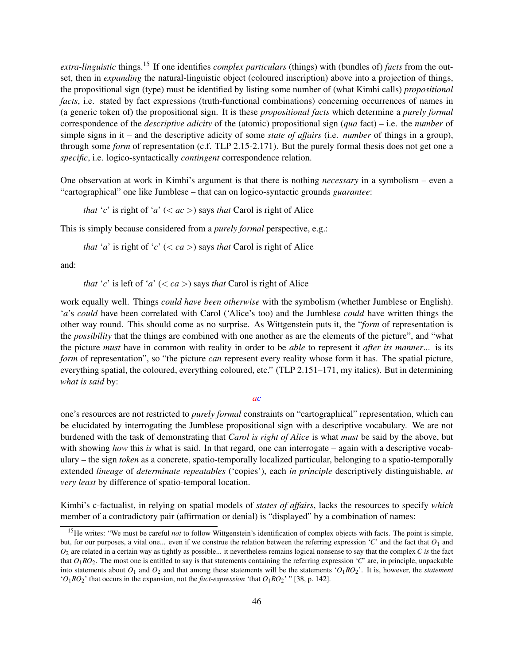*extra-linguistic* things.<sup>15</sup> If one identifies *complex particulars* (things) with (bundles of) *facts* from the outset, then in *expanding* the natural-linguistic object (coloured inscription) above into a projection of things, the propositional sign (type) must be identified by listing some number of (what Kimhi calls) *propositional facts*, i.e. stated by fact expressions (truth-functional combinations) concerning occurrences of names in (a generic token of) the propositional sign. It is these *propositional facts* which determine a *purely formal* correspondence of the *descriptive adicity* of the (atomic) propositional sign (*qua* fact) – i.e. the *number* of simple signs in it – and the descriptive adicity of some *state of affairs* (i.e. *number* of things in a group), through some *form* of representation (c.f. TLP 2.15-2.171). But the purely formal thesis does not get one a *specific*, i.e. logico-syntactically *contingent* correspondence relation.

One observation at work in Kimhi's argument is that there is nothing *necessary* in a symbolism – even a "cartographical" one like Jumblese – that can on logico-syntactic grounds *guarantee*:

*that* '*c*' is right of '*a*' ( $\lt$  *ac*  $\gt$ ) says *that* Carol is right of Alice

This is simply because considered from a *purely formal* perspective, e.g.:

*that* '*a*' is right of '*c*' ( $\langle ca \rangle$ ) says *that* Carol is right of Alice

and:

*that* '*c*' is left of '*a*' ( $\langle ca \rangle$ ) says *that* Carol is right of Alice

work equally well. Things *could have been otherwise* with the symbolism (whether Jumblese or English). '*a*'s *could* have been correlated with Carol ('Alice's too) and the Jumblese *could* have written things the other way round. This should come as no surprise. As Wittgenstein puts it, the "*form* of representation is the *possibility* that the things are combined with one another as are the elements of the picture", and "what the picture *must* have in common with reality in order to be *able* to represent it *after its manner*... is its *form* of representation", so "the picture *can* represent every reality whose form it has. The spatial picture, everything spatial, the coloured, everything coloured, etc." (TLP 2.151–171, my italics). But in determining *what is said* by:

#### *ac*

one's resources are not restricted to *purely formal* constraints on "cartographical" representation, which can be elucidated by interrogating the Jumblese propositional sign with a descriptive vocabulary. We are not burdened with the task of demonstrating that *Carol is right of Alice* is what *must* be said by the above, but with showing *how* this *is* what is said. In that regard, one can interrogate – again with a descriptive vocabulary – the sign *token* as a concrete, spatio-temporally localized particular, belonging to a spatio-temporally extended *lineage* of *determinate repeatables* ('copies'), each *in principle* descriptively distinguishable, *at very least* by difference of spatio-temporal location.

Kimhi's c-factualist, in relying on spatial models of *states of affairs*, lacks the resources to specify *which* member of a contradictory pair (affirmation or denial) is "displayed" by a combination of names:

<sup>&</sup>lt;sup>15</sup>He writes: "We must be careful *not* to follow Wittgenstein's identification of complex objects with facts. The point is simple, but, for our purposes, a vital one... even if we construe the relation between the referring expression 'C' and the fact that  $O_1$  and *O*<sup>2</sup> are related in a certain way as tightly as possible... it nevertheless remains logical nonsense to say that the complex *C is* the fact that  $O_1RO_2$ . The most one is entitled to say is that statements containing the referring expression '*C*' are, in principle, unpackable into statements about *O*<sup>1</sup> and *O*<sup>2</sup> and that among these statements will be the statements '*O*1*RO*2'. It is, however, the *statement*  $^{\prime}O_1RO_2$ ' that occurs in the expansion, not the *fact-expression* 'that  $O_1RO_2$ ' " [38, p. 142].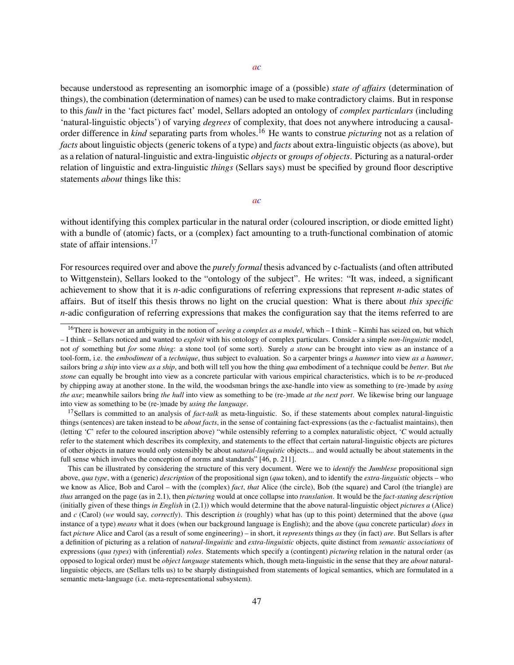because understood as representing an isomorphic image of a (possible) *state of affairs* (determination of things), the combination (determination of names) can be used to make contradictory claims. But in response to this *fault* in the 'fact pictures fact' model, Sellars adopted an ontology of *complex particulars* (including 'natural-linguistic objects') of varying *degrees* of complexity, that does not anywhere introducing a causalorder difference in *kind* separating parts from wholes.<sup>16</sup> He wants to construe *picturing* not as a relation of *facts* about linguistic objects (generic tokens of a type) and *facts* about extra-linguistic objects (as above), but as a relation of natural-linguistic and extra-linguistic *objects* or *groups of objects*. Picturing as a natural-order relation of linguistic and extra-linguistic *things* (Sellars says) must be specified by ground floor descriptive statements *about* things like this:

#### *ac*

without identifying this complex particular in the natural order (coloured inscription, or diode emitted light) with a bundle of (atomic) facts, or a (complex) fact amounting to a truth-functional combination of atomic state of affair intensions.<sup>17</sup>

For resources required over and above the *purely formal* thesis advanced by c-factualists (and often attributed to Wittgenstein), Sellars looked to the "ontology of the subject". He writes: "It was, indeed, a significant achievement to show that it is *n*-adic configurations of referring expressions that represent *n*-adic states of affairs. But of itself this thesis throws no light on the crucial question: What is there about *this specific n*-adic configuration of referring expressions that makes the configuration say that the items referred to are

<sup>17</sup>Sellars is committed to an analysis of *fact-talk* as meta-linguistic. So, if these statements about complex natural-linguistic things (sentences) are taken instead to be *about facts*, in the sense of containing fact-expressions (as the *c*-factualist maintains), then (letting '*C*' refer to the coloured inscription above) "while ostensibly referring to a complex naturalistic object, '*C* would actually refer to the statement which describes its complexity, and statements to the effect that certain natural-linguistic objects are pictures of other objects in nature would only ostensibly be about *natural-linguistic* objects... and would actually be about statements in the full sense which involves the conception of norms and standards" [46, p. 211].

This can be illustrated by considering the structure of this very document. Were we to *identify* the *Jumblese* propositional sign above, *qua type*, with a (generic) *description* of the propositional sign (*qua* token), and to identify the *extra-linguistic* objects – who we know as Alice, Bob and Carol – with the (complex) *fact*, *that* Alice (the circle), Bob (the square) and Carol (the triangle) are *thus* arranged on the page (as in 2.1), then *picturing* would at once collapse into *translation*. It would be the *fact-stating description* (initially given of these things *in English* in (2.1)) which would determine that the above natural-linguistic object *pictures a* (Alice) and *c* (Carol) (*we* would say, *correctly*). This description *is* (roughly) what has (up to this point) determined that the above (*qua* instance of a type) *means* what it does (when our background language is English); and the above (*qua* concrete particular) *does* in fact *picture* Alice and Carol (as a result of some engineering) – in short, it *represents* things *as* they (in fact) *are*. But Sellars is after a definition of picturing as a relation of *natural-linguistic* and *extra-linguistic* objects, quite distinct from *semantic associations* of expressions (*qua types*) with (inferential) *roles*. Statements which specify a (contingent) *picturing* relation in the natural order (as opposed to logical order) must be *object language* statements which, though meta-linguistic in the sense that they are *about* naturallinguistic objects, are (Sellars tells us) to be sharply distinguished from statements of logical semantics, which are formulated in a semantic meta-language (i.e. meta-representational subsystem).

<sup>16</sup>There is however an ambiguity in the notion of *seeing a complex as a model*, which – I think – Kimhi has seized on, but which – I think – Sellars noticed and wanted to *exploit* with his ontology of complex particulars. Consider a simple *non-linguistic* model, not *of* something but *for* some *thing*: a stone tool (of some sort). Surely *a stone* can be brought into view as an instance of a tool-form, i.e. the *embodiment* of a *technique*, thus subject to evaluation. So a carpenter brings *a hammer* into view *as a hammer*, sailors bring *a ship* into view *as a ship*, and both will tell you how the thing *qua* embodiment of a technique could be *better*. But *the stone* can equally be brought into view as a concrete particular with various empirical characteristics, which is to be *re-*produced by chipping away at another stone. In the wild, the woodsman brings the axe-handle into view as something to (re-)made by *using the axe*; meanwhile sailors bring *the hull* into view as something to be (re-)made *at the next port*. We likewise bring our language into view as something to be (re-)made by *using the language*.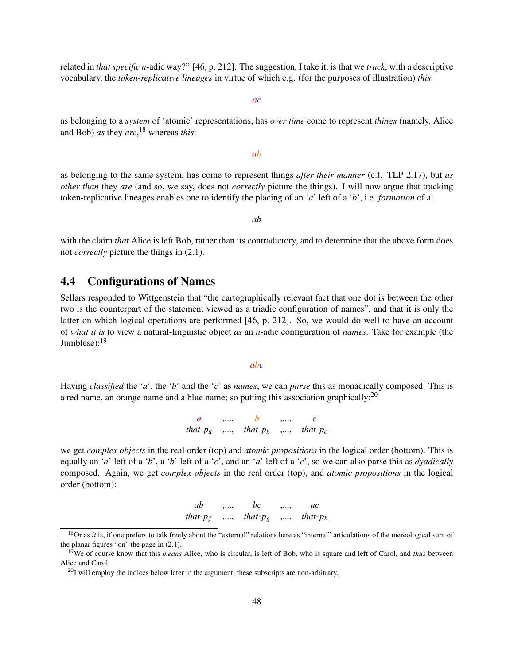related in *that specific n*-adic way?" [46, p. 212]. The suggestion, I take it, is that we *track*, with a descriptive vocabulary, the *token-replicative lineages* in virtue of which e.g. (for the purposes of illustration) *this*:

*ac*

as belonging to a *system* of 'atomic' representations, has *over time* come to represent *things* (namely, Alice and Bob) *as* they *are*, <sup>18</sup> whereas *this*:

*ab*

as belonging to the same system, has come to represent things *after their manner* (c.f. TLP 2.17), but *as other than* they *are* (and so, we say, does not *correctly* picture the things). I will now argue that tracking token-replicative lineages enables one to identify the placing of an '*a*' left of a '*b*', i.e. *formation* of a:

*ab*

with the claim *that* Alice is left Bob, rather than its contradictory, and to determine that the above form does not *correctly* picture the things in (2.1).

### 4.4 Configurations of Names

Sellars responded to Wittgenstein that "the cartographically relevant fact that one dot is between the other two is the counterpart of the statement viewed as a triadic configuration of names", and that it is only the latter on which logical operations are performed [46, p. 212]. So, we would do well to have an account of *what it is* to view a natural-linguistic object *as* an *n*-adic configuration of *names*. Take for example (the Jumblese): $19$ 

#### *abc*

Having *classified* the '*a*', the '*b*' and the '*c*' as *names*, we can *parse* this as monadically composed. This is a red name, an orange name and a blue name; so putting this association graphically: $^{20}$ 

> *a* ,..., *b* ,..., *c that-p<sup>a</sup>* ,..., *that-p<sup>b</sup>* ,..., *that-p<sup>c</sup>*

we get *complex objects* in the real order (top) and *atomic propositions* in the logical order (bottom). This is equally an '*a*' left of a '*b*', a '*b*' left of a '*c*', and an '*a*' left of a '*c*', so we can also parse this as *dyadically* composed. Again, we get *complex objects* in the real order (top), and *atomic propositions* in the logical order (bottom):

| ab          | , , | bc          | , , | ac          |
|-------------|-----|-------------|-----|-------------|
| that- $p_f$ | ,,  | that- $p_g$ | , , | that- $p_h$ |

<sup>&</sup>lt;sup>18</sup>Or as *it* is, if one prefers to talk freely about the "external" relations here as "internal" articulations of the mereological sum of the planar figures "on" the page in (2.1).

<sup>&</sup>lt;sup>19</sup>We of course know that this *means* Alice, who is circular, is left of Bob, who is square and left of Carol, and *thus* between Alice and Carol.

 $^{20}$ I will employ the indices below later in the argument; these subscripts are non-arbitrary.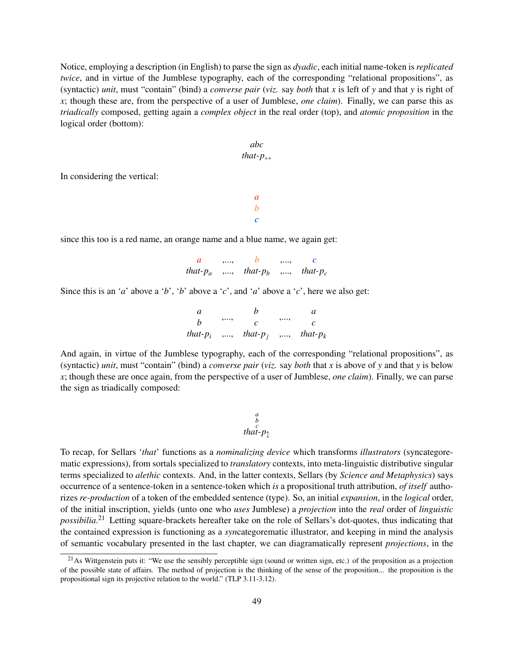Notice, employing a description (in English) to parse the sign as *dyadic*, each initial name-token is *replicated twice*, and in virtue of the Jumblese typography, each of the corresponding "relational propositions", as (syntactic) *unit*, must "contain" (bind) a *converse pair* (*viz.* say *both* that *x* is left of *y* and that *y* is right of *x*; though these are, from the perspective of a user of Jumblese, *one claim*). Finally, we can parse this as *triadically* composed, getting again a *complex object* in the real order (top), and *atomic proposition* in the logical order (bottom):

$$
abc
$$
  
that- $p \leftrightarrow$ 

*a b c*

In considering the vertical:

since this too is a red name, an orange name and a blue name, we again get:

| $\boldsymbol{a}$ | $\cdots$ |                                           | $\cdots$ |  |
|------------------|----------|-------------------------------------------|----------|--|
|                  |          | that- $p_a$ ,, that- $p_b$ ,, that- $p_c$ |          |  |

Since this is an '*a*' above a '*b*', '*b*' above a '*c*', and '*a*' above a '*c*', here we also get:

| a. |    |                                           |    | A. |
|----|----|-------------------------------------------|----|----|
| h  | ,, |                                           | ,, |    |
|    |    | that- $p_i$ ,, that- $p_j$ ,, that- $p_k$ |    |    |

And again, in virtue of the Jumblese typography, each of the corresponding "relational propositions", as (syntactic) *unit*, must "contain" (bind) a *converse pair* (*viz.* say *both* that *x* is above of *y* and that *y* is below *x*; though these are once again, from the perspective of a user of Jumblese, *one claim*). Finally, we can parse the sign as triadically composed:

$$
\begin{array}{c}\n a \\
 b \\
 c \\
 that-p \updownarrow\n\end{array}
$$

To recap, for Sellars '*that*' functions as a *nominalizing device* which transforms *illustrators* (syncategorematic expressions), from sortals specialized to *translatory* contexts, into meta-linguistic distributive singular terms specialized to *alethic* contexts. And, in the latter contexts, Sellars (by *Science and Metaphysics*) says occurrence of a sentence-token in a sentence-token which *is* a propositional truth attribution, *of itself* authorizes *re-production* of a token of the embedded sentence (type). So, an initial *expansion*, in the *logical* order, of the initial inscription, yields (unto one who *uses* Jumblese) a *projection* into the *real* order of *linguistic possibilia*. <sup>21</sup> Letting square-brackets hereafter take on the role of Sellars's dot-quotes, thus indicating that the contained expression is functioning as a *syn*categorematic illustrator, and keeping in mind the analysis of semantic vocabulary presented in the last chapter, we can diagramatically represent *projections*, in the

<sup>&</sup>lt;sup>21</sup>As Wittgenstein puts it: "We use the sensibly perceptible sign (sound or written sign, etc.) of the proposition as a projection of the possible state of affairs. The method of projection is the thinking of the sense of the proposition... the proposition is the propositional sign its projective relation to the world." (TLP 3.11-3.12).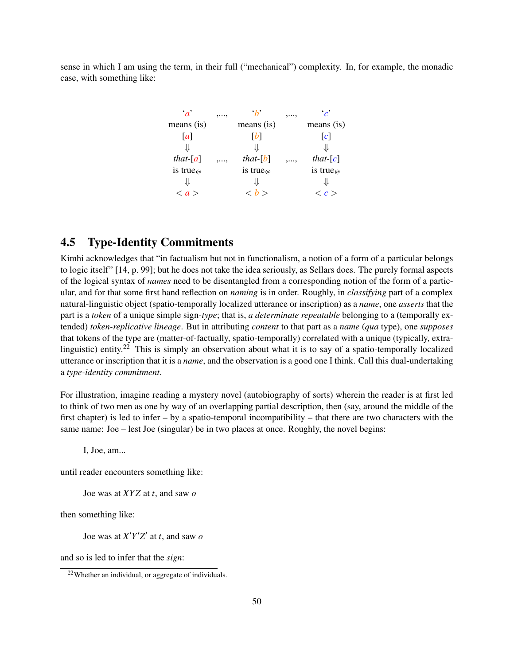sense in which I am using the term, in their full ("mechanical") complexity. In, for example, the monadic case, with something like:

| $a^{\prime}$                      | , , | $\cdot h$        | ,, | $\mathcal{C}$       |
|-----------------------------------|-----|------------------|----|---------------------|
| means (is)                        |     | means (is)       |    | means (is)          |
| $\lceil a \rceil$                 |     | [b]              |    | $\lfloor c \rfloor$ |
| JL                                |     | JL               |    | ⇓                   |
| that- $[a]$                       | ,,  | that- $[b]$      | ,, | that- $[c]$         |
| is true <sub><math>@</math></sub> |     | is true $\omega$ |    | is true $\omega$    |
|                                   |     |                  |    |                     |
| $\langle a \rangle$               |     | < h >            |    | $\langle c \rangle$ |

## 4.5 Type-Identity Commitments

Kimhi acknowledges that "in factualism but not in functionalism, a notion of a form of a particular belongs to logic itself" [14, p. 99]; but he does not take the idea seriously, as Sellars does. The purely formal aspects of the logical syntax of *names* need to be disentangled from a corresponding notion of the form of a particular, and for that some first hand reflection on *naming* is in order. Roughly, in *classifying* part of a complex natural-linguistic object (spatio-temporally localized utterance or inscription) as a *name*, one *asserts* that the part is a *token* of a unique simple sign-*type*; that is, *a determinate repeatable* belonging to a (temporally extended) *token-replicative lineage*. But in attributing *content* to that part as a *name* (*qua* type), one *supposes* that tokens of the type are (matter-of-factually, spatio-temporally) correlated with a unique (typically, extralinguistic) entity.<sup>22</sup> This is simply an observation about what it is to say of a spatio-temporally localized utterance or inscription that it is a *name*, and the observation is a good one I think. Call this dual-undertaking a *type-identity commitment*.

For illustration, imagine reading a mystery novel (autobiography of sorts) wherein the reader is at first led to think of two men as one by way of an overlapping partial description, then (say, around the middle of the first chapter) is led to infer – by a spatio-temporal incompatibility – that there are two characters with the same name: Joe – lest Joe (singular) be in two places at once. Roughly, the novel begins:

I, Joe, am...

until reader encounters something like:

Joe was at *XY Z* at *t*, and saw *o*

then something like:

Joe was at  $X'Y'Z'$  at *t*, and saw *o* 

and so is led to infer that the *sign*:

<sup>22</sup>Whether an individual, or aggregate of individuals.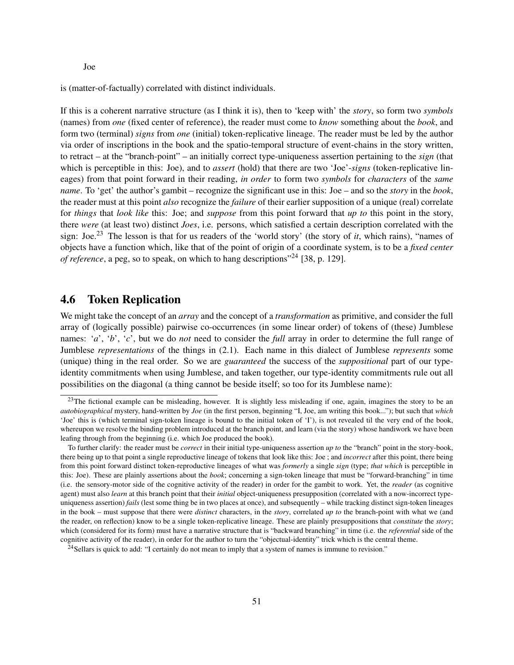Joe

is (matter-of-factually) correlated with distinct individuals.

If this is a coherent narrative structure (as I think it is), then to 'keep with' the *story*, so form two *symbols* (names) from *one* (fixed center of reference), the reader must come to *know* something about the *book*, and form two (terminal) *signs* from *one* (initial) token-replicative lineage. The reader must be led by the author via order of inscriptions in the book and the spatio-temporal structure of event-chains in the story written, to retract – at the "branch-point" – an initially correct type-uniqueness assertion pertaining to the *sign* (that which is perceptible in this: Joe), and to *assert* (hold) that there are two 'Joe'-*signs* (token-replicative lineages) from that point forward in their reading, *in order* to form two *symbols* for *characters* of the *same name*. To 'get' the author's gambit – recognize the significant use in this: Joe – and so the *story* in the *book*, the reader must at this point *also* recognize the *failure* of their earlier supposition of a unique (real) correlate for *things* that *look like* this: Joe; and *suppose* from this point forward that *up to* this point in the story, there *were* (at least two) distinct *Joes*, i.e. persons, which satisfied a certain description correlated with the sign: Joe.<sup>23</sup> The lesson is that for us readers of the 'world story' (the story of *it*, which rains), "names of objects have a function which, like that of the point of origin of a coordinate system, is to be a *fixed center of reference*, a peg, so to speak, on which to hang descriptions<sup>"24</sup> [38, p. 129].

## 4.6 Token Replication

We might take the concept of an *array* and the concept of a *transformation* as primitive, and consider the full array of (logically possible) pairwise co-occurrences (in some linear order) of tokens of (these) Jumblese names: '*a*', '*b*', '*c*', but we do *not* need to consider the *full* array in order to determine the full range of Jumblese *representations* of the things in (2.1). Each name in this dialect of Jumblese *represents* some (unique) thing in the real order. So we are *guaranteed* the success of the *suppositional* part of our typeidentity commitments when using Jumblese, and taken together, our type-identity commitments rule out all possibilities on the diagonal (a thing cannot be beside itself; so too for its Jumblese name):

<sup>&</sup>lt;sup>23</sup>The fictional example can be misleading, however. It is slightly less misleading if one, again, imagines the story to be an *autobiographical* mystery, hand-written by *Joe* (in the first person, beginning "I, Joe, am writing this book..."); but such that *which* 'Joe' this is (which terminal sign-token lineage is bound to the initial token of 'I'), is not revealed til the very end of the book, whereupon we resolve the binding problem introduced at the branch point, and learn (via the story) whose handiwork we have been leafing through from the beginning (i.e. which Joe produced the book).

To further clarify: the reader must be *correct* in their initial type-uniqueness assertion *up to* the "branch" point in the story-book, there being up to that point a single reproductive lineage of tokens that look like this: Joe ; and *incorrect* after this point, there being from this point forward distinct token-reproductive lineages of what was *formerly* a single *sign* (type; *that which* is perceptible in this: Joe). These are plainly assertions about the *book*; concerning a sign-token lineage that must be "forward-branching" in time (i.e. the sensory-motor side of the cognitive activity of the reader) in order for the gambit to work. Yet, the *reader* (as cognitive agent) must also *learn* at this branch point that their *initial* object-uniqueness presupposition (correlated with a now-incorrect typeuniqueness assertion) *fails* (lest some thing be in two places at once), and subsequently – while tracking distinct sign-token lineages in the book – must suppose that there were *distinct* characters, in the *story*, correlated *up to* the branch-point with what we (and the reader, on reflection) know to be a single token-replicative lineage. These are plainly presuppositions that *constitute* the *story*; which (considered for its form) must have a narrative structure that is "backward branching" in time (i.e. the *referential* side of the cognitive activity of the reader), in order for the author to turn the "objectual-identity" trick which is the central theme.

 $24$ Sellars is quick to add: "I certainly do not mean to imply that a system of names is immune to revision."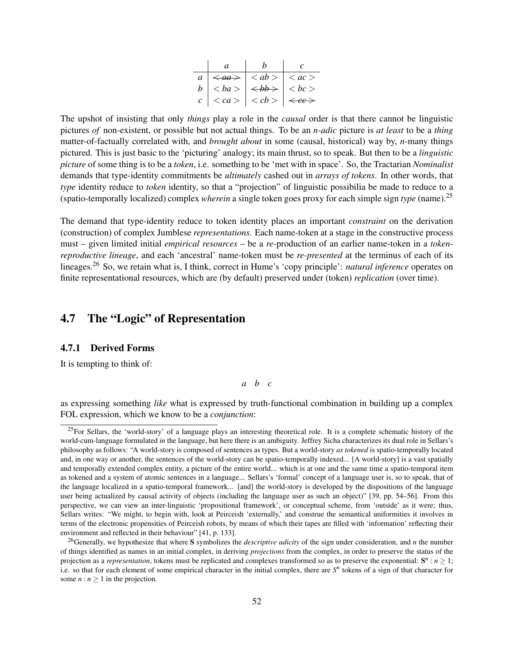| a.                                                                                  |  |
|-------------------------------------------------------------------------------------|--|
| $a \mid \langle aa \rangle \mid \langle ab \rangle \mid \langle ac \rangle$         |  |
| $ b  < ba >   \Longleftrightarrow   < bc >$                                         |  |
| $c \mid \langle ca \rangle \mid \langle cb \rangle \mid \langle \epsilon c \rangle$ |  |

The upshot of insisting that only *things* play a role in the *causal* order is that there cannot be linguistic pictures *of* non-existent, or possible but not actual things. To be an *n-adic* picture is *at least* to be a *thing* matter-of-factually correlated with, and *brought about* in some (causal, historical) way by, *n*-many things pictured. This is just basic to the 'picturing' analogy; its main thrust, so to speak. But then to be a *linguistic picture* of some thing is to be a *token*, i.e. something to be 'met with in space'. So, the Tractarian *Nominalist* demands that type-identity commitments be *ultimately* cashed out in *arrays of tokens*. In other words, that *type* identity reduce to *token* identity, so that a "projection" of linguistic possibilia be made to reduce to a (spatio-temporally localized) complex *wherein* a single token goes proxy for each simple sign *type* (name).<sup>25</sup>

The demand that type-identity reduce to token identity places an important *constraint* on the derivation (construction) of complex Jumblese *representations*. Each name-token at a stage in the constructive process must – given limited initial *empirical resources* – be a *re-*production of an earlier name-token in a *tokenreproductive lineage*, and each 'ancestral' name-token must be *re-presented* at the terminus of each of its lineages.<sup>26</sup> So, we retain what is, I think, correct in Hume's 'copy principle': *natural inference* operates on finite representational resources, which are (by default) preserved under (token) *replication* (over time).

## 4.7 The "Logic" of Representation

#### 4.7.1 Derived Forms

It is tempting to think of:

*a b c*

as expressing something *like* what is expressed by truth-functional combination in building up a complex FOL expression, which we know to be a *conjunction*:

<sup>&</sup>lt;sup>25</sup>For Sellars, the 'world-story' of a language plays an interesting theoretical role. It is a complete schematic history of the world-cum-language formulated *in* the language, but here there is an ambiguity. Jeffrey Sicha characterizes its dual role in Sellars's philosophy as follows: "A world-story is composed of sentences as types. But a world-story *as tokened* is spatio-temporally located and, in one way or another, the sentences of the world-story can be spatio-temporally indexed... [A world-story] is a vast spatially and temporally extended complex entity, a picture of the entire world... which is at one and the same time a spatio-temporal item as tokened and a system of atomic sentences in a language... Sellars's 'formal' concept of a language user is, so to speak, that of the language localized in a spatio-temporal framework... [and] the world-story is developed by the dispositions of the language user being actualized by causal activity of objects (including the language user as such an object)" [39, pp. 54–56]. From this perspective, we can view an inter-linguistic 'propositional framework', or conceptual scheme, from 'outside' as it were; thus, Sellars writes: "We might, to begin with, look at Peirceish 'externally,' and construe the semantical uniformities it involves in terms of the electronic propensities of Peirceish robots, by means of which their tapes are filled with 'information' reflecting their environment and reflected in their behaviour" [41, p. 133].

<sup>26</sup>Generally, we hypothesize that where S symbolizes the *descriptive adicity* of the sign under consideration, and *n* the number of things identified as names in an initial complex, in deriving *projections* from the complex, in order to preserve the status of the projection as a *representation*, tokens must be replicated and complexes transformed so as to preserve the exponential:  $S^n : n \ge 1$ ; i.e. so that for each element of some empirical character in the initial complex, there are  $S<sup>n</sup>$  tokens of a sign of that character for some  $n : n \geq 1$  in the projection.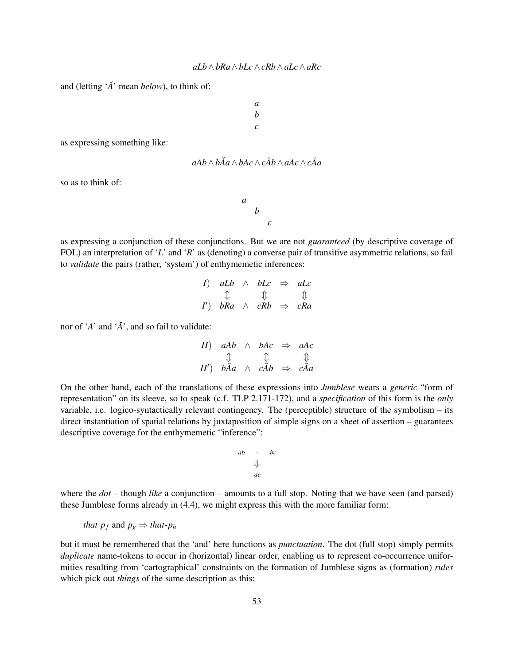and (letting '*A*˘' mean *below*), to think of:

*a b c*

as expressing something like:

$$
aAb \wedge b\breve{A}a \wedge bAc \wedge c\breve{A}b \wedge aAc \wedge c\breve{A}a
$$

*a b c*

so as to think of:

as expressing a conjunction of these conjunctions. But we are not *guaranteed* (by descriptive coverage of FOL) an interpretation of '*L*' and '*R*' as (denoting) a converse pair of transitive asymmetric relations, so fail to *validate* the pairs (rather, 'system') of enthymemetic inferences:

> *I*)  $aLb \land bLc \Rightarrow aLc$  $\begin{matrix} \mathbb{I} & \mathbb{I} & \mathbb{I} \end{matrix}$ *I* 0 ) *bRa* ∧ *cRb* ⇒ *cRa*

nor of '*A*' and '*A*˘', and so fail to validate:

$$
\begin{array}{ccc}\nII) & aAb & \wedge & bAc & \Rightarrow & aAc \\
\updownarrow & & \updownarrow & & \updownarrow \\
II') & b\breve{A}a & \wedge & c\breve{A}b & \Rightarrow & c\breve{A}a\n\end{array}
$$

On the other hand, each of the translations of these expressions into *Jumblese* wears a *generic* "form of representation" on its sleeve, so to speak (c.f. TLP 2.171-172), and a *specification* of this form is the *only* variable, i.e. logico-syntactically relevant contingency. The (perceptible) structure of the symbolism – its direct instantiation of spatial relations by juxtaposition of simple signs on a sheet of assertion – guarantees descriptive coverage for the enthymemetic "inference":

$$
\begin{array}{ccc}\nab & \cdot & bc \\
\downarrow & & \\
ac & & \\
\end{array}
$$

where the  $dot$  – though *like* a conjunction – amounts to a full stop. Noting that we have seen (and parsed) these Jumblese forms already in (4.4), we might express this with the more familiar form:

*that* 
$$
p_f
$$
 and  $p_g \Rightarrow$  *that*- $p_h$ 

but it must be remembered that the 'and' here functions as *punctuation*. The dot (full stop) simply permits *duplicate* name-tokens to occur in (horizontal) linear order, enabling us to represent co-occurrence uniformities resulting from 'cartographical' constraints on the formation of Jumblese signs as (formation) *rules* which pick out *things* of the same description as this: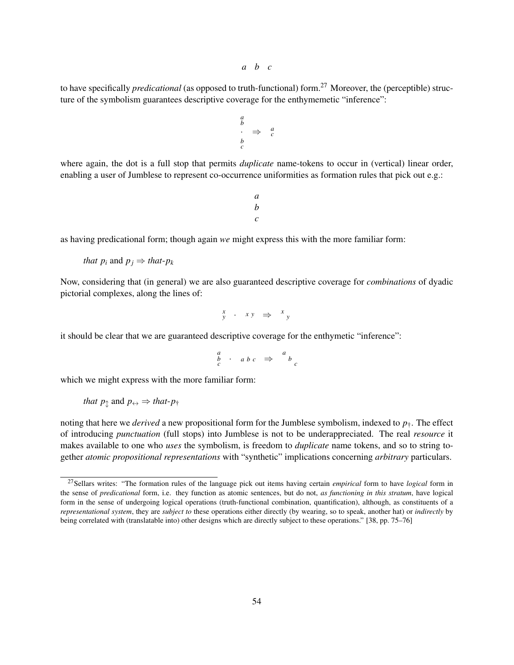*a b c*

to have specifically *predicational* (as opposed to truth-functional) form.<sup>27</sup> Moreover, the (perceptible) structure of the symbolism guarantees descriptive coverage for the enthymemetic "inference":

$$
\begin{array}{ccc}\n a & & \\
 b & & \Rightarrow & a \\
 b & & & c \\
 c & & & & \n\end{array}
$$

where again, the dot is a full stop that permits *duplicate* name-tokens to occur in (vertical) linear order, enabling a user of Jumblese to represent co-occurrence uniformities as formation rules that pick out e.g.:

> *a b c*

as having predicational form; though again *we* might express this with the more familiar form:

*that p<sub>i</sub>* and  $p_j \Rightarrow$  *that-p<sub>k</sub>* 

Now, considering that (in general) we are also guaranteed descriptive coverage for *combinations* of dyadic pictorial complexes, along the lines of:

$$
\begin{array}{cccc} x & \cdot & x \, y & \Rightarrow & x \, y \\ y & \cdot & x \, y & \Rightarrow & x \, y \end{array}
$$

it should be clear that we are guaranteed descriptive coverage for the enthymetic "inference":

$$
\begin{array}{ccc}\n a & b & c \\
 c & a & b & c\n \end{array}\n \Rightarrow\n \begin{array}{ccc}\n a & b & c \\
 b & c & c\n \end{array}
$$

which we might express with the more familiar form:

*that* 
$$
p_{\uparrow}
$$
 and  $p_{\leftrightarrow} \Rightarrow$  *that*- $p_{\uparrow}$ 

noting that here we *derived* a new propositional form for the Jumblese symbolism, indexed to  $p_{\uparrow}$ . The effect of introducing *punctuation* (full stops) into Jumblese is not to be underappreciated. The real *resource* it makes available to one who *uses* the symbolism, is freedom to *duplicate* name tokens, and so to string together *atomic propositional representations* with "synthetic" implications concerning *arbitrary* particulars.

<sup>27</sup>Sellars writes: "The formation rules of the language pick out items having certain *empirical* form to have *logical* form in the sense of *predicational* form, i.e. they function as atomic sentences, but do not, *as functioning in this stratum*, have logical form in the sense of undergoing logical operations (truth-functional combination, quantification), although, as constituents of a *representational system*, they are *subject to* these operations either directly (by wearing, so to speak, another hat) or *indirectly* by being correlated with (translatable into) other designs which are directly subject to these operations." [38, pp. 75–76]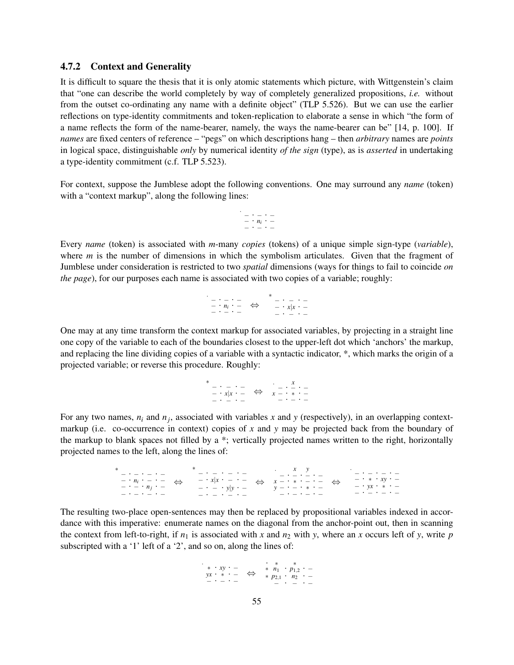#### 4.7.2 Context and Generality

It is difficult to square the thesis that it is only atomic statements which picture, with Wittgenstein's claim that "one can describe the world completely by way of completely generalized propositions, *i.e.* without from the outset co-ordinating any name with a definite object" (TLP 5.526). But we can use the earlier reflections on type-identity commitments and token-replication to elaborate a sense in which "the form of a name reflects the form of the name-bearer, namely, the ways the name-bearer can be" [14, p. 100]. If *names* are fixed centers of reference – "pegs" on which descriptions hang – then *arbitrary* names are *points* in logical space, distinguishable *only* by numerical identity *of the sign* (type), as is *asserted* in undertaking a type-identity commitment (c.f. TLP 5.523).

For context, suppose the Jumblese adopt the following conventions. One may surround any *name* (token) with a "context markup", along the following lines:



Every *name* (token) is associated with *m*-many *copies* (tokens) of a unique simple sign-type (*variable*), where *m* is the number of dimensions in which the symbolism articulates. Given that the fragment of Jumblese under consideration is restricted to two *spatial* dimensions (ways for things to fail to coincide *on the page*), for our purposes each name is associated with two copies of a variable; roughly:

. − · − · − − · *n<sup>i</sup>* · − − · − · − ⇔ ∗ − · − · − − · *x*|*x* · − − · − · −

One may at any time transform the context markup for associated variables, by projecting in a straight line one copy of the variable to each of the boundaries closest to the upper-left dot which 'anchors' the markup, and replacing the line dividing copies of a variable with a syntactic indicator, \*, which marks the origin of a projected variable; or reverse this procedure. Roughly:

> ∗ − · − · − − · *x*|*x* · − − · − · − ⇔ ∴ – · <u>x</u><br>x – · \* · –<br>– · – · –

For any two names,  $n_i$  and  $n_j$ , associated with variables x and y (respectively), in an overlapping contextmarkup (i.e. co-occurrence in context) copies of *x* and *y* may be projected back from the boundary of the markup to blank spaces not filled by a \*; vertically projected names written to the right, horizontally projected names to the left, along the lines of:

> \* - · - · - · - ·<br>- · *n<sub>i</sub>* · - · - -<br>- · - · *n<sub>j</sub>* · -− · − · − · − ⇔ ∗ − · − · − · −  $- \cdot x|x \cdot - \cdot -$ − · − · *y*|*y* · −  $- \cdot - \cdot - \cdot -$ ⇔ . *x y* − · − · − · − *x* − · ∗ · − · − *y* − · − · ∗ · − − · − · − · − ⇔ . − · − · − · − − · ∗ · *xy* · − − · *yx* · ∗ · − − · − · − · −

The resulting two-place open-sentences may then be replaced by propositional variables indexed in accordance with this imperative: enumerate names on the diagonal from the anchor-point out, then in scanning the context from left-to-right, if  $n_1$  is associated with *x* and  $n_2$  with *y*, where an *x* occurs left of *y*, write *p* subscripted with a '1' left of a '2', and so on, along the lines of:

$$
\begin{array}{cccc}\n\ast & xy & - \\
yx & * & - \\
-yx & - & - \\
\end{array}\n\quad \Leftrightarrow\n\begin{array}{cccc}\n\ast & n_1 & \ast & \ast \\
\ast & n_1 & \ast & p_{1,2} & \ast \\
\ast & p_{2,1} & \ast & n_2 & \ast \\
\end{array}\n\quad \Leftrightarrow
$$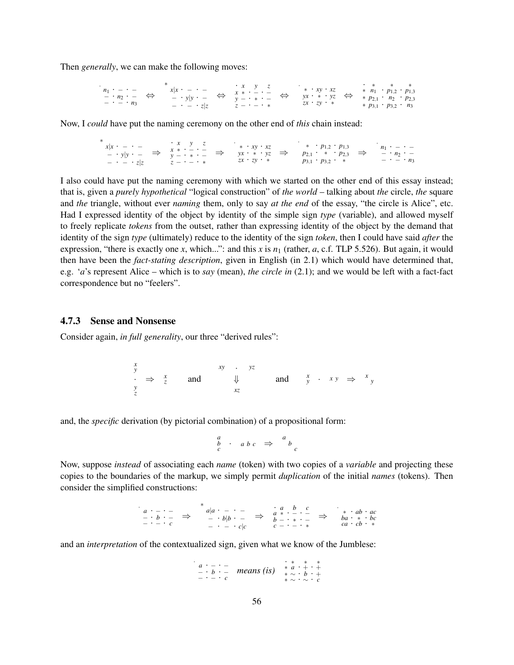Then *generally*, we can make the following moves:

| $n_1 \cdot - \cdot -$<br>$- \cdot n_2 \cdot - \Leftrightarrow$ | $x x \cdot - \cdot -$                           | $\cdot x \quad y \quad z$<br>$\frac{x}{y} - y y - \iff \frac{x}{y} - \frac{y}{y} - \frac{y}{z}$ | $*$ $xy$ $xz$<br>$yx \cdot * \cdot yz$ |  | $\qquad \qquad * \qquad \qquad * \qquad \qquad *$<br>* $n_1$ · $p_{1,2}$ · $p_{1,3}$<br>* $p_{2,1}$ · $n_2$ · $p_{2,3}$ |  |
|----------------------------------------------------------------|-------------------------------------------------|-------------------------------------------------------------------------------------------------|----------------------------------------|--|-------------------------------------------------------------------------------------------------------------------------|--|
| $- \cdot - \cdot n_3$                                          | $z - \cdot - \cdot z   z$ $z - \cdot - \cdot *$ |                                                                                                 | $zx \cdot zy \cdot *$                  |  | * $p_{3,1}$ · $p_{3,2}$ · $n_3$                                                                                         |  |

Now, I *could* have put the naming ceremony on the other end of *this* chain instead:

∗ *x*|*x* · − · − − · *y*|*y* · − − · − · *z*|*z* ⇒ **·** *x* y z<br> *x* ∗ · − · −<br> *y* − · ∗ · −<br> *z* − · − · \* ⇒ . ∗ · *xy* · *xz yx* · ∗ · *yz zx* · *zy* · ∗ ⇒ . ∗ · *p*1,<sup>2</sup> · *p*1,<sup>3</sup>  $p_{2,1}$  · \* · *p*<sub>2,3</sub> *p*<sub>3,1</sub> · *p*<sub>3,2</sub> · <sup>*r*</sup> ≠ ⇒ *n*<sub>1</sub> · − · −<br>
− · *n*<sub>2</sub> · −<br>
− · − · *n*<sub>3</sub>

I also could have put the naming ceremony with which we started on the other end of this essay instead; that is, given a *purely hypothetical* "logical construction" of *the world* – talking about *the* circle, *the* square and *the* triangle, without ever *naming* them, only to say *at the end* of the essay, "the circle is Alice", etc. Had I expressed identity of the object by identity of the simple sign *type* (variable), and allowed myself to freely replicate *tokens* from the outset, rather than expressing identity of the object by the demand that identity of the sign *type* (ultimately) reduce to the identity of the sign *token*, then I could have said *after* the expression, "there is exactly one *x*, which...": and this *x* is  $n_1$  (rather, *a*, c.f. TLP 5.526). But again, it would then have been the *fact-stating description*, given in English (in 2.1) which would have determined that, e.g. '*a*'s represent Alice – which is to *say* (mean), *the circle in* (2.1); and we would be left with a fact-fact correspondence but no "feelers".

#### 4.7.3 Sense and Nonsense

.

Consider again, *in full generality*, our three "derived rules":

*x y* · ⇒ *<sup>x</sup> z y z* and *xy* · *yz* ⇓ *xz* and *<sup>x</sup> <sup>y</sup>* · *x y* ⇒ *<sup>x</sup> y*

and, the *specific* derivation (by pictorial combination) of a propositional form:

$$
\begin{array}{ccc}\n a & b & c & \Rightarrow & a \\
 c & b & c & \Rightarrow & b \\
 c & & & & c\n \end{array}
$$

Now, suppose *instead* of associating each *name* (token) with two copies of a *variable* and projecting these copies to the boundaries of the markup, we simply permit *duplication* of the initial *names* (tokens). Then consider the simplified constructions:

*a* · − · − − · *b* · − − · − · *c* ⇒ ∗ *a*|*a* · − · − − · *b*|*b* · − − · − · *c*|*c* ⇒ · *a b c a* ∗ · − · − *b* − · ∗ · − *c* − · − · ∗ ⇒ . ∗ · *ab* · *ac ba* · ∗ · *bc ca* · *cb* · ∗

and an *interpretation* of the contextualized sign, given what we know of the Jumblese:

.

$$
\begin{array}{cccc}\n a & \cdot & \cdot & \cdot \\
 - & \cdot & b & \cdot \\
 - & \cdot & \cdot & c\n \end{array}\n \quad \text{means (is)} \quad\n \begin{array}{cccc}\n x & * & * & * & * \\
 * & a & \cdot & + & \cdot & + \\
 * & \sim & \cdot & b & \cdot & + \\
 * & \sim & \cdot & \sim & c\n \end{array}
$$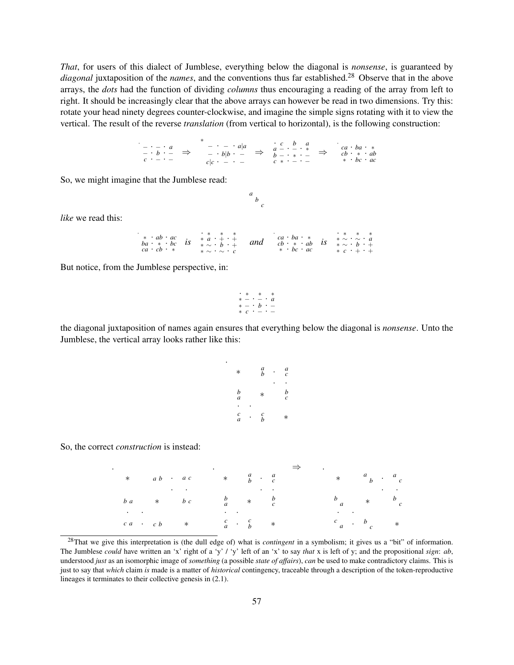*That*, for users of this dialect of Jumblese, everything below the diagonal is *nonsense*, is guaranteed by *diagonal* juxtaposition of the *names*, and the conventions thus far established.<sup>28</sup> Observe that in the above arrays, the *dots* had the function of dividing *columns* thus encouraging a reading of the array from left to right. It should be increasingly clear that the above arrays can however be read in two dimensions. Try this: rotate your head ninety degrees counter-clockwise, and imagine the simple signs rotating with it to view the vertical. The result of the reverse *translation* (from vertical to horizontal), is the following construction:

. − · − · *a* − · *b* · − *c* · − · − ⇒ ∗ − · − · *a*|*a* − · *b*|*b* · − *c*|*c* · − · − ⇒ · *c b a a* − · − · ∗ *b* − · ∗ · − *c* ∗ · − · − ⇒ . *ca* · *ba* · ∗ *cb* · ∗ · *ab* ∗ · *bc* · *ac*

So, we might imagine that the Jumblese read:

*like* we read this:

| $* \cdot ab \cdot ac$ .<br>$ba \cdot * \cdot bc \quad \textit{IS}$<br>$ca \cdot cb \cdot *$ | * * * *<br>* $a + + +$<br>$*\sim \cdot b \cdot +$<br>$\star \sim \cdot \sim \cdot c$ | and | $ca \cdot ba \cdot *$<br>$cb \cdot * \cdot ab$ is<br>$\ast \cdot bc \cdot ac$ | * * * *<br>$*\sim\cdot\sim\cdot a$<br>$*\sim \cdot b \cdot +$<br>$\ast$ c $\cdot$ + $\cdot$ + |
|---------------------------------------------------------------------------------------------|--------------------------------------------------------------------------------------|-----|-------------------------------------------------------------------------------|-----------------------------------------------------------------------------------------------|
|---------------------------------------------------------------------------------------------|--------------------------------------------------------------------------------------|-----|-------------------------------------------------------------------------------|-----------------------------------------------------------------------------------------------|

*a b c*

But notice, from the Jumblese perspective, in:

$$
\begin{array}{cccc}\n\cdot & * & * & * \\
\ast & - & \cdot & - & \cdot & a \\
\ast & - & \cdot & b & \cdot & - \\
\ast & c & \cdot & - & \cdot & - \\
\end{array}
$$

the diagonal juxtaposition of names again ensures that everything below the diagonal is *nonsense*. Unto the Jumblese, the vertical array looks rather like this:

.

| $^\ast$                    | a<br>b                | a<br>$\overline{c}$ |
|----------------------------|-----------------------|---------------------|
|                            |                       |                     |
| b<br>a                     | $\ast$                | b<br>$\ddot{c}$     |
| ٠                          |                       |                     |
| $\mathcal{C}_{0}^{2}$<br>a | c<br>$\boldsymbol{h}$ | $^\ast$             |

So, the correct *construction* is instead:

|  | $*$ $a b$ $a c$                                                                                                                                                                                                                    |                              |  | $*$ $a \t a \t a$                                 |                                                           |  |  |  | $*$ $a \rightarrow c$                 |  |
|--|------------------------------------------------------------------------------------------------------------------------------------------------------------------------------------------------------------------------------------|------------------------------|--|---------------------------------------------------|-----------------------------------------------------------|--|--|--|---------------------------------------|--|
|  |                                                                                                                                                                                                                                    | <b>Contract Contract Ave</b> |  |                                                   |                                                           |  |  |  |                                       |  |
|  | $b\ a$ $\ast$ $b\ c$                                                                                                                                                                                                               |                              |  | $\begin{array}{ccc} b & * & b \\ a & \end{array}$ |                                                           |  |  |  | $b$ <sub>a</sub> $*$ $b$ <sub>c</sub> |  |
|  | $\bullet$ . The contract of the contract of the contract of the contract of the contract of the contract of the contract of the contract of the contract of the contract of the contract of the contract of the contract of the co |                              |  |                                                   |                                                           |  |  |  |                                       |  |
|  | $c\ a\quad \cdot\quad c\ b\qquad \quad \ast$                                                                                                                                                                                       |                              |  |                                                   | $\begin{array}{ccc} c & . & c \\ a & . & b \end{array}$ * |  |  |  | $c_a$ $b_c$ *                         |  |

<sup>28</sup>That we give this interpretation is (the dull edge of) what is *contingent* in a symbolism; it gives us a "bit" of information. The Jumblese *could* have written an 'x' right of a 'y' / 'y' left of an 'x' to say *that* x is left of y; and the propositional *sign*: *ab*, understood *just* as an isomorphic image of *something* (a possible *state of affairs*), *can* be used to make contradictory claims. This is just to say that *which* claim *is* made is a matter of *historical* contingency, traceable through a description of the token-reproductive lineages it terminates to their collective genesis in (2.1).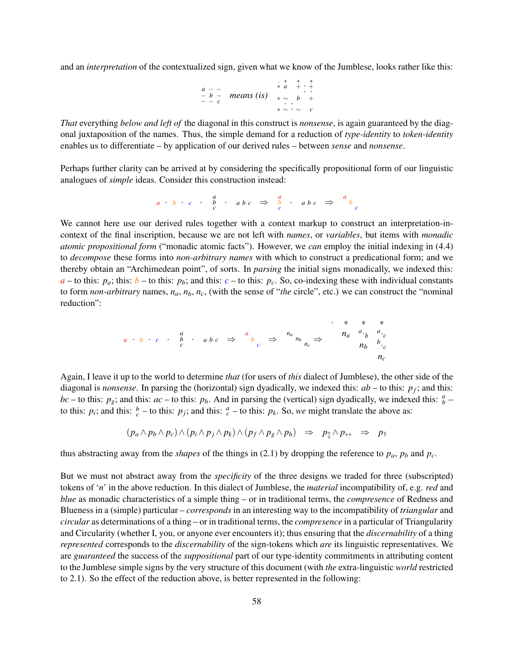and an *interpretation* of the contextualized sign, given what we know of the Jumblese, looks rather like this:

$$
\begin{array}{cccc}\n a & - & & \vdots & * & * & * & * \\
 - & b & - & \text{means (is)} & & * & \ddots & * \\
 - & - & c & & & * & \ddots & * \\
 \end{array}
$$

*That* everything *below and left of* the diagonal in this construct is *nonsense*, is again guaranteed by the diagonal juxtaposition of the names. Thus, the simple demand for a reduction of *type-identity* to *token-identity* enables us to differentiate – by application of our derived rules – between *sense* and *nonsense*.

Perhaps further clarity can be arrived at by considering the specifically propositional form of our linguistic analogues of *simple* ideas. Consider this construction instead:

$$
a \cdot b \cdot c \cdot b \cdot ab \cdot c \Rightarrow \frac{a}{c} \cdot ab \cdot c \Rightarrow \frac{a}{c}
$$

We cannot here use our derived rules together with a context markup to construct an interpretation-incontext of the final inscription, because we are not left with *names*, or *variables*, but items with *monadic atomic propositional form* ("monadic atomic facts"). However, we *can* employ the initial indexing in (4.4) to *decompose* these forms into *non-arbitrary names* with which to construct a predicational form; and we thereby obtain an "Archimedean point", of sorts. In *parsing* the initial signs monadically, we indexed this:  $a -$  to this:  $p_a$ ; this:  $b -$  to this:  $p_b$ ; and this:  $c -$  to this:  $p_c$ . So, co-indexing these with individual constants to form *non-arbitrary* names,  $n_a$ ,  $n_b$ ,  $n_c$ , (with the sense of "*the* circle", etc.) we can construct the "nominal reduction":

*a* · *b* · *c* · *a b c* · *a b c* ⇒ *a b c* ⇒ *na nb nc* ⇒ · ∗ ∗ ∗ *na a* ·*b a* ·*c nb b* ·*c nc*

Again, I leave it up to the world to determine *that* (for users of *this* dialect of Jumblese), the other side of the diagonal is *nonsense*. In parsing the (horizontal) sign dyadically, we indexed this: *ab* – to this: *p<sup>f</sup>* ; and this: *bc* – to this:  $p_g$ ; and this:  $ac$  – to this:  $p_h$ . And in parsing the (vertical) sign dyadically, we indexed this:  $\frac{a}{b}$  – to this:  $p_i$ ; and this:  $\frac{b}{c}$  – to this:  $p_j$ ; and this:  $\frac{a}{c}$  – to this:  $p_k$ . So, we might translate the above as:

$$
(p_a \wedge p_b \wedge p_c) \wedge (p_i \wedge p_j \wedge p_k) \wedge (p_f \wedge p_g \wedge p_h) \Rightarrow p_{\updownarrow} \wedge p_{\leftrightarrow} \Rightarrow p_{\uparrow}
$$

thus abstracting away from the *shapes* of the things in (2.1) by dropping the reference to  $p_a$ ,  $p_b$  and  $p_c$ .

But we must not abstract away from the *specificity* of the three designs we traded for three (subscripted) tokens of '*n*' in the above reduction. In this dialect of Jumblese, the *material* incompatibility of, e.g. *red* and *blue* as monadic characteristics of a simple thing – or in traditional terms, the *compresence* of Redness and Blueness in a (simple) particular – *corresponds* in an interesting way to the incompatibility of *triangular* and *circular* as determinations of a thing – or in traditional terms, the *compresence* in a particular of Triangularity and Circularity (whether I, you, or anyone ever encounters it); thus ensuring that the *discernability* of a thing *represented* corresponds to the *discernability* of the sign-tokens which *are* its linguistic representatives. We are *guaranteed* the success of the *suppositional* part of our type-identity commitments in attributing content to the Jumblese simple signs by the very structure of this document (with *the* extra-linguistic *world* restricted to 2.1). So the effect of the reduction above, is better represented in the following: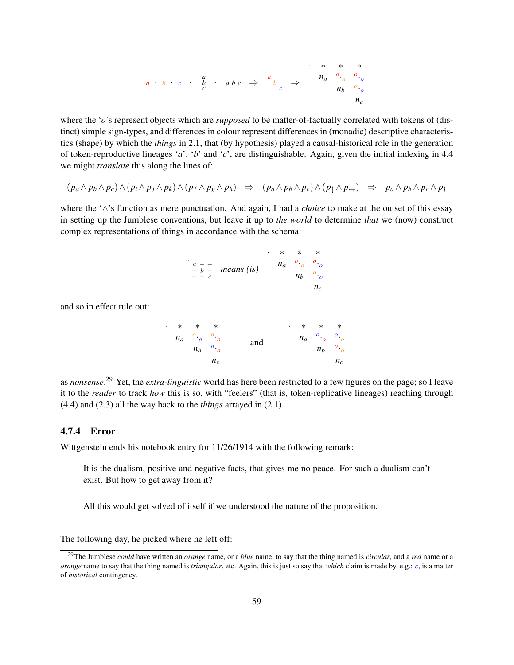

where the '*o*'s represent objects which are *supposed* to be matter-of-factually correlated with tokens of (distinct) simple sign-types, and differences in colour represent differences in (monadic) descriptive characteristics (shape) by which the *things* in 2.1, that (by hypothesis) played a causal-historical role in the generation of token-reproductive lineages '*a*', '*b*' and '*c*', are distinguishable. Again, given the initial indexing in 4.4 we might *translate* this along the lines of:

$$
(p_a \wedge p_b \wedge p_c) \wedge (p_i \wedge p_j \wedge p_k) \wedge (p_f \wedge p_g \wedge p_h) \Rightarrow (p_a \wedge p_b \wedge p_c) \wedge (p_{\updownarrow} \wedge p_{\leftrightarrow}) \Rightarrow p_a \wedge p_b \wedge p_c \wedge p_{\uparrow}
$$

where the '∧'s function as mere punctuation. And again, I had a *choice* to make at the outset of this essay in setting up the Jumblese conventions, but leave it up to *the world* to determine *that* we (now) construct complex representations of things in accordance with the schema:

|       |                            | $\ddot{\phantom{0}}$ | $\ast$ | $*$                           |                               |
|-------|----------------------------|----------------------|--------|-------------------------------|-------------------------------|
|       | $\frac{a}{b}$ = means (is) |                      |        | $n_a \quad o \quad o \quad o$ |                               |
| $  c$ |                            |                      |        |                               | $n_b \rightarrow \cdot \cdot$ |
|       |                            |                      |        |                               |                               |

and so in effect rule out:

|  | * * * *                       |       |     |  |  | $\cdot$ * * *                 |       |  |
|--|-------------------------------|-------|-----|--|--|-------------------------------|-------|--|
|  | $n_a \quad o \quad o \quad o$ |       | and |  |  | $n_a \quad o \quad o \quad o$ |       |  |
|  | $n_b$ $^o$                    |       |     |  |  | $n_b$ $^o$ $^o$               |       |  |
|  |                               | $n_c$ |     |  |  |                               | $n_c$ |  |

as *nonsense*. <sup>29</sup> Yet, the *extra-linguistic* world has here been restricted to a few figures on the page; so I leave it to the *reader* to track *how* this is so, with "feelers" (that is, token-replicative lineages) reaching through (4.4) and (2.3) all the way back to the *things* arrayed in (2.1).

#### 4.7.4 Error

Wittgenstein ends his notebook entry for 11/26/1914 with the following remark:

It is the dualism, positive and negative facts, that gives me no peace. For such a dualism can't exist. But how to get away from it?

All this would get solved of itself if we understood the nature of the proposition.

The following day, he picked where he left off:

<sup>29</sup>The Jumblese *could* have written an *orange* name, or a *blue* name, to say that the thing named is *circular*, and a *red* name or a *orange* name to say that the thing named is *triangular*, etc. Again, this is just so say that *which* claim is made by, e.g.: *c*, is a matter of *historical* contingency.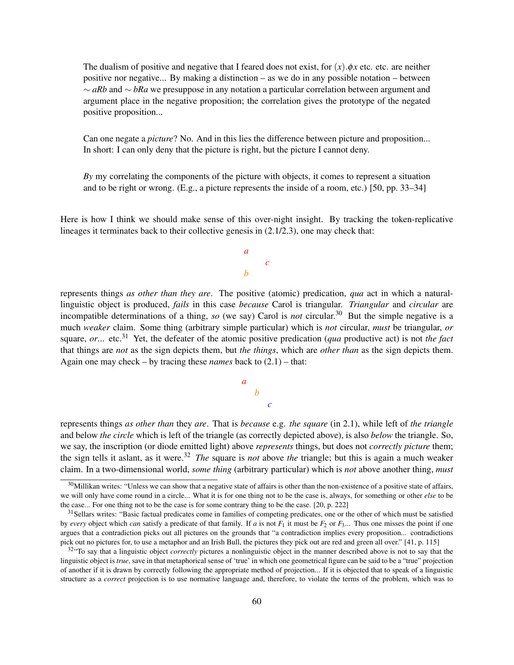The dualism of positive and negative that I feared does not exist, for  $(x)$ . $\phi x$  etc. etc. are neither positive nor negative... By making a distinction – as we do in any possible notation – between ∼ *aRb* and ∼ *bRa* we presuppose in any notation a particular correlation between argument and argument place in the negative proposition; the correlation gives the prototype of the negated positive proposition...

Can one negate a *picture*? No. And in this lies the difference between picture and proposition... In short: I can only deny that the picture is right, but the picture I cannot deny.

*By* my correlating the components of the picture with objects, it comes to represent a situation and to be right or wrong. (E.g., a picture represents the inside of a room, etc.) [50, pp. 33–34]

Here is how I think we should make sense of this over-night insight. By tracking the token-replicative lineages it terminates back to their collective genesis in (2.1/2.3), one may check that:

> *a c b*

represents things *as other than they are*. The positive (atomic) predication, *qua* act in which a naturallinguistic object is produced, *fails* in this case *because* Carol is triangular. *Triangular* and *circular* are incompatible determinations of a thing, *so* (we say) Carol is *not* circular.<sup>30</sup> But the simple negative is a much *weaker* claim. Some thing (arbitrary simple particular) which is *not* circular, *must* be triangular, *or* square, *or*... etc.<sup>31</sup> Yet, the defeater of the atomic positive predication (*qua* productive act) is not *the fact* that things are *not* as the sign depicts them, but *the things*, which are *other than* as the sign depicts them. Again one may check – by tracing these *names* back to (2.1) – that:

*b*

*c*

*a*

represents things *as other than* they *are*. That is *because* e.g. *the square* (in 2.1), while left of *the triangle* and below *the circle* which is left of the triangle (as correctly depicted above), is also *below* the triangle. So, we say, the inscription (or diode emitted light) above *represents* things, but does not *correctly picture* them; the sign tells it aslant, as it were.<sup>32</sup> *The* square is *not* above *the* triangle; but this is again a much weaker claim. In a two-dimensional world, *some thing* (arbitrary particular) which is *not* above another thing, *must*

 $30$ Millikan writes: "Unless we can show that a negative state of affairs is other than the non-existence of a positive state of affairs, we will only have come round in a circle... What it is for one thing not to be the case is, always, for something or other *else* to be the case... For one thing not to be the case is for some contrary thing to be the case. [20, p. 222]

<sup>&</sup>lt;sup>31</sup>Sellars writes: "Basic factual predicates come in families of competing predicates, one or the other of which must be satisfied by *every* object which *can* satisfy a predicate of that family. If *a* is not  $F_1$  it must be  $F_2$  or  $F_3$ ... Thus one misses the point if one argues that a contradiction picks out all pictures on the grounds that "a contradiction implies every proposition... contradictions pick out no pictures for, to use a metaphor and an Irish Bull, the pictures they pick out are red and green all over." [41, p. 115]

<sup>&</sup>lt;sup>32</sup> To say that a linguistic object *correctly* pictures a nonlinguistic object in the manner described above is not to say that the linguistic object is *true*, save in that metaphorical sense of 'true' in which one geometrical figure can be said to be a "true" projection of another if it is drawn by correctly following the appropriate method of projection... If it is objected that to speak of a linguistic structure as a *correct* projection is to use normative language and, therefore, to violate the terms of the problem, which was to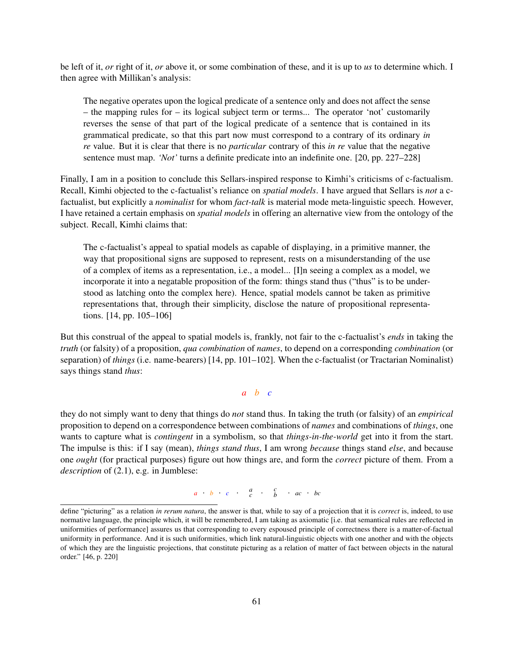be left of it, *or* right of it, *or* above it, or some combination of these, and it is up to *us* to determine which. I then agree with Millikan's analysis:

The negative operates upon the logical predicate of a sentence only and does not affect the sense – the mapping rules for – its logical subject term or terms... The operator 'not' customarily reverses the sense of that part of the logical predicate of a sentence that is contained in its grammatical predicate, so that this part now must correspond to a contrary of its ordinary *in re* value. But it is clear that there is no *particular* contrary of this *in re* value that the negative sentence must map. *'Not'* turns a definite predicate into an indefinite one. [20, pp. 227–228]

Finally, I am in a position to conclude this Sellars-inspired response to Kimhi's criticisms of c-factualism. Recall, Kimhi objected to the c-factualist's reliance on *spatial models*. I have argued that Sellars is *not* a cfactualist, but explicitly a *nominalist* for whom *fact-talk* is material mode meta-linguistic speech. However, I have retained a certain emphasis on *spatial models* in offering an alternative view from the ontology of the subject. Recall, Kimhi claims that:

The c-factualist's appeal to spatial models as capable of displaying, in a primitive manner, the way that propositional signs are supposed to represent, rests on a misunderstanding of the use of a complex of items as a representation, i.e., a model... [I]n seeing a complex as a model, we incorporate it into a negatable proposition of the form: things stand thus ("thus" is to be understood as latching onto the complex here). Hence, spatial models cannot be taken as primitive representations that, through their simplicity, disclose the nature of propositional representations. [14, pp. 105–106]

But this construal of the appeal to spatial models is, frankly, not fair to the c-factualist's *ends* in taking the *truth* (or falsity) of a proposition, *qua combination* of *names*, to depend on a corresponding *combination* (or separation) of *things* (i.e. name-bearers) [14, pp. 101–102]. When the c-factualist (or Tractarian Nominalist) says things stand *thus*:

#### *a b c*

they do not simply want to deny that things do *not* stand thus. In taking the truth (or falsity) of an *empirical* proposition to depend on a correspondence between combinations of *names* and combinations of *things*, one wants to capture what is *contingent* in a symbolism, so that *things-in-the-world* get into it from the start. The impulse is this: if I say (mean), *things stand thus*, I am wrong *because* things stand *else*, and because one *ought* (for practical purposes) figure out how things are, and form the *correct* picture of them. From a *description* of (2.1), e.g. in Jumblese:

 $a \cdot b \cdot c \cdot a \cdot b \cdot c \cdot b$ 

define "picturing" as a relation *in rerum natura*, the answer is that, while to say of a projection that it is *correct* is, indeed, to use normative language, the principle which, it will be remembered, I am taking as axiomatic [i.e. that semantical rules are reflected in uniformities of performance] assures us that corresponding to every espoused principle of correctness there is a matter-of-factual uniformity in performance. And it is such uniformities, which link natural-linguistic objects with one another and with the objects of which they are the linguistic projections, that constitute picturing as a relation of matter of fact between objects in the natural order." [46, p. 220]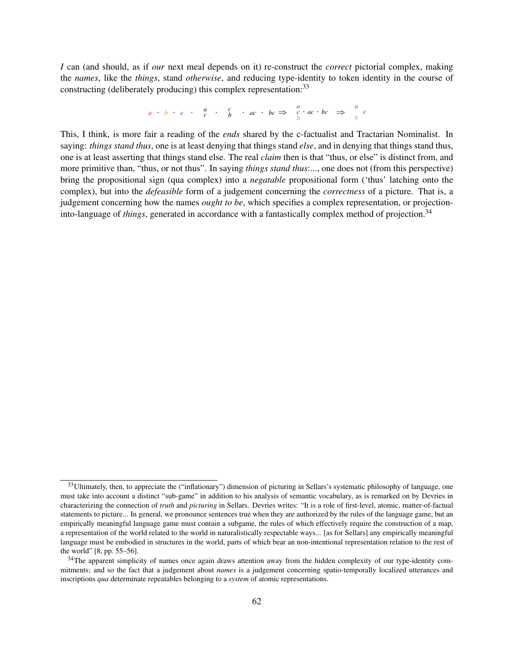*I* can (and should, as if *our* next meal depends on it) re-construct the *correct* pictorial complex, making the *names*, like the *things*, stand *otherwise*, and reducing type-identity to token identity in the course of constructing (deliberately producing) this complex representation:<sup>33</sup>

$$
a \cdot b \cdot c \cdot a \cdot b \cdot ac \cdot bc \Rightarrow a \cdot bc \Rightarrow a \cdot bc \Rightarrow a \cdot bc
$$

This, I think, is more fair a reading of the *ends* shared by the c-factualist and Tractarian Nominalist. In saying: *things stand thus*, one is at least denying that things stand *else*, and in denying that things stand thus, one is at least asserting that things stand else. The real *claim* then is that "thus, or else" is distinct from, and more primitive than, "thus, or not thus". In saying *things stand thus*:..., one does not (from this perspective) bring the propositional sign (qua complex) into a *negatable* propositional form ('thus' latching onto the complex), but into the *defeasible* form of a judgement concerning the *correctness* of a picture. That is, a judgement concerning how the names *ought to be*, which specifies a complex representation, or projectioninto-language of *things*, generated in accordance with a fantastically complex method of projection.<sup>34</sup>

 $33$ Ultimately, then, to appreciate the ("inflationary") dimension of picturing in Sellars's systematic philosophy of language, one must take into account a distinct "sub-game" in addition to his analysis of semantic vocabulary, as is remarked on by Devries in characterizing the connection of *truth* and *picturing* in Sellars. Devries writes: "It is a role of first-level, atomic, matter-of-factual statements to picture... In general, we pronounce sentences true when they are authorized by the rules of the language game, but an empirically meaningful language game must contain a subgame, the rules of which effectively require the construction of a map, a representation of the world related to the world in naturalistically respectable ways... [as for Sellars] any empirically meaningful language must be embodied in structures in the world, parts of which bear an non-intentional representation relation to the rest of the world" [8, pp. 55–56].

 $34$ The apparent simplicity of names once again draws attention away from the hidden complexity of our type-identity commitments; and so the fact that a judgement about *names* is a judgement concerning spatio-temporally localized utterances and inscriptions *qua* determinate repeatables belonging to a *system* of atomic representations.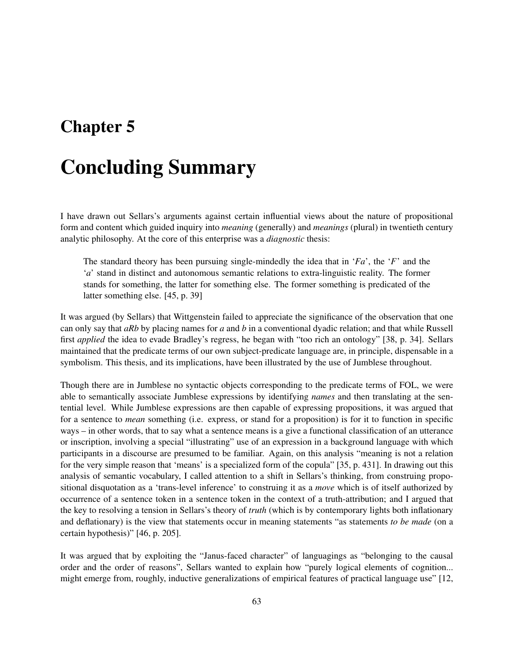## Chapter 5

# Concluding Summary

I have drawn out Sellars's arguments against certain influential views about the nature of propositional form and content which guided inquiry into *meaning* (generally) and *meanings* (plural) in twentieth century analytic philosophy. At the core of this enterprise was a *diagnostic* thesis:

The standard theory has been pursuing single-mindedly the idea that in '*Fa*', the '*F*' and the '*a*' stand in distinct and autonomous semantic relations to extra-linguistic reality. The former stands for something, the latter for something else. The former something is predicated of the latter something else. [45, p. 39]

It was argued (by Sellars) that Wittgenstein failed to appreciate the significance of the observation that one can only say that *aRb* by placing names for *a* and *b* in a conventional dyadic relation; and that while Russell first *applied* the idea to evade Bradley's regress, he began with "too rich an ontology" [38, p. 34]. Sellars maintained that the predicate terms of our own subject-predicate language are, in principle, dispensable in a symbolism. This thesis, and its implications, have been illustrated by the use of Jumblese throughout.

Though there are in Jumblese no syntactic objects corresponding to the predicate terms of FOL, we were able to semantically associate Jumblese expressions by identifying *names* and then translating at the sentential level. While Jumblese expressions are then capable of expressing propositions, it was argued that for a sentence to *mean* something (i.e. express, or stand for a proposition) is for it to function in specific ways – in other words, that to say what a sentence means is a give a functional classification of an utterance or inscription, involving a special "illustrating" use of an expression in a background language with which participants in a discourse are presumed to be familiar. Again, on this analysis "meaning is not a relation for the very simple reason that 'means' is a specialized form of the copula" [35, p. 431]. In drawing out this analysis of semantic vocabulary, I called attention to a shift in Sellars's thinking, from construing propositional disquotation as a 'trans-level inference' to construing it as a *move* which is of itself authorized by occurrence of a sentence token in a sentence token in the context of a truth-attribution; and I argued that the key to resolving a tension in Sellars's theory of *truth* (which is by contemporary lights both inflationary and deflationary) is the view that statements occur in meaning statements "as statements *to be made* (on a certain hypothesis)" [46, p. 205].

It was argued that by exploiting the "Janus-faced character" of languagings as "belonging to the causal order and the order of reasons", Sellars wanted to explain how "purely logical elements of cognition... might emerge from, roughly, inductive generalizations of empirical features of practical language use" [12,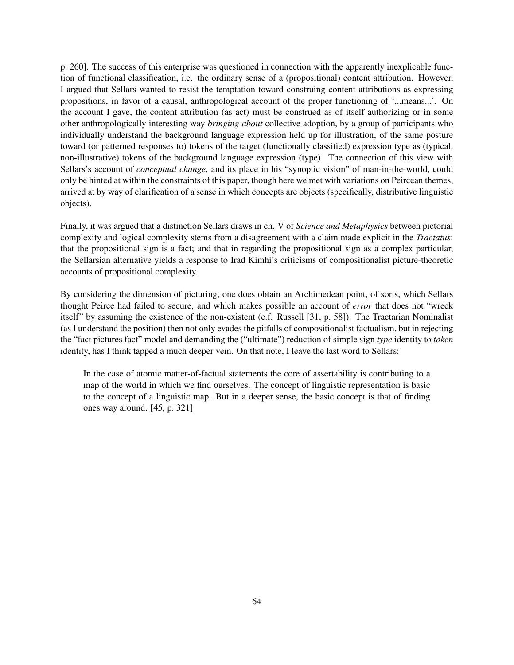p. 260]. The success of this enterprise was questioned in connection with the apparently inexplicable function of functional classification, i.e. the ordinary sense of a (propositional) content attribution. However, I argued that Sellars wanted to resist the temptation toward construing content attributions as expressing propositions, in favor of a causal, anthropological account of the proper functioning of '...means...'. On the account I gave, the content attribution (as act) must be construed as of itself authorizing or in some other anthropologically interesting way *bringing about* collective adoption, by a group of participants who individually understand the background language expression held up for illustration, of the same posture toward (or patterned responses to) tokens of the target (functionally classified) expression type as (typical, non-illustrative) tokens of the background language expression (type). The connection of this view with Sellars's account of *conceptual change*, and its place in his "synoptic vision" of man-in-the-world, could only be hinted at within the constraints of this paper, though here we met with variations on Peircean themes, arrived at by way of clarification of a sense in which concepts are objects (specifically, distributive linguistic objects).

Finally, it was argued that a distinction Sellars draws in ch. V of *Science and Metaphysics* between pictorial complexity and logical complexity stems from a disagreement with a claim made explicit in the *Tractatus*: that the propositional sign is a fact; and that in regarding the propositional sign as a complex particular, the Sellarsian alternative yields a response to Irad Kimhi's criticisms of compositionalist picture-theoretic accounts of propositional complexity.

By considering the dimension of picturing, one does obtain an Archimedean point, of sorts, which Sellars thought Peirce had failed to secure, and which makes possible an account of *error* that does not "wreck itself" by assuming the existence of the non-existent (c.f. Russell [31, p. 58]). The Tractarian Nominalist (as I understand the position) then not only evades the pitfalls of compositionalist factualism, but in rejecting the "fact pictures fact" model and demanding the ("ultimate") reduction of simple sign *type* identity to *token* identity, has I think tapped a much deeper vein. On that note, I leave the last word to Sellars:

In the case of atomic matter-of-factual statements the core of assertability is contributing to a map of the world in which we find ourselves. The concept of linguistic representation is basic to the concept of a linguistic map. But in a deeper sense, the basic concept is that of finding ones way around. [45, p. 321]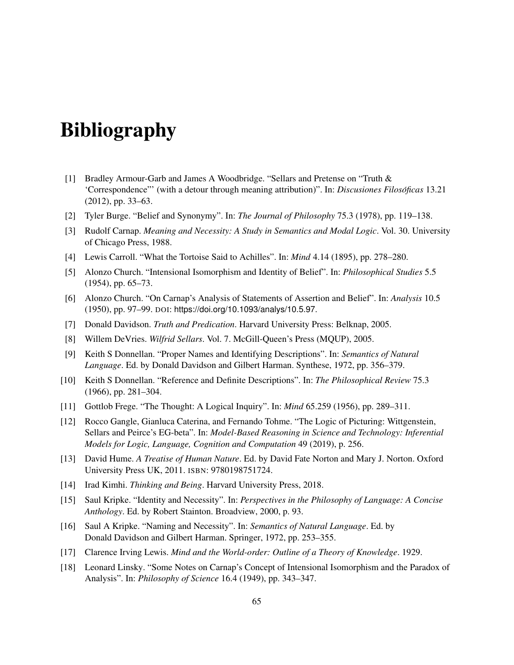# Bibliography

- [1] Bradley Armour-Garb and James A Woodbridge. "Sellars and Pretense on "Truth & 'Correspondence"' (with a detour through meaning attribution)". In: *Discusiones Filosoficas ´* 13.21 (2012), pp. 33–63.
- [2] Tyler Burge. "Belief and Synonymy". In: *The Journal of Philosophy* 75.3 (1978), pp. 119–138.
- [3] Rudolf Carnap. *Meaning and Necessity: A Study in Semantics and Modal Logic*. Vol. 30. University of Chicago Press, 1988.
- [4] Lewis Carroll. "What the Tortoise Said to Achilles". In: *Mind* 4.14 (1895), pp. 278–280.
- [5] Alonzo Church. "Intensional Isomorphism and Identity of Belief". In: *Philosophical Studies* 5.5 (1954), pp. 65–73.
- [6] Alonzo Church. "On Carnap's Analysis of Statements of Assertion and Belief". In: *Analysis* 10.5 (1950), pp. 97–99. DOI: https://doi.org/10.1093/analys/10.5.97.
- [7] Donald Davidson. *Truth and Predication*. Harvard University Press: Belknap, 2005.
- [8] Willem DeVries. *Wilfrid Sellars*. Vol. 7. McGill-Queen's Press (MQUP), 2005.
- [9] Keith S Donnellan. "Proper Names and Identifying Descriptions". In: *Semantics of Natural Language*. Ed. by Donald Davidson and Gilbert Harman. Synthese, 1972, pp. 356–379.
- [10] Keith S Donnellan. "Reference and Definite Descriptions". In: *The Philosophical Review* 75.3 (1966), pp. 281–304.
- [11] Gottlob Frege. "The Thought: A Logical Inquiry". In: *Mind* 65.259 (1956), pp. 289–311.
- [12] Rocco Gangle, Gianluca Caterina, and Fernando Tohme. "The Logic of Picturing: Wittgenstein, Sellars and Peirce's EG-beta". In: *Model-Based Reasoning in Science and Technology: Inferential Models for Logic, Language, Cognition and Computation* 49 (2019), p. 256.
- [13] David Hume. *A Treatise of Human Nature*. Ed. by David Fate Norton and Mary J. Norton. Oxford University Press UK, 2011. ISBN: 9780198751724.
- [14] Irad Kimhi. *Thinking and Being*. Harvard University Press, 2018.
- [15] Saul Kripke. "Identity and Necessity". In: *Perspectives in the Philosophy of Language: A Concise Anthology*. Ed. by Robert Stainton. Broadview, 2000, p. 93.
- [16] Saul A Kripke. "Naming and Necessity". In: *Semantics of Natural Language*. Ed. by Donald Davidson and Gilbert Harman. Springer, 1972, pp. 253–355.
- [17] Clarence Irving Lewis. *Mind and the World-order: Outline of a Theory of Knowledge*. 1929.
- [18] Leonard Linsky. "Some Notes on Carnap's Concept of Intensional Isomorphism and the Paradox of Analysis". In: *Philosophy of Science* 16.4 (1949), pp. 343–347.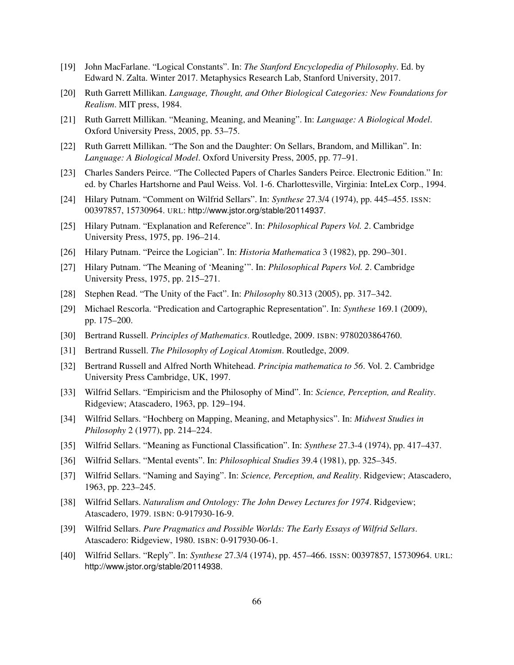- [19] John MacFarlane. "Logical Constants". In: *The Stanford Encyclopedia of Philosophy*. Ed. by Edward N. Zalta. Winter 2017. Metaphysics Research Lab, Stanford University, 2017.
- [20] Ruth Garrett Millikan. *Language, Thought, and Other Biological Categories: New Foundations for Realism*. MIT press, 1984.
- [21] Ruth Garrett Millikan. "Meaning, Meaning, and Meaning". In: *Language: A Biological Model*. Oxford University Press, 2005, pp. 53–75.
- [22] Ruth Garrett Millikan. "The Son and the Daughter: On Sellars, Brandom, and Millikan". In: *Language: A Biological Model*. Oxford University Press, 2005, pp. 77–91.
- [23] Charles Sanders Peirce. "The Collected Papers of Charles Sanders Peirce. Electronic Edition." In: ed. by Charles Hartshorne and Paul Weiss. Vol. 1-6. Charlottesville, Virginia: InteLex Corp., 1994.
- [24] Hilary Putnam. "Comment on Wilfrid Sellars". In: *Synthese* 27.3/4 (1974), pp. 445–455. ISSN: 00397857, 15730964. URL: http://www.jstor.org/stable/20114937.
- [25] Hilary Putnam. "Explanation and Reference". In: *Philosophical Papers Vol. 2*. Cambridge University Press, 1975, pp. 196–214.
- [26] Hilary Putnam. "Peirce the Logician". In: *Historia Mathematica* 3 (1982), pp. 290–301.
- [27] Hilary Putnam. "The Meaning of 'Meaning'". In: *Philosophical Papers Vol. 2*. Cambridge University Press, 1975, pp. 215–271.
- [28] Stephen Read. "The Unity of the Fact". In: *Philosophy* 80.313 (2005), pp. 317–342.
- [29] Michael Rescorla. "Predication and Cartographic Representation". In: *Synthese* 169.1 (2009), pp. 175–200.
- [30] Bertrand Russell. *Principles of Mathematics*. Routledge, 2009. ISBN: 9780203864760.
- [31] Bertrand Russell. *The Philosophy of Logical Atomism*. Routledge, 2009.
- [32] Bertrand Russell and Alfred North Whitehead. *Principia mathematica to 56*. Vol. 2. Cambridge University Press Cambridge, UK, 1997.
- [33] Wilfrid Sellars. "Empiricism and the Philosophy of Mind". In: *Science, Perception, and Reality*. Ridgeview; Atascadero, 1963, pp. 129–194.
- [34] Wilfrid Sellars. "Hochberg on Mapping, Meaning, and Metaphysics". In: *Midwest Studies in Philosophy* 2 (1977), pp. 214–224.
- [35] Wilfrid Sellars. "Meaning as Functional Classification". In: *Synthese* 27.3-4 (1974), pp. 417–437.
- [36] Wilfrid Sellars. "Mental events". In: *Philosophical Studies* 39.4 (1981), pp. 325–345.
- [37] Wilfrid Sellars. "Naming and Saying". In: *Science, Perception, and Reality*. Ridgeview; Atascadero, 1963, pp. 223–245.
- [38] Wilfrid Sellars. *Naturalism and Ontology: The John Dewey Lectures for 1974*. Ridgeview; Atascadero, 1979. ISBN: 0-917930-16-9.
- [39] Wilfrid Sellars. *Pure Pragmatics and Possible Worlds: The Early Essays of Wilfrid Sellars*. Atascadero: Ridgeview, 1980. ISBN: 0-917930-06-1.
- [40] Wilfrid Sellars. "Reply". In: *Synthese* 27.3/4 (1974), pp. 457–466. ISSN: 00397857, 15730964. URL: http://www.jstor.org/stable/20114938.